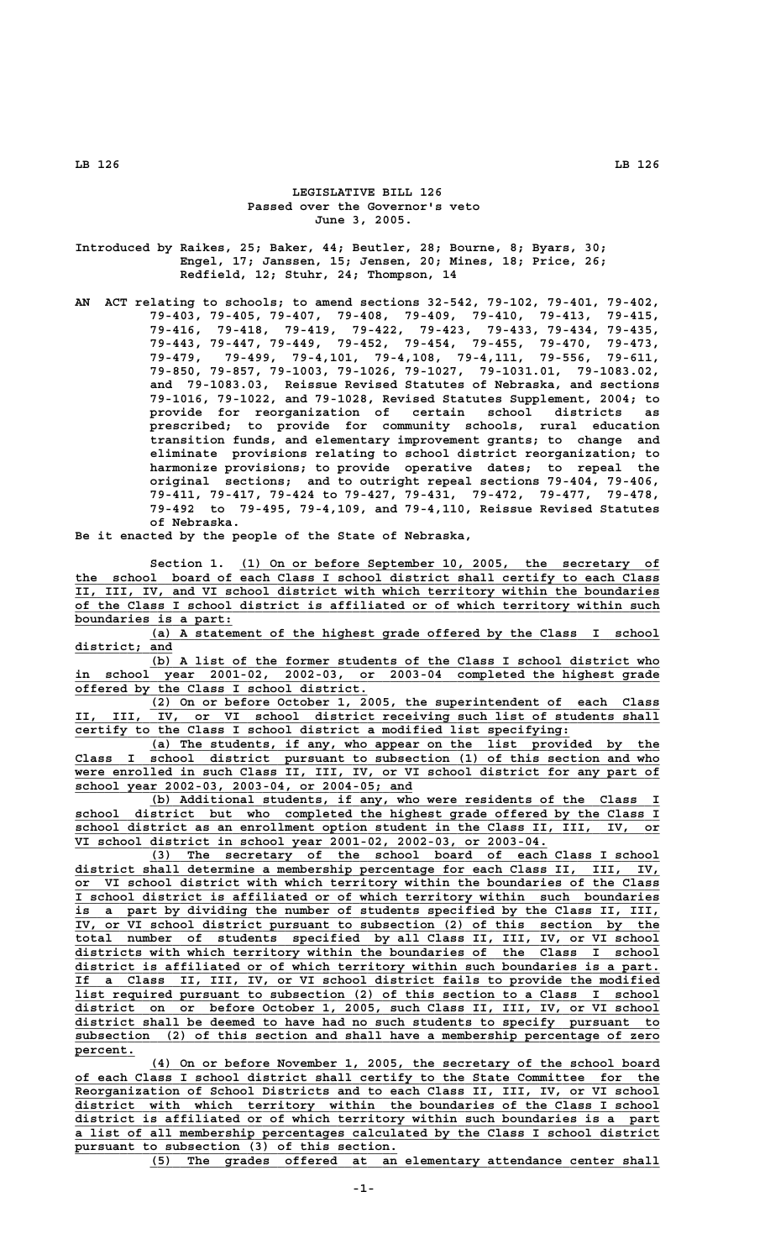## **LEGISLATIVE BILL 126 Passed over the Governor's veto June 3, 2005.**

**Introduced by Raikes, 25; Baker, 44; Beutler, 28; Bourne, 8; Byars, 30; Engel, 17; Janssen, 15; Jensen, 20; Mines, 18; Price, 26; Redfield, 12; Stuhr, 24; Thompson, 14**

**AN ACT relating to schools; to amend sections 32-542, 79-102, 79-401, 79-402, 79-403, 79-405, 79-407, 79-408, 79-409, 79-410, 79-413, 79-415, 79-416, 79-418, 79-419, 79-422, 79-423, 79-433, 79-434, 79-435, 79-443, 79-447, 79-449, 79-452, 79-454, 79-455, 79-470, 79-473, 79-479, 79-499, 79-4,101, 79-4,108, 79-4,111, 79-556, 79-611, 79-850, 79-857, 79-1003, 79-1026, 79-1027, 79-1031.01, 79-1083.02, and 79-1083.03, Reissue Revised Statutes of Nebraska, and sections 79-1016, 79-1022, and 79-1028, Revised Statutes Supplement, 2004; to provide for reorganization of certain school districts as prescribed; to provide for community schools, rural education transition funds, and elementary improvement grants; to change and eliminate provisions relating to school district reorganization; to harmonize provisions; to provide operative dates; to repeal the original sections; and to outright repeal sections 79-404, 79-406, 79-411, 79-417, 79-424 to 79-427, 79-431, 79-472, 79-477, 79-478, 79-492 to 79-495, 79-4,109, and 79-4,110, Reissue Revised Statutes of Nebraska.**

**Be it enacted by the people of the State of Nebraska,**

 **\_\_\_\_\_\_\_\_\_\_\_\_\_\_\_\_\_\_\_\_\_\_\_\_\_\_\_\_\_\_\_\_\_\_\_\_\_\_\_\_\_\_\_\_\_\_\_\_\_\_\_\_\_\_\_\_ Section 1. (1) On or before September 10, 2005, the secretary of \_\_\_\_\_\_\_\_\_\_\_\_\_\_\_\_\_\_\_\_\_\_\_\_\_\_\_\_\_\_\_\_\_\_\_\_\_\_\_\_\_\_\_\_\_\_\_\_\_\_\_\_\_\_\_\_\_\_\_\_\_\_\_\_\_\_\_\_\_\_\_\_\_\_\_\_\_\_ the school board of each Class I school district shall certify to each Class \_\_\_\_\_\_\_\_\_\_\_\_\_\_\_\_\_\_\_\_\_\_\_\_\_\_\_\_\_\_\_\_\_\_\_\_\_\_\_\_\_\_\_\_\_\_\_\_\_\_\_\_\_\_\_\_\_\_\_\_\_\_\_\_\_\_\_\_\_\_\_\_\_\_\_\_\_\_ II, III, IV, and VI school district with which territory within the boundaries \_\_\_\_\_\_\_\_\_\_\_\_\_\_\_\_\_\_\_\_\_\_\_\_\_\_\_\_\_\_\_\_\_\_\_\_\_\_\_\_\_\_\_\_\_\_\_\_\_\_\_\_\_\_\_\_\_\_\_\_\_\_\_\_\_\_\_\_\_\_\_\_\_\_\_\_\_\_ of the Class I school district is affiliated or of which territory within such \_\_\_\_\_\_\_\_\_\_\_\_\_\_\_\_\_\_\_\_\_ boundaries is a part:**

 **\_\_\_\_\_\_\_\_\_\_\_\_\_\_\_\_\_\_\_\_\_\_\_\_\_\_\_\_\_\_\_\_\_\_\_\_\_\_\_\_\_\_\_\_\_\_\_\_\_\_\_\_\_\_\_\_\_\_\_\_\_\_\_\_\_\_\_\_ (a) A statement of the highest grade offered by the Class I school district; and \_\_\_\_\_\_\_\_\_\_\_\_\_**

 **\_\_\_\_\_\_\_\_\_\_\_\_\_\_\_\_\_\_\_\_\_\_\_\_\_\_\_\_\_\_\_\_\_\_\_\_\_\_\_\_\_\_\_\_\_\_\_\_\_\_\_\_\_\_\_\_\_\_\_\_\_\_\_\_\_\_\_\_ (b) A list of the former students of the Class I school district who \_\_\_\_\_\_\_\_\_\_\_\_\_\_\_\_\_\_\_\_\_\_\_\_\_\_\_\_\_\_\_\_\_\_\_\_\_\_\_\_\_\_\_\_\_\_\_\_\_\_\_\_\_\_\_\_\_\_\_\_\_\_\_\_\_\_\_\_\_\_\_\_\_\_\_\_\_\_ in school year 2001-02, 2002-03, or 2003-04 completed the highest grade \_\_\_\_\_\_\_\_\_\_\_\_\_\_\_\_\_\_\_\_\_\_\_\_\_\_\_\_\_\_\_\_\_\_\_\_\_\_\_ offered by the Class I school district.**

 **\_\_\_\_\_\_\_\_\_\_\_\_\_\_\_\_\_\_\_\_\_\_\_\_\_\_\_\_\_\_\_\_\_\_\_\_\_\_\_\_\_\_\_\_\_\_\_\_\_\_\_\_\_\_\_\_\_\_\_\_\_\_\_\_\_\_\_\_ (2) On or before October 1, 2005, the superintendent of each Class \_\_\_\_\_\_\_\_\_\_\_\_\_\_\_\_\_\_\_\_\_\_\_\_\_\_\_\_\_\_\_\_\_\_\_\_\_\_\_\_\_\_\_\_\_\_\_\_\_\_\_\_\_\_\_\_\_\_\_\_\_\_\_\_\_\_\_\_\_\_\_\_\_\_\_\_\_\_ II, III, IV, or VI school district receiving such list of students shall \_\_\_\_\_\_\_\_\_\_\_\_\_\_\_\_\_\_\_\_\_\_\_\_\_\_\_\_\_\_\_\_\_\_\_\_\_\_\_\_\_\_\_\_\_\_\_\_\_\_\_\_\_\_\_\_\_\_\_\_\_\_\_\_\_\_ certify to the Class I school district a modified list specifying:**

 **\_\_\_\_\_\_\_\_\_\_\_\_\_\_\_\_\_\_\_\_\_\_\_\_\_\_\_\_\_\_\_\_\_\_\_\_\_\_\_\_\_\_\_\_\_\_\_\_\_\_\_\_\_\_\_\_\_\_\_\_\_\_\_\_\_\_\_\_ (a) The students, if any, who appear on the list provided by the \_\_\_\_\_\_\_\_\_\_\_\_\_\_\_\_\_\_\_\_\_\_\_\_\_\_\_\_\_\_\_\_\_\_\_\_\_\_\_\_\_\_\_\_\_\_\_\_\_\_\_\_\_\_\_\_\_\_\_\_\_\_\_\_\_\_\_\_\_\_\_\_\_\_\_\_\_\_ Class I school district pursuant to subsection (1) of this section and who \_\_\_\_\_\_\_\_\_\_\_\_\_\_\_\_\_\_\_\_\_\_\_\_\_\_\_\_\_\_\_\_\_\_\_\_\_\_\_\_\_\_\_\_\_\_\_\_\_\_\_\_\_\_\_\_\_\_\_\_\_\_\_\_\_\_\_\_\_\_\_\_\_\_\_\_\_\_ were enrolled in such Class II, III, IV, or VI school district for any part of \_\_\_\_\_\_\_\_\_\_\_\_\_\_\_\_\_\_\_\_\_\_\_\_\_\_\_\_\_\_\_\_\_\_\_\_\_\_\_\_\_\_\_\_\_ school year 2002-03, 2003-04, or 2004-05; and**

 **\_\_\_\_\_\_\_\_\_\_\_\_\_\_\_\_\_\_\_\_\_\_\_\_\_\_\_\_\_\_\_\_\_\_\_\_\_\_\_\_\_\_\_\_\_\_\_\_\_\_\_\_\_\_\_\_\_\_\_\_\_\_\_\_\_\_\_\_ (b) Additional students, if any, who were residents of the Class I \_\_\_\_\_\_\_\_\_\_\_\_\_\_\_\_\_\_\_\_\_\_\_\_\_\_\_\_\_\_\_\_\_\_\_\_\_\_\_\_\_\_\_\_\_\_\_\_\_\_\_\_\_\_\_\_\_\_\_\_\_\_\_\_\_\_\_\_\_\_\_\_\_\_\_\_\_\_ school district but who completed the highest grade offered by the Class I \_\_\_\_\_\_\_\_\_\_\_\_\_\_\_\_\_\_\_\_\_\_\_\_\_\_\_\_\_\_\_\_\_\_\_\_\_\_\_\_\_\_\_\_\_\_\_\_\_\_\_\_\_\_\_\_\_\_\_\_\_\_\_\_\_\_\_\_\_\_\_\_\_\_\_\_\_\_ school district as an enrollment option student in the Class II, III, IV, or \_\_\_\_\_\_\_\_\_\_\_\_\_\_\_\_\_\_\_\_\_\_\_\_\_\_\_\_\_\_\_\_\_\_\_\_\_\_\_\_\_\_\_\_\_\_\_\_\_\_\_\_\_\_\_\_\_\_\_\_\_\_\_ VI school district in school year 2001-02, 2002-03, or 2003-04.**

 **\_\_\_\_\_\_\_\_\_\_\_\_\_\_\_\_\_\_\_\_\_\_\_\_\_\_\_\_\_\_\_\_\_\_\_\_\_\_\_\_\_\_\_\_\_\_\_\_\_\_\_\_\_\_\_\_\_\_\_\_\_\_\_\_\_\_\_\_ (3) The secretary of the school board of each Class I school \_\_\_\_\_\_\_\_\_\_\_\_\_\_\_\_\_\_\_\_\_\_\_\_\_\_\_\_\_\_\_\_\_\_\_\_\_\_\_\_\_\_\_\_\_\_\_\_\_\_\_\_\_\_\_\_\_\_\_\_\_\_\_\_\_\_\_\_\_\_\_\_\_\_\_\_\_\_ district shall determine a membership percentage for each Class II, III, IV, \_\_\_\_\_\_\_\_\_\_\_\_\_\_\_\_\_\_\_\_\_\_\_\_\_\_\_\_\_\_\_\_\_\_\_\_\_\_\_\_\_\_\_\_\_\_\_\_\_\_\_\_\_\_\_\_\_\_\_\_\_\_\_\_\_\_\_\_\_\_\_\_\_\_\_\_\_\_ or VI school district with which territory within the boundaries of the Class \_\_\_\_\_\_\_\_\_\_\_\_\_\_\_\_\_\_\_\_\_\_\_\_\_\_\_\_\_\_\_\_\_\_\_\_\_\_\_\_\_\_\_\_\_\_\_\_\_\_\_\_\_\_\_\_\_\_\_\_\_\_\_\_\_\_\_\_\_\_\_\_\_\_\_\_\_\_ I school district is affiliated or of which territory within such boundaries \_\_\_\_\_\_\_\_\_\_\_\_\_\_\_\_\_\_\_\_\_\_\_\_\_\_\_\_\_\_\_\_\_\_\_\_\_\_\_\_\_\_\_\_\_\_\_\_\_\_\_\_\_\_\_\_\_\_\_\_\_\_\_\_\_\_\_\_\_\_\_\_\_\_\_\_\_\_ is a part by dividing the number of students specified by the Class II, III, \_\_\_\_\_\_\_\_\_\_\_\_\_\_\_\_\_\_\_\_\_\_\_\_\_\_\_\_\_\_\_\_\_\_\_\_\_\_\_\_\_\_\_\_\_\_\_\_\_\_\_\_\_\_\_\_\_\_\_\_\_\_\_\_\_\_\_\_\_\_\_\_\_\_\_\_\_\_ IV, or VI school district pursuant to subsection (2) of this section by the \_\_\_\_\_\_\_\_\_\_\_\_\_\_\_\_\_\_\_\_\_\_\_\_\_\_\_\_\_\_\_\_\_\_\_\_\_\_\_\_\_\_\_\_\_\_\_\_\_\_\_\_\_\_\_\_\_\_\_\_\_\_\_\_\_\_\_\_\_\_\_\_\_\_\_\_\_\_ total number of students specified by all Class II, III, IV, or VI school \_\_\_\_\_\_\_\_\_\_\_\_\_\_\_\_\_\_\_\_\_\_\_\_\_\_\_\_\_\_\_\_\_\_\_\_\_\_\_\_\_\_\_\_\_\_\_\_\_\_\_\_\_\_\_\_\_\_\_\_\_\_\_\_\_\_\_\_\_\_\_\_\_\_\_\_\_\_ districts with which territory within the boundaries of the Class I school \_\_\_\_\_\_\_\_\_\_\_\_\_\_\_\_\_\_\_\_\_\_\_\_\_\_\_\_\_\_\_\_\_\_\_\_\_\_\_\_\_\_\_\_\_\_\_\_\_\_\_\_\_\_\_\_\_\_\_\_\_\_\_\_\_\_\_\_\_\_\_\_\_\_\_\_\_\_ district is affiliated or of which territory within such boundaries is a part. \_\_\_\_\_\_\_\_\_\_\_\_\_\_\_\_\_\_\_\_\_\_\_\_\_\_\_\_\_\_\_\_\_\_\_\_\_\_\_\_\_\_\_\_\_\_\_\_\_\_\_\_\_\_\_\_\_\_\_\_\_\_\_\_\_\_\_\_\_\_\_\_\_\_\_\_\_\_ If a Class II, III, IV, or VI school district fails to provide the modified \_\_\_\_\_\_\_\_\_\_\_\_\_\_\_\_\_\_\_\_\_\_\_\_\_\_\_\_\_\_\_\_\_\_\_\_\_\_\_\_\_\_\_\_\_\_\_\_\_\_\_\_\_\_\_\_\_\_\_\_\_\_\_\_\_\_\_\_\_\_\_\_\_\_\_\_\_\_ list required pursuant to subsection (2) of this section to a Class I school \_\_\_\_\_\_\_\_\_\_\_\_\_\_\_\_\_\_\_\_\_\_\_\_\_\_\_\_\_\_\_\_\_\_\_\_\_\_\_\_\_\_\_\_\_\_\_\_\_\_\_\_\_\_\_\_\_\_\_\_\_\_\_\_\_\_\_\_\_\_\_\_\_\_\_\_\_\_ district on or before October 1, 2005, such Class II, III, IV, or VI school \_\_\_\_\_\_\_\_\_\_\_\_\_\_\_\_\_\_\_\_\_\_\_\_\_\_\_\_\_\_\_\_\_\_\_\_\_\_\_\_\_\_\_\_\_\_\_\_\_\_\_\_\_\_\_\_\_\_\_\_\_\_\_\_\_\_\_\_\_\_\_\_\_\_\_\_\_\_ district shall be deemed to have had no such students to specify pursuant to \_\_\_\_\_\_\_\_\_\_\_\_\_\_\_\_\_\_\_\_\_\_\_\_\_\_\_\_\_\_\_\_\_\_\_\_\_\_\_\_\_\_\_\_\_\_\_\_\_\_\_\_\_\_\_\_\_\_\_\_\_\_\_\_\_\_\_\_\_\_\_\_\_\_\_\_\_\_ subsection (2) of this section and shall have a membership percentage of zero percent. \_\_\_\_\_\_\_\_**

 **\_\_\_\_\_\_\_\_\_\_\_\_\_\_\_\_\_\_\_\_\_\_\_\_\_\_\_\_\_\_\_\_\_\_\_\_\_\_\_\_\_\_\_\_\_\_\_\_\_\_\_\_\_\_\_\_\_\_\_\_\_\_\_\_\_\_\_\_ (4) On or before November 1, 2005, the secretary of the school board \_\_\_\_\_\_\_\_\_\_\_\_\_\_\_\_\_\_\_\_\_\_\_\_\_\_\_\_\_\_\_\_\_\_\_\_\_\_\_\_\_\_\_\_\_\_\_\_\_\_\_\_\_\_\_\_\_\_\_\_\_\_\_\_\_\_\_\_\_\_\_\_\_\_\_\_\_\_ of each Class I school district shall certify to the State Committee for the \_\_\_\_\_\_\_\_\_\_\_\_\_\_\_\_\_\_\_\_\_\_\_\_\_\_\_\_\_\_\_\_\_\_\_\_\_\_\_\_\_\_\_\_\_\_\_\_\_\_\_\_\_\_\_\_\_\_\_\_\_\_\_\_\_\_\_\_\_\_\_\_\_\_\_\_\_\_ Reorganization of School Districts and to each Class II, III, IV, or VI school \_\_\_\_\_\_\_\_\_\_\_\_\_\_\_\_\_\_\_\_\_\_\_\_\_\_\_\_\_\_\_\_\_\_\_\_\_\_\_\_\_\_\_\_\_\_\_\_\_\_\_\_\_\_\_\_\_\_\_\_\_\_\_\_\_\_\_\_\_\_\_\_\_\_\_\_\_\_ district with which territory within the boundaries of the Class I school \_\_\_\_\_\_\_\_\_\_\_\_\_\_\_\_\_\_\_\_\_\_\_\_\_\_\_\_\_\_\_\_\_\_\_\_\_\_\_\_\_\_\_\_\_\_\_\_\_\_\_\_\_\_\_\_\_\_\_\_\_\_\_\_\_\_\_\_\_\_\_\_\_\_\_\_\_\_ district is affiliated or of which territory within such boundaries is a part \_\_\_\_\_\_\_\_\_\_\_\_\_\_\_\_\_\_\_\_\_\_\_\_\_\_\_\_\_\_\_\_\_\_\_\_\_\_\_\_\_\_\_\_\_\_\_\_\_\_\_\_\_\_\_\_\_\_\_\_\_\_\_\_\_\_\_\_\_\_\_\_\_\_\_\_\_\_ a list of all membership percentages calculated by the Class I school district \_\_\_\_\_\_\_\_\_\_\_\_\_\_\_\_\_\_\_\_\_\_\_\_\_\_\_\_\_\_\_\_\_\_\_\_\_\_\_\_\_\_\_ pursuant to subsection (3) of this section.**

 **\_\_\_\_\_\_\_\_\_\_\_\_\_\_\_\_\_\_\_\_\_\_\_\_\_\_\_\_\_\_\_\_\_\_\_\_\_\_\_\_\_\_\_\_\_\_\_\_\_\_\_\_\_\_\_\_\_\_\_\_\_\_\_\_\_\_\_\_ (5) The grades offered at an elementary attendance center shall**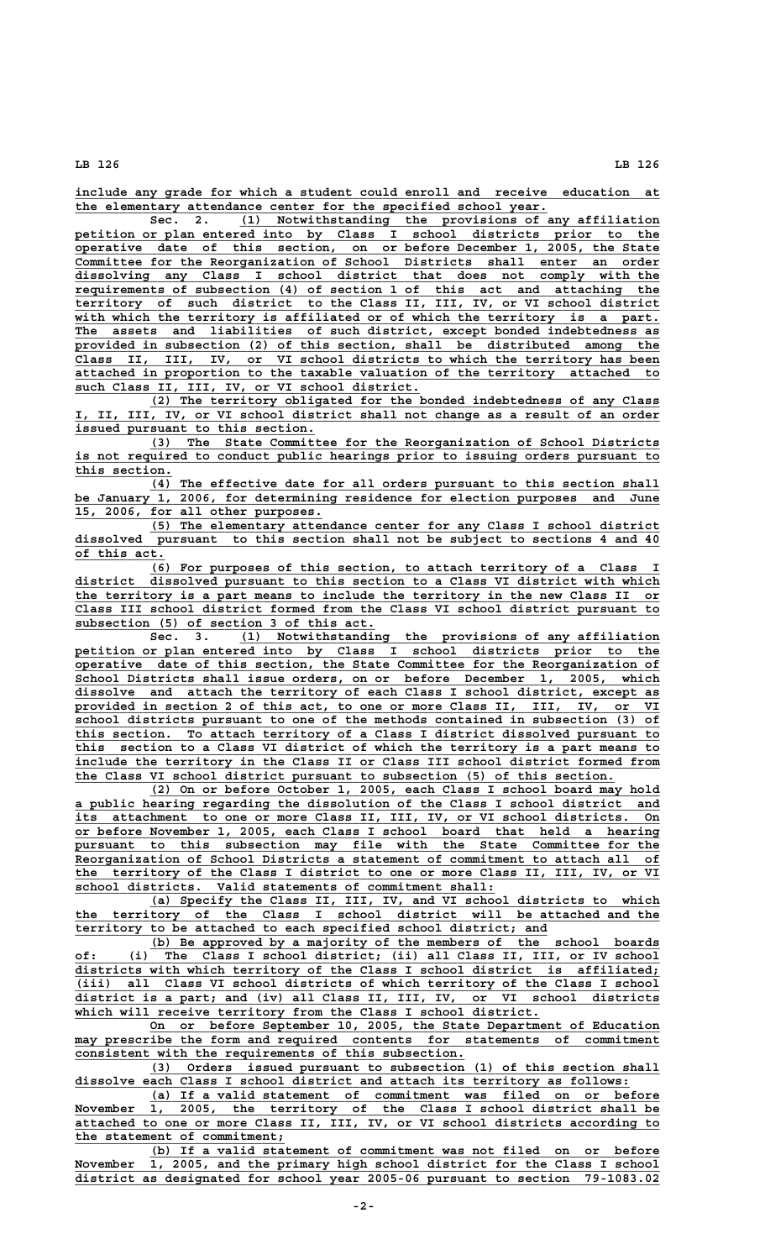**\_\_\_\_\_\_\_\_\_\_\_\_\_\_\_\_\_\_\_\_\_\_\_\_\_\_\_\_\_\_\_\_\_\_\_\_\_\_\_\_\_\_\_\_\_\_\_\_\_\_\_\_\_\_\_\_\_\_\_\_\_\_\_\_\_\_\_\_\_\_\_\_\_\_\_\_\_\_ include any grade for which a student could enroll and receive education at \_\_\_\_\_\_\_\_\_\_\_\_\_\_\_\_\_\_\_\_\_\_\_\_\_\_\_\_\_\_\_\_\_\_\_\_\_\_\_\_\_\_\_\_\_\_\_\_\_\_\_\_\_\_\_\_\_\_\_\_\_\_\_ the elementary attendance center for the specified school year.**

 **\_\_\_\_\_\_\_\_\_\_\_\_\_\_\_\_\_\_\_\_\_\_\_\_\_\_\_\_\_\_\_\_\_\_\_\_\_\_\_\_\_\_\_\_\_\_\_\_\_\_\_\_\_\_\_\_ Sec. 2. (1) Notwithstanding the provisions of any affiliation \_\_\_\_\_\_\_\_\_\_\_\_\_\_\_\_\_\_\_\_\_\_\_\_\_\_\_\_\_\_\_\_\_\_\_\_\_\_\_\_\_\_\_\_\_\_\_\_\_\_\_\_\_\_\_\_\_\_\_\_\_\_\_\_\_\_\_\_\_\_\_\_\_\_\_\_\_\_ petition or plan entered into by Class I school districts prior to the \_\_\_\_\_\_\_\_\_\_\_\_\_\_\_\_\_\_\_\_\_\_\_\_\_\_\_\_\_\_\_\_\_\_\_\_\_\_\_\_\_\_\_\_\_\_\_\_\_\_\_\_\_\_\_\_\_\_\_\_\_\_\_\_\_\_\_\_\_\_\_\_\_\_\_\_\_\_ operative date of this section, on or before December 1, 2005, the State \_\_\_\_\_\_\_\_\_\_\_\_\_\_\_\_\_\_\_\_\_\_\_\_\_\_\_\_\_\_\_\_\_\_\_\_\_\_\_\_\_\_\_\_\_\_\_\_\_\_\_\_\_\_\_\_\_\_\_\_\_\_\_\_\_\_\_\_\_\_\_\_\_\_\_\_\_\_ Committee for the Reorganization of School Districts shall enter an order \_\_\_\_\_\_\_\_\_\_\_\_\_\_\_\_\_\_\_\_\_\_\_\_\_\_\_\_\_\_\_\_\_\_\_\_\_\_\_\_\_\_\_\_\_\_\_\_\_\_\_\_\_\_\_\_\_\_\_\_\_\_\_\_\_\_\_\_\_\_\_\_\_\_\_\_\_\_ dissolving any Class I school district that does not comply with the \_\_\_\_\_\_\_\_\_\_\_\_\_\_\_\_\_\_\_\_\_\_\_\_\_\_\_\_\_\_\_\_\_\_\_\_\_\_\_\_\_\_\_\_\_\_\_\_\_\_\_\_\_\_\_\_\_\_\_\_\_\_\_\_\_\_\_\_\_\_\_\_\_\_\_\_\_\_ requirements of subsection (4) of section 1 of this act and attaching the \_\_\_\_\_\_\_\_\_\_\_\_\_\_\_\_\_\_\_\_\_\_\_\_\_\_\_\_\_\_\_\_\_\_\_\_\_\_\_\_\_\_\_\_\_\_\_\_\_\_\_\_\_\_\_\_\_\_\_\_\_\_\_\_\_\_\_\_\_\_\_\_\_\_\_\_\_\_ territory of such district to the Class II, III, IV, or VI school district \_\_\_\_\_\_\_\_\_\_\_\_\_\_\_\_\_\_\_\_\_\_\_\_\_\_\_\_\_\_\_\_\_\_\_\_\_\_\_\_\_\_\_\_\_\_\_\_\_\_\_\_\_\_\_\_\_\_\_\_\_\_\_\_\_\_\_\_\_\_\_\_\_\_\_\_\_\_ with which the territory is affiliated or of which the territory is a part.** The assets and liabilities of such district, except bonded indebtedness as provided in subsection (2) of this section, shall be distributed among the  **\_\_\_\_\_\_\_\_\_\_\_\_\_\_\_\_\_\_\_\_\_\_\_\_\_\_\_\_\_\_\_\_\_\_\_\_\_\_\_\_\_\_\_\_\_\_\_\_\_\_\_\_\_\_\_\_\_\_\_\_\_\_\_\_\_\_\_\_\_\_\_\_\_\_\_\_\_\_ Class II, III, IV, or VI school districts to which the territory has been \_\_\_\_\_\_\_\_\_\_\_\_\_\_\_\_\_\_\_\_\_\_\_\_\_\_\_\_\_\_\_\_\_\_\_\_\_\_\_\_\_\_\_\_\_\_\_\_\_\_\_\_\_\_\_\_\_\_\_\_\_\_\_\_\_\_\_\_\_\_\_\_\_\_\_\_\_\_ attached in proportion to the taxable valuation of the territory attached to \_\_\_\_\_\_\_\_\_\_\_\_\_\_\_\_\_\_\_\_\_\_\_\_\_\_\_\_\_\_\_\_\_\_\_\_\_\_\_\_\_\_\_\_\_\_ such Class II, III, IV, or VI school district.**

 **\_\_\_\_\_\_\_\_\_\_\_\_\_\_\_\_\_\_\_\_\_\_\_\_\_\_\_\_\_\_\_\_\_\_\_\_\_\_\_\_\_\_\_\_\_\_\_\_\_\_\_\_\_\_\_\_\_\_\_\_\_\_\_\_\_\_\_\_ (2) The territory obligated for the bonded indebtedness of any Class \_\_\_\_\_\_\_\_\_\_\_\_\_\_\_\_\_\_\_\_\_\_\_\_\_\_\_\_\_\_\_\_\_\_\_\_\_\_\_\_\_\_\_\_\_\_\_\_\_\_\_\_\_\_\_\_\_\_\_\_\_\_\_\_\_\_\_\_\_\_\_\_\_\_\_\_\_\_ I, II, III, IV, or VI school district shall not change as a result of an order \_\_\_\_\_\_\_\_\_\_\_\_\_\_\_\_\_\_\_\_\_\_\_\_\_\_\_\_\_\_\_\_ issued pursuant to this section.**

 **\_\_\_\_\_\_\_\_\_\_\_\_\_\_\_\_\_\_\_\_\_\_\_\_\_\_\_\_\_\_\_\_\_\_\_\_\_\_\_\_\_\_\_\_\_\_\_\_\_\_\_\_\_\_\_\_\_\_\_\_\_\_\_\_\_\_\_\_ (3) The State Committee for the Reorganization of School Districts \_\_\_\_\_\_\_\_\_\_\_\_\_\_\_\_\_\_\_\_\_\_\_\_\_\_\_\_\_\_\_\_\_\_\_\_\_\_\_\_\_\_\_\_\_\_\_\_\_\_\_\_\_\_\_\_\_\_\_\_\_\_\_\_\_\_\_\_\_\_\_\_\_\_\_\_\_\_ is not required to conduct public hearings prior to issuing orders pursuant to** this section.

 $\overline{(4)}$  The effective date for all orders pursuant to this section shall  **\_\_\_\_\_\_\_\_\_\_\_\_\_\_\_\_\_\_\_\_\_\_\_\_\_\_\_\_\_\_\_\_\_\_\_\_\_\_\_\_\_\_\_\_\_\_\_\_\_\_\_\_\_\_\_\_\_\_\_\_\_\_\_\_\_\_\_\_\_\_\_\_\_\_\_\_\_\_ be January 1, 2006, for determining residence for election purposes and June \_\_\_\_\_\_\_\_\_\_\_\_\_\_\_\_\_\_\_\_\_\_\_\_\_\_\_\_\_\_\_\_\_ 15, 2006, for all other purposes.**

 **\_\_\_\_\_\_\_\_\_\_\_\_\_\_\_\_\_\_\_\_\_\_\_\_\_\_\_\_\_\_\_\_\_\_\_\_\_\_\_\_\_\_\_\_\_\_\_\_\_\_\_\_\_\_\_\_\_\_\_\_\_\_\_\_\_\_\_\_ (5) The elementary attendance center for any Class I school district \_\_\_\_\_\_\_\_\_\_\_\_\_\_\_\_\_\_\_\_\_\_\_\_\_\_\_\_\_\_\_\_\_\_\_\_\_\_\_\_\_\_\_\_\_\_\_\_\_\_\_\_\_\_\_\_\_\_\_\_\_\_\_\_\_\_\_\_\_\_\_\_\_\_\_\_\_\_ dissolved pursuant to this section shall not be subject to sections 4 and 40 \_\_\_\_\_\_\_\_\_\_\_\_ of this act.**

 **\_\_\_\_\_\_\_\_\_\_\_\_\_\_\_\_\_\_\_\_\_\_\_\_\_\_\_\_\_\_\_\_\_\_\_\_\_\_\_\_\_\_\_\_\_\_\_\_\_\_\_\_\_\_\_\_\_\_\_\_\_\_\_\_\_\_\_\_ (6) For purposes of this section, to attach territory of a Class I \_\_\_\_\_\_\_\_\_\_\_\_\_\_\_\_\_\_\_\_\_\_\_\_\_\_\_\_\_\_\_\_\_\_\_\_\_\_\_\_\_\_\_\_\_\_\_\_\_\_\_\_\_\_\_\_\_\_\_\_\_\_\_\_\_\_\_\_\_\_\_\_\_\_\_\_\_\_ district dissolved pursuant to this section to a Class VI district with which \_\_\_\_\_\_\_\_\_\_\_\_\_\_\_\_\_\_\_\_\_\_\_\_\_\_\_\_\_\_\_\_\_\_\_\_\_\_\_\_\_\_\_\_\_\_\_\_\_\_\_\_\_\_\_\_\_\_\_\_\_\_\_\_\_\_\_\_\_\_\_\_\_\_\_\_\_\_ the territory is a part means to include the territory in the new Class II or \_\_\_\_\_\_\_\_\_\_\_\_\_\_\_\_\_\_\_\_\_\_\_\_\_\_\_\_\_\_\_\_\_\_\_\_\_\_\_\_\_\_\_\_\_\_\_\_\_\_\_\_\_\_\_\_\_\_\_\_\_\_\_\_\_\_\_\_\_\_\_\_\_\_\_\_\_\_ Class III school district formed from the Class VI school district pursuant to \_\_\_\_\_\_\_\_\_\_\_\_\_\_\_\_\_\_\_\_\_\_\_\_\_\_\_\_\_\_\_\_\_\_\_\_\_\_\_\_ subsection (5) of section 3 of this act.**

 **\_\_\_\_\_\_\_\_\_\_\_\_\_\_\_\_\_\_\_\_\_\_\_\_\_\_\_\_\_\_\_\_\_\_\_\_\_\_\_\_\_\_\_\_\_\_\_\_\_\_\_\_\_\_\_\_ Sec. 3. (1) Notwithstanding the provisions of any affiliation \_\_\_\_\_\_\_\_\_\_\_\_\_\_\_\_\_\_\_\_\_\_\_\_\_\_\_\_\_\_\_\_\_\_\_\_\_\_\_\_\_\_\_\_\_\_\_\_\_\_\_\_\_\_\_\_\_\_\_\_\_\_\_\_\_\_\_\_\_\_\_\_\_\_\_\_\_\_ petition or plan entered into by Class I school districts prior to the perative date of this section, the State Committee for the Reorganization of \_\_\_\_\_\_\_\_\_\_\_\_\_\_\_\_\_\_\_\_\_\_\_\_\_\_\_\_\_\_\_\_\_\_\_\_\_\_\_\_\_\_\_\_\_\_\_\_\_\_\_\_\_\_\_\_\_\_\_\_\_\_\_\_\_\_\_\_\_\_\_\_\_\_\_\_\_\_ School Districts shall issue orders, on or before December 1, 2005, which** dissolve and attach the territory of each Class I school district, except as  **\_\_\_\_\_\_\_\_\_\_\_\_\_\_\_\_\_\_\_\_\_\_\_\_\_\_\_\_\_\_\_\_\_\_\_\_\_\_\_\_\_\_\_\_\_\_\_\_\_\_\_\_\_\_\_\_\_\_\_\_\_\_\_\_\_\_\_\_\_\_\_\_\_\_\_\_\_\_ provided in section 2 of this act, to one or more Class II, III, IV, or VI \_\_\_\_\_\_\_\_\_\_\_\_\_\_\_\_\_\_\_\_\_\_\_\_\_\_\_\_\_\_\_\_\_\_\_\_\_\_\_\_\_\_\_\_\_\_\_\_\_\_\_\_\_\_\_\_\_\_\_\_\_\_\_\_\_\_\_\_\_\_\_\_\_\_\_\_\_\_ school districts pursuant to one of the methods contained in subsection (3) of \_\_\_\_\_\_\_\_\_\_\_\_\_\_\_\_\_\_\_\_\_\_\_\_\_\_\_\_\_\_\_\_\_\_\_\_\_\_\_\_\_\_\_\_\_\_\_\_\_\_\_\_\_\_\_\_\_\_\_\_\_\_\_\_\_\_\_\_\_\_\_\_\_\_\_\_\_\_ this section. To attach territory of a Class I district dissolved pursuant to \_\_\_\_\_\_\_\_\_\_\_\_\_\_\_\_\_\_\_\_\_\_\_\_\_\_\_\_\_\_\_\_\_\_\_\_\_\_\_\_\_\_\_\_\_\_\_\_\_\_\_\_\_\_\_\_\_\_\_\_\_\_\_\_\_\_\_\_\_\_\_\_\_\_\_\_\_\_ this section to a Class VI district of which the territory is a part means to \_\_\_\_\_\_\_\_\_\_\_\_\_\_\_\_\_\_\_\_\_\_\_\_\_\_\_\_\_\_\_\_\_\_\_\_\_\_\_\_\_\_\_\_\_\_\_\_\_\_\_\_\_\_\_\_\_\_\_\_\_\_\_\_\_\_\_\_\_\_\_\_\_\_\_\_\_\_ include the territory in the Class II or Class III school district formed from \_\_\_\_\_\_\_\_\_\_\_\_\_\_\_\_\_\_\_\_\_\_\_\_\_\_\_\_\_\_\_\_\_\_\_\_\_\_\_\_\_\_\_\_\_\_\_\_\_\_\_\_\_\_\_\_\_\_\_\_\_\_\_\_\_\_\_\_\_\_\_\_ the Class VI school district pursuant to subsection (5) of this section.**

 **\_\_\_\_\_\_\_\_\_\_\_\_\_\_\_\_\_\_\_\_\_\_\_\_\_\_\_\_\_\_\_\_\_\_\_\_\_\_\_\_\_\_\_\_\_\_\_\_\_\_\_\_\_\_\_\_\_\_\_\_\_\_\_\_\_\_\_\_ (2) On or before October 1, 2005, each Class I school board may hold \_\_\_\_\_\_\_\_\_\_\_\_\_\_\_\_\_\_\_\_\_\_\_\_\_\_\_\_\_\_\_\_\_\_\_\_\_\_\_\_\_\_\_\_\_\_\_\_\_\_\_\_\_\_\_\_\_\_\_\_\_\_\_\_\_\_\_\_\_\_\_\_\_\_\_\_\_\_ a public hearing regarding the dissolution of the Class I school district and \_\_\_\_\_\_\_\_\_\_\_\_\_\_\_\_\_\_\_\_\_\_\_\_\_\_\_\_\_\_\_\_\_\_\_\_\_\_\_\_\_\_\_\_\_\_\_\_\_\_\_\_\_\_\_\_\_\_\_\_\_\_\_\_\_\_\_\_\_\_\_\_\_\_\_\_\_\_ its attachment to one or more Class II, III, IV, or VI school districts. On \_\_\_\_\_\_\_\_\_\_\_\_\_\_\_\_\_\_\_\_\_\_\_\_\_\_\_\_\_\_\_\_\_\_\_\_\_\_\_\_\_\_\_\_\_\_\_\_\_\_\_\_\_\_\_\_\_\_\_\_\_\_\_\_\_\_\_\_\_\_\_\_\_\_\_\_\_\_ or before November 1, 2005, each Class I school board that held a hearing \_\_\_\_\_\_\_\_\_\_\_\_\_\_\_\_\_\_\_\_\_\_\_\_\_\_\_\_\_\_\_\_\_\_\_\_\_\_\_\_\_\_\_\_\_\_\_\_\_\_\_\_\_\_\_\_\_\_\_\_\_\_\_\_\_\_\_\_\_\_\_\_\_\_\_\_\_\_ pursuant to this subsection may file with the State Committee for the** Reorganization of School Districts a statement of commitment to attach all of the territory of the Class I district to one or more Class II, III, IV, or VI  **\_\_\_\_\_\_\_\_\_\_\_\_\_\_\_\_\_\_\_\_\_\_\_\_\_\_\_\_\_\_\_\_\_\_\_\_\_\_\_\_\_\_\_\_\_\_\_\_\_\_\_\_\_\_\_\_ school districts. Valid statements of commitment shall:**

 **\_\_\_\_\_\_\_\_\_\_\_\_\_\_\_\_\_\_\_\_\_\_\_\_\_\_\_\_\_\_\_\_\_\_\_\_\_\_\_\_\_\_\_\_\_\_\_\_\_\_\_\_\_\_\_\_\_\_\_\_\_\_\_\_\_\_\_\_ (a) Specify the Class II, III, IV, and VI school districts to which \_\_\_\_\_\_\_\_\_\_\_\_\_\_\_\_\_\_\_\_\_\_\_\_\_\_\_\_\_\_\_\_\_\_\_\_\_\_\_\_\_\_\_\_\_\_\_\_\_\_\_\_\_\_\_\_\_\_\_\_\_\_\_\_\_\_\_\_\_\_\_\_\_\_\_\_\_\_ the territory of the Class I school district will be attached and the \_\_\_\_\_\_\_\_\_\_\_\_\_\_\_\_\_\_\_\_\_\_\_\_\_\_\_\_\_\_\_\_\_\_\_\_\_\_\_\_\_\_\_\_\_\_\_\_\_\_\_\_\_\_\_\_\_\_\_\_\_\_\_ territory to be attached to each specified school district; and**

 **\_\_\_\_\_\_\_\_\_\_\_\_\_\_\_\_\_\_\_\_\_\_\_\_\_\_\_\_\_\_\_\_\_\_\_\_\_\_\_\_\_\_\_\_\_\_\_\_\_\_\_\_\_\_\_\_\_\_\_\_\_\_\_\_\_\_\_\_ (b) Be approved by a majority of the members of the school boards \_\_\_\_\_\_\_\_\_\_\_\_\_\_\_\_\_\_\_\_\_\_\_\_\_\_\_\_\_\_\_\_\_\_\_\_\_\_\_\_\_\_\_\_\_\_\_\_\_\_\_\_\_\_\_\_\_\_\_\_\_\_\_\_\_\_\_\_\_\_\_\_\_\_\_\_\_\_ of: (i) The Class I school district; (ii) all Class II, III, or IV school \_\_\_\_\_\_\_\_\_\_\_\_\_\_\_\_\_\_\_\_\_\_\_\_\_\_\_\_\_\_\_\_\_\_\_\_\_\_\_\_\_\_\_\_\_\_\_\_\_\_\_\_\_\_\_\_\_\_\_\_\_\_\_\_\_\_\_\_\_\_\_\_\_\_\_\_\_\_ districts with which territory of the Class I school district is affiliated; \_\_\_\_\_\_\_\_\_\_\_\_\_\_\_\_\_\_\_\_\_\_\_\_\_\_\_\_\_\_\_\_\_\_\_\_\_\_\_\_\_\_\_\_\_\_\_\_\_\_\_\_\_\_\_\_\_\_\_\_\_\_\_\_\_\_\_\_\_\_\_\_\_\_\_\_\_\_ (iii) all Class VI school districts of which territory of the Class I school \_\_\_\_\_\_\_\_\_\_\_\_\_\_\_\_\_\_\_\_\_\_\_\_\_\_\_\_\_\_\_\_\_\_\_\_\_\_\_\_\_\_\_\_\_\_\_\_\_\_\_\_\_\_\_\_\_\_\_\_\_\_\_\_\_\_\_\_\_\_\_\_\_\_\_\_\_\_ district is a part; and (iv) all Class II, III, IV, or VI school districts \_\_\_\_\_\_\_\_\_\_\_\_\_\_\_\_\_\_\_\_\_\_\_\_\_\_\_\_\_\_\_\_\_\_\_\_\_\_\_\_\_\_\_\_\_\_\_\_\_\_\_\_\_\_\_\_\_\_\_\_\_\_ which will receive territory from the Class I school district.**

 **\_\_\_\_\_\_\_\_\_\_\_\_\_\_\_\_\_\_\_\_\_\_\_\_\_\_\_\_\_\_\_\_\_\_\_\_\_\_\_\_\_\_\_\_\_\_\_\_\_\_\_\_\_\_\_\_\_\_\_\_\_\_\_\_\_\_\_\_ On or before September 10, 2005, the State Department of Education**  $\max$  prescribe the form and required contents for statements of commitment  **\_\_\_\_\_\_\_\_\_\_\_\_\_\_\_\_\_\_\_\_\_\_\_\_\_\_\_\_\_\_\_\_\_\_\_\_\_\_\_\_\_\_\_\_\_\_\_\_\_\_\_\_ consistent with the requirements of this subsection.**

 **\_\_\_\_\_\_\_\_\_\_\_\_\_\_\_\_\_\_\_\_\_\_\_\_\_\_\_\_\_\_\_\_\_\_\_\_\_\_\_\_\_\_\_\_\_\_\_\_\_\_\_\_\_\_\_\_\_\_\_\_\_\_\_\_\_\_\_\_ (3) Orders issued pursuant to subsection (1) of this section shall \_\_\_\_\_\_\_\_\_\_\_\_\_\_\_\_\_\_\_\_\_\_\_\_\_\_\_\_\_\_\_\_\_\_\_\_\_\_\_\_\_\_\_\_\_\_\_\_\_\_\_\_\_\_\_\_\_\_\_\_\_\_\_\_\_\_\_\_\_\_\_\_\_\_ dissolve each Class I school district and attach its territory as follows:**

 **\_\_\_\_\_\_\_\_\_\_\_\_\_\_\_\_\_\_\_\_\_\_\_\_\_\_\_\_\_\_\_\_\_\_\_\_\_\_\_\_\_\_\_\_\_\_\_\_\_\_\_\_\_\_\_\_\_\_\_\_\_\_\_\_\_\_\_\_ (a) If a valid statement of commitment was filed on or before \_\_\_\_\_\_\_\_\_\_\_\_\_\_\_\_\_\_\_\_\_\_\_\_\_\_\_\_\_\_\_\_\_\_\_\_\_\_\_\_\_\_\_\_\_\_\_\_\_\_\_\_\_\_\_\_\_\_\_\_\_\_\_\_\_\_\_\_\_\_\_\_\_\_\_\_\_\_ November 1, 2005, the territory of the Class I school district shall be \_\_\_\_\_\_\_\_\_\_\_\_\_\_\_\_\_\_\_\_\_\_\_\_\_\_\_\_\_\_\_\_\_\_\_\_\_\_\_\_\_\_\_\_\_\_\_\_\_\_\_\_\_\_\_\_\_\_\_\_\_\_\_\_\_\_\_\_\_\_\_\_\_\_\_\_\_\_ attached to one or more Class II, III, IV, or VI school districts according to \_\_\_\_\_\_\_\_\_\_\_\_\_\_\_\_\_\_\_\_\_\_\_\_\_\_\_\_ the statement of commitment;**

 **\_\_\_\_\_\_\_\_\_\_\_\_\_\_\_\_\_\_\_\_\_\_\_\_\_\_\_\_\_\_\_\_\_\_\_\_\_\_\_\_\_\_\_\_\_\_\_\_\_\_\_\_\_\_\_\_\_\_\_\_\_\_\_\_\_\_\_\_ (b) If a valid statement of commitment was not filed on or before** November 1, 2005, and the primary high school district for the Class I school  **\_\_\_\_\_\_\_\_\_\_\_\_\_\_\_\_\_\_\_\_\_\_\_\_\_\_\_\_\_\_\_\_\_\_\_\_\_\_\_\_\_\_\_\_\_\_\_\_\_\_\_\_\_\_\_\_\_\_\_\_\_\_\_\_\_\_\_\_\_\_\_\_\_\_\_\_\_\_ district as designated for school year 2005-06 pursuant to section 79-1083.02**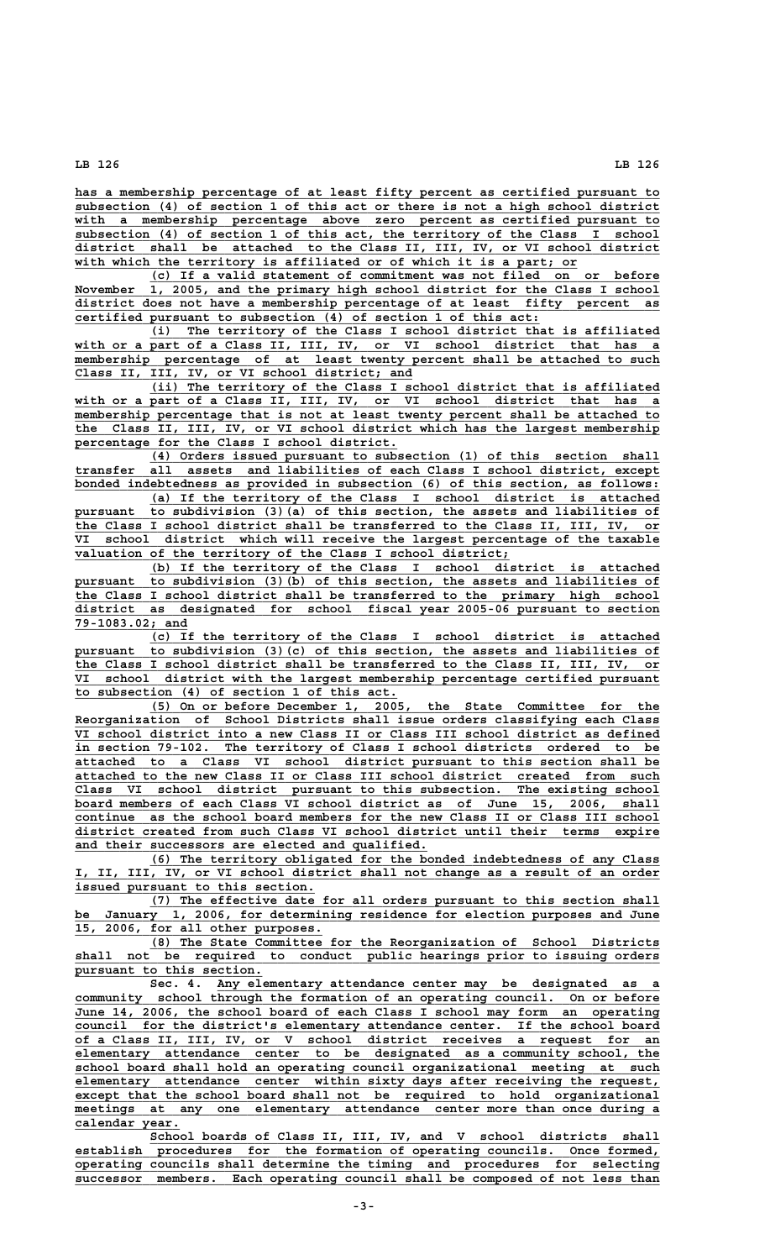**\_\_\_\_\_\_\_\_\_\_\_\_\_\_\_\_\_\_\_\_\_\_\_\_\_\_\_\_\_\_\_\_\_\_\_\_\_\_\_\_\_\_\_\_\_\_\_\_\_\_\_\_\_\_\_\_\_\_\_\_\_\_\_\_\_\_\_\_\_\_\_\_\_\_\_\_\_\_ has a membership percentage of at least fifty percent as certified pursuant to \_\_\_\_\_\_\_\_\_\_\_\_\_\_\_\_\_\_\_\_\_\_\_\_\_\_\_\_\_\_\_\_\_\_\_\_\_\_\_\_\_\_\_\_\_\_\_\_\_\_\_\_\_\_\_\_\_\_\_\_\_\_\_\_\_\_\_\_\_\_\_\_\_\_\_\_\_\_ subsection (4) of section 1 of this act or there is not a high school district \_\_\_\_\_\_\_\_\_\_\_\_\_\_\_\_\_\_\_\_\_\_\_\_\_\_\_\_\_\_\_\_\_\_\_\_\_\_\_\_\_\_\_\_\_\_\_\_\_\_\_\_\_\_\_\_\_\_\_\_\_\_\_\_\_\_\_\_\_\_\_\_\_\_\_\_\_\_ with a membership percentage above zero percent as certified pursuant to \_\_\_\_\_\_\_\_\_\_\_\_\_\_\_\_\_\_\_\_\_\_\_\_\_\_\_\_\_\_\_\_\_\_\_\_\_\_\_\_\_\_\_\_\_\_\_\_\_\_\_\_\_\_\_\_\_\_\_\_\_\_\_\_\_\_\_\_\_\_\_\_\_\_\_\_\_\_ subsection (4) of section 1 of this act, the territory of the Class I school \_\_\_\_\_\_\_\_\_\_\_\_\_\_\_\_\_\_\_\_\_\_\_\_\_\_\_\_\_\_\_\_\_\_\_\_\_\_\_\_\_\_\_\_\_\_\_\_\_\_\_\_\_\_\_\_\_\_\_\_\_\_\_\_\_\_\_\_\_\_\_\_\_\_\_\_\_\_ district shall be attached to the Class II, III, IV, or VI school district** with which the territory is affiliated or of which it is a part; or

 **\_\_\_\_\_\_\_\_\_\_\_\_\_\_\_\_\_\_\_\_\_\_\_\_\_\_\_\_\_\_\_\_\_\_\_\_\_\_\_\_\_\_\_\_\_\_\_\_\_\_\_\_\_\_\_\_\_\_\_\_\_\_\_\_\_\_\_\_ (c) If a valid statement of commitment was not filed on or before** November  $\overline{1, 2005, 111}$  and the primary high school district for the Class I school  **\_\_\_\_\_\_\_\_\_\_\_\_\_\_\_\_\_\_\_\_\_\_\_\_\_\_\_\_\_\_\_\_\_\_\_\_\_\_\_\_\_\_\_\_\_\_\_\_\_\_\_\_\_\_\_\_\_\_\_\_\_\_\_\_\_\_\_\_\_\_\_\_\_\_\_\_\_\_ district does not have a membership percentage of at least fifty percent as \_\_\_\_\_\_\_\_\_\_\_\_\_\_\_\_\_\_\_\_\_\_\_\_\_\_\_\_\_\_\_\_\_\_\_\_\_\_\_\_\_\_\_\_\_\_\_\_\_\_\_\_\_\_\_\_\_\_\_\_\_\_ certified pursuant to subsection (4) of section 1 of this act:**

 **\_\_\_\_\_\_\_\_\_\_\_\_\_\_\_\_\_\_\_\_\_\_\_\_\_\_\_\_\_\_\_\_\_\_\_\_\_\_\_\_\_\_\_\_\_\_\_\_\_\_\_\_\_\_\_\_\_\_\_\_\_\_\_\_\_\_\_\_ (i) The territory of the Class I school district that is affiliated** with or a part of a Class II, III, IV, or VI school district that has a  **\_\_\_\_\_\_\_\_\_\_\_\_\_\_\_\_\_\_\_\_\_\_\_\_\_\_\_\_\_\_\_\_\_\_\_\_\_\_\_\_\_\_\_\_\_\_\_\_\_\_\_\_\_\_\_\_\_\_\_\_\_\_\_\_\_\_\_\_\_\_\_\_\_\_\_\_\_\_ membership percentage of at least twenty percent shall be attached to such \_\_\_\_\_\_\_\_\_\_\_\_\_\_\_\_\_\_\_\_\_\_\_\_\_\_\_\_\_\_\_\_\_\_\_\_\_\_\_\_\_\_\_\_\_ Class II, III, IV, or VI school district; and**

 **\_\_\_\_\_\_\_\_\_\_\_\_\_\_\_\_\_\_\_\_\_\_\_\_\_\_\_\_\_\_\_\_\_\_\_\_\_\_\_\_\_\_\_\_\_\_\_\_\_\_\_\_\_\_\_\_\_\_\_\_\_\_\_\_\_\_\_\_ (ii) The territory of the Class I school district that is affiliated** with or a part of a Class II, III, IV, or VI school district that has a  $\overline{\text{membership}}$  percentage that is not at least twenty percent shall be attached to  **\_\_\_\_\_\_\_\_\_\_\_\_\_\_\_\_\_\_\_\_\_\_\_\_\_\_\_\_\_\_\_\_\_\_\_\_\_\_\_\_\_\_\_\_\_\_\_\_\_\_\_\_\_\_\_\_\_\_\_\_\_\_\_\_\_\_\_\_\_\_\_\_\_\_\_\_\_\_ the Class II, III, IV, or VI school district which has the largest membership \_\_\_\_\_\_\_\_\_\_\_\_\_\_\_\_\_\_\_\_\_\_\_\_\_\_\_\_\_\_\_\_\_\_\_\_\_\_\_\_\_\_\_ percentage for the Class I school district.**

 **\_\_\_\_\_\_\_\_\_\_\_\_\_\_\_\_\_\_\_\_\_\_\_\_\_\_\_\_\_\_\_\_\_\_\_\_\_\_\_\_\_\_\_\_\_\_\_\_\_\_\_\_\_\_\_\_\_\_\_\_\_\_\_\_\_\_\_\_ (4) Orders issued pursuant to subsection (1) of this section shall \_\_\_\_\_\_\_\_\_\_\_\_\_\_\_\_\_\_\_\_\_\_\_\_\_\_\_\_\_\_\_\_\_\_\_\_\_\_\_\_\_\_\_\_\_\_\_\_\_\_\_\_\_\_\_\_\_\_\_\_\_\_\_\_\_\_\_\_\_\_\_\_\_\_\_\_\_\_ transfer all assets and liabilities of each Class I school district, except** bonded indebtedness as provided in subsection (6) of this section, as follows:

 **\_\_\_\_\_\_\_\_\_\_\_\_\_\_\_\_\_\_\_\_\_\_\_\_\_\_\_\_\_\_\_\_\_\_\_\_\_\_\_\_\_\_\_\_\_\_\_\_\_\_\_\_\_\_\_\_\_\_\_\_\_\_\_\_\_\_\_\_ (a) If the territory of the Class I school district is attached \_\_\_\_\_\_\_\_\_\_\_\_\_\_\_\_\_\_\_\_\_\_\_\_\_\_\_\_\_\_\_\_\_\_\_\_\_\_\_\_\_\_\_\_\_\_\_\_\_\_\_\_\_\_\_\_\_\_\_\_\_\_\_\_\_\_\_\_\_\_\_\_\_\_\_\_\_\_ pursuant to subdivision (3)(a) of this section, the assets and liabilities of \_\_\_\_\_\_\_\_\_\_\_\_\_\_\_\_\_\_\_\_\_\_\_\_\_\_\_\_\_\_\_\_\_\_\_\_\_\_\_\_\_\_\_\_\_\_\_\_\_\_\_\_\_\_\_\_\_\_\_\_\_\_\_\_\_\_\_\_\_\_\_\_\_\_\_\_\_\_ the Class I school district shall be transferred to the Class II, III, IV, or \_\_\_\_\_\_\_\_\_\_\_\_\_\_\_\_\_\_\_\_\_\_\_\_\_\_\_\_\_\_\_\_\_\_\_\_\_\_\_\_\_\_\_\_\_\_\_\_\_\_\_\_\_\_\_\_\_\_\_\_\_\_\_\_\_\_\_\_\_\_\_\_\_\_\_\_\_\_ VI school district which will receive the largest percentage of the taxable** valuation of the territory of the Class I school district;

 **\_\_\_\_\_\_\_\_\_\_\_\_\_\_\_\_\_\_\_\_\_\_\_\_\_\_\_\_\_\_\_\_\_\_\_\_\_\_\_\_\_\_\_\_\_\_\_\_\_\_\_\_\_\_\_\_\_\_\_\_\_\_\_\_\_\_\_\_ (b) If the territory of the Class I school district is attached \_\_\_\_\_\_\_\_\_\_\_\_\_\_\_\_\_\_\_\_\_\_\_\_\_\_\_\_\_\_\_\_\_\_\_\_\_\_\_\_\_\_\_\_\_\_\_\_\_\_\_\_\_\_\_\_\_\_\_\_\_\_\_\_\_\_\_\_\_\_\_\_\_\_\_\_\_\_ pursuant to subdivision (3)(b) of this section, the assets and liabilities of \_\_\_\_\_\_\_\_\_\_\_\_\_\_\_\_\_\_\_\_\_\_\_\_\_\_\_\_\_\_\_\_\_\_\_\_\_\_\_\_\_\_\_\_\_\_\_\_\_\_\_\_\_\_\_\_\_\_\_\_\_\_\_\_\_\_\_\_\_\_\_\_\_\_\_\_\_\_ the Class I school district shall be transferred to the primary high school \_\_\_\_\_\_\_\_\_\_\_\_\_\_\_\_\_\_\_\_\_\_\_\_\_\_\_\_\_\_\_\_\_\_\_\_\_\_\_\_\_\_\_\_\_\_\_\_\_\_\_\_\_\_\_\_\_\_\_\_\_\_\_\_\_\_\_\_\_\_\_\_\_\_\_\_\_\_ district as designated for school fiscal year 2005-06 pursuant to section 79-1083.02; and \_\_\_\_\_\_\_\_\_\_\_\_\_\_\_**

 **\_\_\_\_\_\_\_\_\_\_\_\_\_\_\_\_\_\_\_\_\_\_\_\_\_\_\_\_\_\_\_\_\_\_\_\_\_\_\_\_\_\_\_\_\_\_\_\_\_\_\_\_\_\_\_\_\_\_\_\_\_\_\_\_\_\_\_\_ (c) If the territory of the Class I school district is attached \_\_\_\_\_\_\_\_\_\_\_\_\_\_\_\_\_\_\_\_\_\_\_\_\_\_\_\_\_\_\_\_\_\_\_\_\_\_\_\_\_\_\_\_\_\_\_\_\_\_\_\_\_\_\_\_\_\_\_\_\_\_\_\_\_\_\_\_\_\_\_\_\_\_\_\_\_\_ pursuant to subdivision (3)(c) of this section, the assets and liabilities of \_\_\_\_\_\_\_\_\_\_\_\_\_\_\_\_\_\_\_\_\_\_\_\_\_\_\_\_\_\_\_\_\_\_\_\_\_\_\_\_\_\_\_\_\_\_\_\_\_\_\_\_\_\_\_\_\_\_\_\_\_\_\_\_\_\_\_\_\_\_\_\_\_\_\_\_\_\_ the Class I school district shall be transferred to the Class II, III, IV, or \_\_\_\_\_\_\_\_\_\_\_\_\_\_\_\_\_\_\_\_\_\_\_\_\_\_\_\_\_\_\_\_\_\_\_\_\_\_\_\_\_\_\_\_\_\_\_\_\_\_\_\_\_\_\_\_\_\_\_\_\_\_\_\_\_\_\_\_\_\_\_\_\_\_\_\_\_\_ VI school district with the largest membership percentage certified pursuant \_\_\_\_\_\_\_\_\_\_\_\_\_\_\_\_\_\_\_\_\_\_\_\_\_\_\_\_\_\_\_\_\_\_\_\_\_\_\_\_\_\_\_ to subsection (4) of section 1 of this act.**

 **\_\_\_\_\_\_\_\_\_\_\_\_\_\_\_\_\_\_\_\_\_\_\_\_\_\_\_\_\_\_\_\_\_\_\_\_\_\_\_\_\_\_\_\_\_\_\_\_\_\_\_\_\_\_\_\_\_\_\_\_\_\_\_\_\_\_\_\_ (5) On or before December 1, 2005, the State Committee for the \_\_\_\_\_\_\_\_\_\_\_\_\_\_\_\_\_\_\_\_\_\_\_\_\_\_\_\_\_\_\_\_\_\_\_\_\_\_\_\_\_\_\_\_\_\_\_\_\_\_\_\_\_\_\_\_\_\_\_\_\_\_\_\_\_\_\_\_\_\_\_\_\_\_\_\_\_\_ Reorganization of School Districts shall issue orders classifying each Class \_\_\_\_\_\_\_\_\_\_\_\_\_\_\_\_\_\_\_\_\_\_\_\_\_\_\_\_\_\_\_\_\_\_\_\_\_\_\_\_\_\_\_\_\_\_\_\_\_\_\_\_\_\_\_\_\_\_\_\_\_\_\_\_\_\_\_\_\_\_\_\_\_\_\_\_\_\_ VI school district into a new Class II or Class III school district as defined \_\_\_\_\_\_\_\_\_\_\_\_\_\_\_\_\_\_\_\_\_\_\_\_\_\_\_\_\_\_\_\_\_\_\_\_\_\_\_\_\_\_\_\_\_\_\_\_\_\_\_\_\_\_\_\_\_\_\_\_\_\_\_\_\_\_\_\_\_\_\_\_\_\_\_\_\_\_ in section 79-102. The territory of Class I school districts ordered to be \_\_\_\_\_\_\_\_\_\_\_\_\_\_\_\_\_\_\_\_\_\_\_\_\_\_\_\_\_\_\_\_\_\_\_\_\_\_\_\_\_\_\_\_\_\_\_\_\_\_\_\_\_\_\_\_\_\_\_\_\_\_\_\_\_\_\_\_\_\_\_\_\_\_\_\_\_\_ attached to a Class VI school district pursuant to this section shall be \_\_\_\_\_\_\_\_\_\_\_\_\_\_\_\_\_\_\_\_\_\_\_\_\_\_\_\_\_\_\_\_\_\_\_\_\_\_\_\_\_\_\_\_\_\_\_\_\_\_\_\_\_\_\_\_\_\_\_\_\_\_\_\_\_\_\_\_\_\_\_\_\_\_\_\_\_\_ attached to the new Class II or Class III school district created from such \_\_\_\_\_\_\_\_\_\_\_\_\_\_\_\_\_\_\_\_\_\_\_\_\_\_\_\_\_\_\_\_\_\_\_\_\_\_\_\_\_\_\_\_\_\_\_\_\_\_\_\_\_\_\_\_\_\_\_\_\_\_\_\_\_\_\_\_\_\_\_\_\_\_\_\_\_\_ Class VI school district pursuant to this subsection. The existing school \_\_\_\_\_\_\_\_\_\_\_\_\_\_\_\_\_\_\_\_\_\_\_\_\_\_\_\_\_\_\_\_\_\_\_\_\_\_\_\_\_\_\_\_\_\_\_\_\_\_\_\_\_\_\_\_\_\_\_\_\_\_\_\_\_\_\_\_\_\_\_\_\_\_\_\_\_\_ board members of each Class VI school district as of June 15, 2006, shall** continue as the school board members for the new Class II or Class III school  **\_\_\_\_\_\_\_\_\_\_\_\_\_\_\_\_\_\_\_\_\_\_\_\_\_\_\_\_\_\_\_\_\_\_\_\_\_\_\_\_\_\_\_\_\_\_\_\_\_\_\_\_\_\_\_\_\_\_\_\_\_\_\_\_\_\_\_\_\_\_\_\_\_\_\_\_\_\_ district created from such Class VI school district until their terms expire \_\_\_\_\_\_\_\_\_\_\_\_\_\_\_\_\_\_\_\_\_\_\_\_\_\_\_\_\_\_\_\_\_\_\_\_\_\_\_\_\_\_\_\_\_\_\_ and their successors are elected and qualified.**

 **\_\_\_\_\_\_\_\_\_\_\_\_\_\_\_\_\_\_\_\_\_\_\_\_\_\_\_\_\_\_\_\_\_\_\_\_\_\_\_\_\_\_\_\_\_\_\_\_\_\_\_\_\_\_\_\_\_\_\_\_\_\_\_\_\_\_\_\_ (6) The territory obligated for the bonded indebtedness of any Class \_\_\_\_\_\_\_\_\_\_\_\_\_\_\_\_\_\_\_\_\_\_\_\_\_\_\_\_\_\_\_\_\_\_\_\_\_\_\_\_\_\_\_\_\_\_\_\_\_\_\_\_\_\_\_\_\_\_\_\_\_\_\_\_\_\_\_\_\_\_\_\_\_\_\_\_\_\_ I, II, III, IV, or VI school district shall not change as a result of an order \_\_\_\_\_\_\_\_\_\_\_\_\_\_\_\_\_\_\_\_\_\_\_\_\_\_\_\_\_\_\_\_ issued pursuant to this section.**

 **\_\_\_\_\_\_\_\_\_\_\_\_\_\_\_\_\_\_\_\_\_\_\_\_\_\_\_\_\_\_\_\_\_\_\_\_\_\_\_\_\_\_\_\_\_\_\_\_\_\_\_\_\_\_\_\_\_\_\_\_\_\_\_\_\_\_\_\_ (7) The effective date for all orders pursuant to this section shall** be January 1, 2006, for determining residence for election purposes and June  **\_\_\_\_\_\_\_\_\_\_\_\_\_\_\_\_\_\_\_\_\_\_\_\_\_\_\_\_\_\_\_\_\_ 15, 2006, for all other purposes.**

 **\_\_\_\_\_\_\_\_\_\_\_\_\_\_\_\_\_\_\_\_\_\_\_\_\_\_\_\_\_\_\_\_\_\_\_\_\_\_\_\_\_\_\_\_\_\_\_\_\_\_\_\_\_\_\_\_\_\_\_\_\_\_\_\_\_\_\_\_ (8) The State Committee for the Reorganization of School Districts \_\_\_\_\_\_\_\_\_\_\_\_\_\_\_\_\_\_\_\_\_\_\_\_\_\_\_\_\_\_\_\_\_\_\_\_\_\_\_\_\_\_\_\_\_\_\_\_\_\_\_\_\_\_\_\_\_\_\_\_\_\_\_\_\_\_\_\_\_\_\_\_\_\_\_\_\_\_ shall not be required to conduct public hearings prior to issuing orders \_\_\_\_\_\_\_\_\_\_\_\_\_\_\_\_\_\_\_\_\_\_\_\_\_ pursuant to this section.**

 **\_\_\_\_\_\_\_\_\_\_\_\_\_\_\_\_\_\_\_\_\_\_\_\_\_\_\_\_\_\_\_\_\_\_\_\_\_\_\_\_\_\_\_\_\_\_\_\_\_\_\_\_\_\_\_\_\_\_\_ Sec. 4. Any elementary attendance center may be designated as a \_\_\_\_\_\_\_\_\_\_\_\_\_\_\_\_\_\_\_\_\_\_\_\_\_\_\_\_\_\_\_\_\_\_\_\_\_\_\_\_\_\_\_\_\_\_\_\_\_\_\_\_\_\_\_\_\_\_\_\_\_\_\_\_\_\_\_\_\_\_\_\_\_\_\_\_\_\_ community school through the formation of an operating council. On or before \_\_\_\_\_\_\_\_\_\_\_\_\_\_\_\_\_\_\_\_\_\_\_\_\_\_\_\_\_\_\_\_\_\_\_\_\_\_\_\_\_\_\_\_\_\_\_\_\_\_\_\_\_\_\_\_\_\_\_\_\_\_\_\_\_\_\_\_\_\_\_\_\_\_\_\_\_\_ June 14, 2006, the school board of each Class I school may form an operating \_\_\_\_\_\_\_\_\_\_\_\_\_\_\_\_\_\_\_\_\_\_\_\_\_\_\_\_\_\_\_\_\_\_\_\_\_\_\_\_\_\_\_\_\_\_\_\_\_\_\_\_\_\_\_\_\_\_\_\_\_\_\_\_\_\_\_\_\_\_\_\_\_\_\_\_\_\_ council for the district's elementary attendance center. If the school board \_\_\_\_\_\_\_\_\_\_\_\_\_\_\_\_\_\_\_\_\_\_\_\_\_\_\_\_\_\_\_\_\_\_\_\_\_\_\_\_\_\_\_\_\_\_\_\_\_\_\_\_\_\_\_\_\_\_\_\_\_\_\_\_\_\_\_\_\_\_\_\_\_\_\_\_\_\_ of a Class II, III, IV, or V school district receives a request for an \_\_\_\_\_\_\_\_\_\_\_\_\_\_\_\_\_\_\_\_\_\_\_\_\_\_\_\_\_\_\_\_\_\_\_\_\_\_\_\_\_\_\_\_\_\_\_\_\_\_\_\_\_\_\_\_\_\_\_\_\_\_\_\_\_\_\_\_\_\_\_\_\_\_\_\_\_\_ elementary attendance center to be designated as a community school, the \_\_\_\_\_\_\_\_\_\_\_\_\_\_\_\_\_\_\_\_\_\_\_\_\_\_\_\_\_\_\_\_\_\_\_\_\_\_\_\_\_\_\_\_\_\_\_\_\_\_\_\_\_\_\_\_\_\_\_\_\_\_\_\_\_\_\_\_\_\_\_\_\_\_\_\_\_\_ school board shall hold an operating council organizational meeting at such \_\_\_\_\_\_\_\_\_\_\_\_\_\_\_\_\_\_\_\_\_\_\_\_\_\_\_\_\_\_\_\_\_\_\_\_\_\_\_\_\_\_\_\_\_\_\_\_\_\_\_\_\_\_\_\_\_\_\_\_\_\_\_\_\_\_\_\_\_\_\_\_\_\_\_\_\_\_ elementary attendance center within sixty days after receiving the request,** except that the school board shall not be required to hold organizational  $meetings$  at any one elementary attendance center more than once during a  **calendar year. \_\_\_\_\_\_\_\_\_\_\_\_\_\_**

**Example 3** School boards of Class II, III, IV, and V school districts shall<br>establish procedures for the formation of operating councils. Once formed.  **\_\_\_\_\_\_\_\_\_\_\_\_\_\_\_\_\_\_\_\_\_\_\_\_\_\_\_\_\_\_\_\_\_\_\_\_\_\_\_\_\_\_\_\_\_\_\_\_\_\_\_\_\_\_\_\_\_\_\_\_\_\_\_\_\_\_\_\_\_\_\_\_\_\_\_\_\_\_ establish procedures for the formation of operating councils. Once formed, \_\_\_\_\_\_\_\_\_\_\_\_\_\_\_\_\_\_\_\_\_\_\_\_\_\_\_\_\_\_\_\_\_\_\_\_\_\_\_\_\_\_\_\_\_\_\_\_\_\_\_\_\_\_\_\_\_\_\_\_\_\_\_\_\_\_\_\_\_\_\_\_\_\_\_\_\_\_ operating councils shall determine the timing and procedures for selecting \_\_\_\_\_\_\_\_\_\_\_\_\_\_\_\_\_\_\_\_\_\_\_\_\_\_\_\_\_\_\_\_\_\_\_\_\_\_\_\_\_\_\_\_\_\_\_\_\_\_\_\_\_\_\_\_\_\_\_\_\_\_\_\_\_\_\_\_\_\_\_\_\_\_\_\_\_\_ successor members. Each operating council shall be composed of not less than**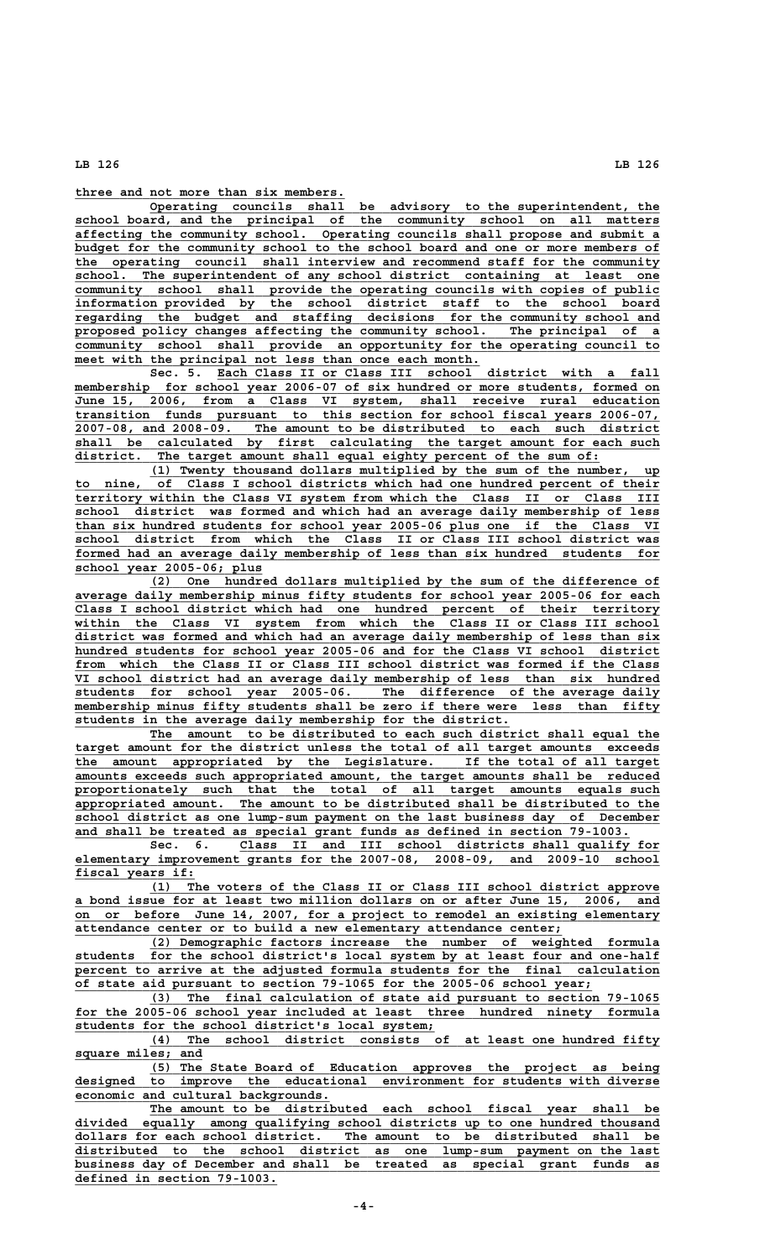**\_\_\_\_\_\_\_\_\_\_\_\_\_\_\_\_\_\_\_\_\_\_\_\_\_\_\_\_\_\_\_\_\_\_\_\_ three and not more than six members.**

 **\_\_\_\_\_\_\_\_\_\_\_\_\_\_\_\_\_\_\_\_\_\_\_\_\_\_\_\_\_\_\_\_\_\_\_\_\_\_\_\_\_\_\_\_\_\_\_\_\_\_\_\_\_\_\_\_\_\_\_\_\_\_\_\_\_\_\_\_ Operating councils shall be advisory to the superintendent, the \_\_\_\_\_\_\_\_\_\_\_\_\_\_\_\_\_\_\_\_\_\_\_\_\_\_\_\_\_\_\_\_\_\_\_\_\_\_\_\_\_\_\_\_\_\_\_\_\_\_\_\_\_\_\_\_\_\_\_\_\_\_\_\_\_\_\_\_\_\_\_\_\_\_\_\_\_\_ school board, and the principal of the community school on all matters \_\_\_\_\_\_\_\_\_\_\_\_\_\_\_\_\_\_\_\_\_\_\_\_\_\_\_\_\_\_\_\_\_\_\_\_\_\_\_\_\_\_\_\_\_\_\_\_\_\_\_\_\_\_\_\_\_\_\_\_\_\_\_\_\_\_\_\_\_\_\_\_\_\_\_\_\_\_ affecting the community school. Operating councils shall propose and submit a \_\_\_\_\_\_\_\_\_\_\_\_\_\_\_\_\_\_\_\_\_\_\_\_\_\_\_\_\_\_\_\_\_\_\_\_\_\_\_\_\_\_\_\_\_\_\_\_\_\_\_\_\_\_\_\_\_\_\_\_\_\_\_\_\_\_\_\_\_\_\_\_\_\_\_\_\_\_ budget for the community school to the school board and one or more members of \_\_\_\_\_\_\_\_\_\_\_\_\_\_\_\_\_\_\_\_\_\_\_\_\_\_\_\_\_\_\_\_\_\_\_\_\_\_\_\_\_\_\_\_\_\_\_\_\_\_\_\_\_\_\_\_\_\_\_\_\_\_\_\_\_\_\_\_\_\_\_\_\_\_\_\_\_\_ the operating council shall interview and recommend staff for the community \_\_\_\_\_\_\_\_\_\_\_\_\_\_\_\_\_\_\_\_\_\_\_\_\_\_\_\_\_\_\_\_\_\_\_\_\_\_\_\_\_\_\_\_\_\_\_\_\_\_\_\_\_\_\_\_\_\_\_\_\_\_\_\_\_\_\_\_\_\_\_\_\_\_\_\_\_\_ school. The superintendent of any school district containing at least one** community school shall provide the operating councils with copies of public  **\_\_\_\_\_\_\_\_\_\_\_\_\_\_\_\_\_\_\_\_\_\_\_\_\_\_\_\_\_\_\_\_\_\_\_\_\_\_\_\_\_\_\_\_\_\_\_\_\_\_\_\_\_\_\_\_\_\_\_\_\_\_\_\_\_\_\_\_\_\_\_\_\_\_\_\_\_\_ information provided by the school district staff to the school board \_\_\_\_\_\_\_\_\_\_\_\_\_\_\_\_\_\_\_\_\_\_\_\_\_\_\_\_\_\_\_\_\_\_\_\_\_\_\_\_\_\_\_\_\_\_\_\_\_\_\_\_\_\_\_\_\_\_\_\_\_\_\_\_\_\_\_\_\_\_\_\_\_\_\_\_\_\_ regarding the budget and staffing decisions for the community school and** proposed policy changes affecting the community school. The principal of a **community** school shall provide an opportunity for the operating council to meet with the principal not less than once each month.

Sec. 5. <u>Each Class II or Class III school district with a fall</u><br>membership for school year 2006-07 of six hundred or more students, formed on for school year 2006-07 of six hundred or more students, formed on  **\_\_\_\_\_\_\_\_\_\_\_\_\_\_\_\_\_\_\_\_\_\_\_\_\_\_\_\_\_\_\_\_\_\_\_\_\_\_\_\_\_\_\_\_\_\_\_\_\_\_\_\_\_\_\_\_\_\_\_\_\_\_\_\_\_\_\_\_\_\_\_\_\_\_\_\_\_\_ June 15, 2006, from a Class VI system, shall receive rural education \_\_\_\_\_\_\_\_\_\_\_\_\_\_\_\_\_\_\_\_\_\_\_\_\_\_\_\_\_\_\_\_\_\_\_\_\_\_\_\_\_\_\_\_\_\_\_\_\_\_\_\_\_\_\_\_\_\_\_\_\_\_\_\_\_\_\_\_\_\_\_\_\_\_\_\_\_\_ transition funds pursuant to this section for school fiscal years 2006-07, \_\_\_\_\_\_\_\_\_\_\_\_\_\_\_\_\_\_\_\_\_\_\_\_\_\_\_\_\_\_\_\_\_\_\_\_\_\_\_\_\_\_\_\_\_\_\_\_\_\_\_\_\_\_\_\_\_\_\_\_\_\_\_\_\_\_\_\_\_\_\_\_\_\_\_\_\_\_ 2007-08, and 2008-09. The amount to be distributed to each such district \_\_\_\_\_\_\_\_\_\_\_\_\_\_\_\_\_\_\_\_\_\_\_\_\_\_\_\_\_\_\_\_\_\_\_\_\_\_\_\_\_\_\_\_\_\_\_\_\_\_\_\_\_\_\_\_\_\_\_\_\_\_\_\_\_\_\_\_\_\_\_\_\_\_\_\_\_\_ shall be calculated by first calculating the target amount for each such**  $distance.$  The target amount shall equal eighty percent of the sum of:

 **\_\_\_\_\_\_\_\_\_\_\_\_\_\_\_\_\_\_\_\_\_\_\_\_\_\_\_\_\_\_\_\_\_\_\_\_\_\_\_\_\_\_\_\_\_\_\_\_\_\_\_\_\_\_\_\_\_\_\_\_\_\_\_\_\_\_\_\_ (1) Twenty thousand dollars multiplied by the sum of the number, up \_\_\_\_\_\_\_\_\_\_\_\_\_\_\_\_\_\_\_\_\_\_\_\_\_\_\_\_\_\_\_\_\_\_\_\_\_\_\_\_\_\_\_\_\_\_\_\_\_\_\_\_\_\_\_\_\_\_\_\_\_\_\_\_\_\_\_\_\_\_\_\_\_\_\_\_\_\_ to nine, of Class I school districts which had one hundred percent of their \_\_\_\_\_\_\_\_\_\_\_\_\_\_\_\_\_\_\_\_\_\_\_\_\_\_\_\_\_\_\_\_\_\_\_\_\_\_\_\_\_\_\_\_\_\_\_\_\_\_\_\_\_\_\_\_\_\_\_\_\_\_\_\_\_\_\_\_\_\_\_\_\_\_\_\_\_\_ territory within the Class VI system from which the Class II or Class III \_\_\_\_\_\_\_\_\_\_\_\_\_\_\_\_\_\_\_\_\_\_\_\_\_\_\_\_\_\_\_\_\_\_\_\_\_\_\_\_\_\_\_\_\_\_\_\_\_\_\_\_\_\_\_\_\_\_\_\_\_\_\_\_\_\_\_\_\_\_\_\_\_\_\_\_\_\_ school district was formed and which had an average daily membership of less \_\_\_\_\_\_\_\_\_\_\_\_\_\_\_\_\_\_\_\_\_\_\_\_\_\_\_\_\_\_\_\_\_\_\_\_\_\_\_\_\_\_\_\_\_\_\_\_\_\_\_\_\_\_\_\_\_\_\_\_\_\_\_\_\_\_\_\_\_\_\_\_\_\_\_\_\_\_ than six hundred students for school year 2005-06 plus one if the Class VI \_\_\_\_\_\_\_\_\_\_\_\_\_\_\_\_\_\_\_\_\_\_\_\_\_\_\_\_\_\_\_\_\_\_\_\_\_\_\_\_\_\_\_\_\_\_\_\_\_\_\_\_\_\_\_\_\_\_\_\_\_\_\_\_\_\_\_\_\_\_\_\_\_\_\_\_\_\_ school district from which the Class II or Class III school district was \_\_\_\_\_\_\_\_\_\_\_\_\_\_\_\_\_\_\_\_\_\_\_\_\_\_\_\_\_\_\_\_\_\_\_\_\_\_\_\_\_\_\_\_\_\_\_\_\_\_\_\_\_\_\_\_\_\_\_\_\_\_\_\_\_\_\_\_\_\_\_\_\_\_\_\_\_\_ formed had an average daily membership of less than six hundred students for \_\_\_\_\_\_\_\_\_\_\_\_\_\_\_\_\_\_\_\_\_\_\_\_\_ school year 2005-06; plus**

 **\_\_\_\_\_\_\_\_\_\_\_\_\_\_\_\_\_\_\_\_\_\_\_\_\_\_\_\_\_\_\_\_\_\_\_\_\_\_\_\_\_\_\_\_\_\_\_\_\_\_\_\_\_\_\_\_\_\_\_\_\_\_\_\_\_\_\_\_ (2) One hundred dollars multiplied by the sum of the difference of \_\_\_\_\_\_\_\_\_\_\_\_\_\_\_\_\_\_\_\_\_\_\_\_\_\_\_\_\_\_\_\_\_\_\_\_\_\_\_\_\_\_\_\_\_\_\_\_\_\_\_\_\_\_\_\_\_\_\_\_\_\_\_\_\_\_\_\_\_\_\_\_\_\_\_\_\_\_ average daily membership minus fifty students for school year 2005-06 for each \_\_\_\_\_\_\_\_\_\_\_\_\_\_\_\_\_\_\_\_\_\_\_\_\_\_\_\_\_\_\_\_\_\_\_\_\_\_\_\_\_\_\_\_\_\_\_\_\_\_\_\_\_\_\_\_\_\_\_\_\_\_\_\_\_\_\_\_\_\_\_\_\_\_\_\_\_\_ Class I school district which had one hundred percent of their territory \_\_\_\_\_\_\_\_\_\_\_\_\_\_\_\_\_\_\_\_\_\_\_\_\_\_\_\_\_\_\_\_\_\_\_\_\_\_\_\_\_\_\_\_\_\_\_\_\_\_\_\_\_\_\_\_\_\_\_\_\_\_\_\_\_\_\_\_\_\_\_\_\_\_\_\_\_\_ within the Class VI system from which the Class II or Class III school \_\_\_\_\_\_\_\_\_\_\_\_\_\_\_\_\_\_\_\_\_\_\_\_\_\_\_\_\_\_\_\_\_\_\_\_\_\_\_\_\_\_\_\_\_\_\_\_\_\_\_\_\_\_\_\_\_\_\_\_\_\_\_\_\_\_\_\_\_\_\_\_\_\_\_\_\_\_ district was formed and which had an average daily membership of less than six** hundred students for school year 2005-06 and for the Class VI school district  **\_\_\_\_\_\_\_\_\_\_\_\_\_\_\_\_\_\_\_\_\_\_\_\_\_\_\_\_\_\_\_\_\_\_\_\_\_\_\_\_\_\_\_\_\_\_\_\_\_\_\_\_\_\_\_\_\_\_\_\_\_\_\_\_\_\_\_\_\_\_\_\_\_\_\_\_\_\_ from which the Class II or Class III school district was formed if the Class \_\_\_\_\_\_\_\_\_\_\_\_\_\_\_\_\_\_\_\_\_\_\_\_\_\_\_\_\_\_\_\_\_\_\_\_\_\_\_\_\_\_\_\_\_\_\_\_\_\_\_\_\_\_\_\_\_\_\_\_\_\_\_\_\_\_\_\_\_\_\_\_\_\_\_\_\_\_ VI school district had an average daily membership of less than six hundred \_\_\_\_\_\_\_\_\_\_\_\_\_\_\_\_\_\_\_\_\_\_\_\_\_\_\_\_\_\_\_\_\_\_\_\_\_\_\_\_\_\_\_\_\_\_\_\_\_\_\_\_\_\_\_\_\_\_\_\_\_\_\_\_\_\_\_\_\_\_\_\_\_\_\_\_\_\_ students for school year 2005-06. The difference of the average daily \_\_\_\_\_\_\_\_\_\_\_\_\_\_\_\_\_\_\_\_\_\_\_\_\_\_\_\_\_\_\_\_\_\_\_\_\_\_\_\_\_\_\_\_\_\_\_\_\_\_\_\_\_\_\_\_\_\_\_\_\_\_\_\_\_\_\_\_\_\_\_\_\_\_\_\_\_\_ membership minus fifty students shall be zero if there were less than fifty \_\_\_\_\_\_\_\_\_\_\_\_\_\_\_\_\_\_\_\_\_\_\_\_\_\_\_\_\_\_\_\_\_\_\_\_\_\_\_\_\_\_\_\_\_\_\_\_\_\_\_\_\_\_\_\_\_\_ students in the average daily membership for the district.**

 **\_\_\_\_\_\_\_\_\_\_\_\_\_\_\_\_\_\_\_\_\_\_\_\_\_\_\_\_\_\_\_\_\_\_\_\_\_\_\_\_\_\_\_\_\_\_\_\_\_\_\_\_\_\_\_\_\_\_\_\_\_\_\_\_\_\_\_\_ The amount to be distributed to each such district shall equal the** target amount for the district unless the total of all target amounts exceeds  **\_\_\_\_\_\_\_\_\_\_\_\_\_\_\_\_\_\_\_\_\_\_\_\_\_\_\_\_\_\_\_\_\_\_\_\_\_\_\_\_\_\_\_\_\_\_\_\_\_\_\_\_\_\_\_\_\_\_\_\_\_\_\_\_\_\_\_\_\_\_\_\_\_\_\_\_\_\_ the amount appropriated by the Legislature. If the total of all target \_\_\_\_\_\_\_\_\_\_\_\_\_\_\_\_\_\_\_\_\_\_\_\_\_\_\_\_\_\_\_\_\_\_\_\_\_\_\_\_\_\_\_\_\_\_\_\_\_\_\_\_\_\_\_\_\_\_\_\_\_\_\_\_\_\_\_\_\_\_\_\_\_\_\_\_\_\_ amounts exceeds such appropriated amount, the target amounts shall be reduced \_\_\_\_\_\_\_\_\_\_\_\_\_\_\_\_\_\_\_\_\_\_\_\_\_\_\_\_\_\_\_\_\_\_\_\_\_\_\_\_\_\_\_\_\_\_\_\_\_\_\_\_\_\_\_\_\_\_\_\_\_\_\_\_\_\_\_\_\_\_\_\_\_\_\_\_\_\_ proportionately such that the total of all target amounts equals such \_\_\_\_\_\_\_\_\_\_\_\_\_\_\_\_\_\_\_\_\_\_\_\_\_\_\_\_\_\_\_\_\_\_\_\_\_\_\_\_\_\_\_\_\_\_\_\_\_\_\_\_\_\_\_\_\_\_\_\_\_\_\_\_\_\_\_\_\_\_\_\_\_\_\_\_\_\_ appropriated amount. The amount to be distributed shall be distributed to the \_\_\_\_\_\_\_\_\_\_\_\_\_\_\_\_\_\_\_\_\_\_\_\_\_\_\_\_\_\_\_\_\_\_\_\_\_\_\_\_\_\_\_\_\_\_\_\_\_\_\_\_\_\_\_\_\_\_\_\_\_\_\_\_\_\_\_\_\_\_\_\_\_\_\_\_\_\_ school district as one lump-sum payment on the last business day of December \_\_\_\_\_\_\_\_\_\_\_\_\_\_\_\_\_\_\_\_\_\_\_\_\_\_\_\_\_\_\_\_\_\_\_\_\_\_\_\_\_\_\_\_\_\_\_\_\_\_\_\_\_\_\_\_\_\_\_\_\_\_\_\_\_\_\_\_\_\_\_\_\_\_ and shall be treated as special grant funds as defined in section 79-1003.**

 **\_\_\_\_\_\_\_\_\_\_\_\_\_\_\_\_\_\_\_\_\_\_\_\_\_\_\_\_\_\_\_\_\_\_\_\_\_\_\_\_\_\_\_\_\_\_\_\_\_\_\_\_\_\_\_\_ Sec. 6. Class II and III school districts shall qualify for \_\_\_\_\_\_\_\_\_\_\_\_\_\_\_\_\_\_\_\_\_\_\_\_\_\_\_\_\_\_\_\_\_\_\_\_\_\_\_\_\_\_\_\_\_\_\_\_\_\_\_\_\_\_\_\_\_\_\_\_\_\_\_\_\_\_\_\_\_\_\_\_\_\_\_\_\_\_ elementary improvement grants for the 2007-08, 2008-09, and 2009-10 school \_\_\_\_\_\_\_\_\_\_\_\_\_\_\_\_ fiscal years if:**

 **\_\_\_\_\_\_\_\_\_\_\_\_\_\_\_\_\_\_\_\_\_\_\_\_\_\_\_\_\_\_\_\_\_\_\_\_\_\_\_\_\_\_\_\_\_\_\_\_\_\_\_\_\_\_\_\_\_\_\_\_\_\_\_\_\_\_\_\_ (1) The voters of the Class II or Class III school district approve \_\_\_\_\_\_\_\_\_\_\_\_\_\_\_\_\_\_\_\_\_\_\_\_\_\_\_\_\_\_\_\_\_\_\_\_\_\_\_\_\_\_\_\_\_\_\_\_\_\_\_\_\_\_\_\_\_\_\_\_\_\_\_\_\_\_\_\_\_\_\_\_\_\_\_\_\_\_ a bond issue for at least two million dollars on or after June 15, 2006, and \_\_\_\_\_\_\_\_\_\_\_\_\_\_\_\_\_\_\_\_\_\_\_\_\_\_\_\_\_\_\_\_\_\_\_\_\_\_\_\_\_\_\_\_\_\_\_\_\_\_\_\_\_\_\_\_\_\_\_\_\_\_\_\_\_\_\_\_\_\_\_\_\_\_\_\_\_\_ on or before June 14, 2007, for a project to remodel an existing elementary \_\_\_\_\_\_\_\_\_\_\_\_\_\_\_\_\_\_\_\_\_\_\_\_\_\_\_\_\_\_\_\_\_\_\_\_\_\_\_\_\_\_\_\_\_\_\_\_\_\_\_\_\_\_\_\_\_\_\_\_\_\_\_\_\_ attendance center or to build a new elementary attendance center;**

 **\_\_\_\_\_\_\_\_\_\_\_\_\_\_\_\_\_\_\_\_\_\_\_\_\_\_\_\_\_\_\_\_\_\_\_\_\_\_\_\_\_\_\_\_\_\_\_\_\_\_\_\_\_\_\_\_\_\_\_\_\_\_\_\_\_\_\_\_ (2) Demographic factors increase the number of weighted formula \_\_\_\_\_\_\_\_\_\_\_\_\_\_\_\_\_\_\_\_\_\_\_\_\_\_\_\_\_\_\_\_\_\_\_\_\_\_\_\_\_\_\_\_\_\_\_\_\_\_\_\_\_\_\_\_\_\_\_\_\_\_\_\_\_\_\_\_\_\_\_\_\_\_\_\_\_\_ students for the school district's local system by at least four and one-half \_\_\_\_\_\_\_\_\_\_\_\_\_\_\_\_\_\_\_\_\_\_\_\_\_\_\_\_\_\_\_\_\_\_\_\_\_\_\_\_\_\_\_\_\_\_\_\_\_\_\_\_\_\_\_\_\_\_\_\_\_\_\_\_\_\_\_\_\_\_\_\_\_\_\_\_\_\_ percent to arrive at the adjusted formula students for the final calculation \_\_\_\_\_\_\_\_\_\_\_\_\_\_\_\_\_\_\_\_\_\_\_\_\_\_\_\_\_\_\_\_\_\_\_\_\_\_\_\_\_\_\_\_\_\_\_\_\_\_\_\_\_\_\_\_\_\_\_\_\_\_\_\_\_\_\_\_\_ of state aid pursuant to section 79-1065 for the 2005-06 school year;**

 **\_\_\_\_\_\_\_\_\_\_\_\_\_\_\_\_\_\_\_\_\_\_\_\_\_\_\_\_\_\_\_\_\_\_\_\_\_\_\_\_\_\_\_\_\_\_\_\_\_\_\_\_\_\_\_\_\_\_\_\_\_\_\_\_\_\_\_\_ (3) The final calculation of state aid pursuant to section 79-1065** for the 2005-06 school year included at least three hundred ninety formula  **\_\_\_\_\_\_\_\_\_\_\_\_\_\_\_\_\_\_\_\_\_\_\_\_\_\_\_\_\_\_\_\_\_\_\_\_\_\_\_\_\_\_\_\_\_\_\_\_ students for the school district's local system;**

 **\_\_\_\_\_\_\_\_\_\_\_\_\_\_\_\_\_\_\_\_\_\_\_\_\_\_\_\_\_\_\_\_\_\_\_\_\_\_\_\_\_\_\_\_\_\_\_\_\_\_\_\_\_\_\_\_\_\_\_\_\_\_\_\_\_\_\_\_ (4) The school district consists of at least one hundred fifty \_\_\_\_\_\_\_\_\_\_\_\_\_\_\_\_\_ square miles; and**

 **\_\_\_\_\_\_\_\_\_\_\_\_\_\_\_\_\_\_\_\_\_\_\_\_\_\_\_\_\_\_\_\_\_\_\_\_\_\_\_\_\_\_\_\_\_\_\_\_\_\_\_\_\_\_\_\_\_\_\_\_\_\_\_\_\_\_\_\_ (5) The State Board of Education approves the project as being \_\_\_\_\_\_\_\_\_\_\_\_\_\_\_\_\_\_\_\_\_\_\_\_\_\_\_\_\_\_\_\_\_\_\_\_\_\_\_\_\_\_\_\_\_\_\_\_\_\_\_\_\_\_\_\_\_\_\_\_\_\_\_\_\_\_\_\_\_\_\_\_\_\_\_\_\_\_ designed to improve the educational environment for students with diverse \_\_\_\_\_\_\_\_\_\_\_\_\_\_\_\_\_\_\_\_\_\_\_\_\_\_\_\_\_\_\_\_\_\_ economic and cultural backgrounds.**

The amount to be distributed each school fiscal year shall be  **\_\_\_\_\_\_\_\_\_\_\_\_\_\_\_\_\_\_\_\_\_\_\_\_\_\_\_\_\_\_\_\_\_\_\_\_\_\_\_\_\_\_\_\_\_\_\_\_\_\_\_\_\_\_\_\_\_\_\_\_\_\_\_\_\_\_\_\_\_\_\_\_\_\_\_\_\_\_ divided equally among qualifying school districts up to one hundred thousand \_\_\_\_\_\_\_\_\_\_\_\_\_\_\_\_\_\_\_\_\_\_\_\_\_\_\_\_\_\_\_\_\_\_\_\_\_\_\_\_\_\_\_\_\_\_\_\_\_\_\_\_\_\_\_\_\_\_\_\_\_\_\_\_\_\_\_\_\_\_\_\_\_\_\_\_\_\_ dollars for each school district. The amount to be distributed shall be \_\_\_\_\_\_\_\_\_\_\_\_\_\_\_\_\_\_\_\_\_\_\_\_\_\_\_\_\_\_\_\_\_\_\_\_\_\_\_\_\_\_\_\_\_\_\_\_\_\_\_\_\_\_\_\_\_\_\_\_\_\_\_\_\_\_\_\_\_\_\_\_\_\_\_\_\_\_ distributed to the school district as one lump-sum payment on the last \_\_\_\_\_\_\_\_\_\_\_\_\_\_\_\_\_\_\_\_\_\_\_\_\_\_\_\_\_\_\_\_\_\_\_\_\_\_\_\_\_\_\_\_\_\_\_\_\_\_\_\_\_\_\_\_\_\_\_\_\_\_\_\_\_\_\_\_\_\_\_\_\_\_\_\_\_\_ business day of December and shall be treated as special grant funds as \_\_\_\_\_\_\_\_\_\_\_\_\_\_\_\_\_\_\_\_\_\_\_\_\_\_\_ defined in section 79-1003.**

 **LB 126 LB 126**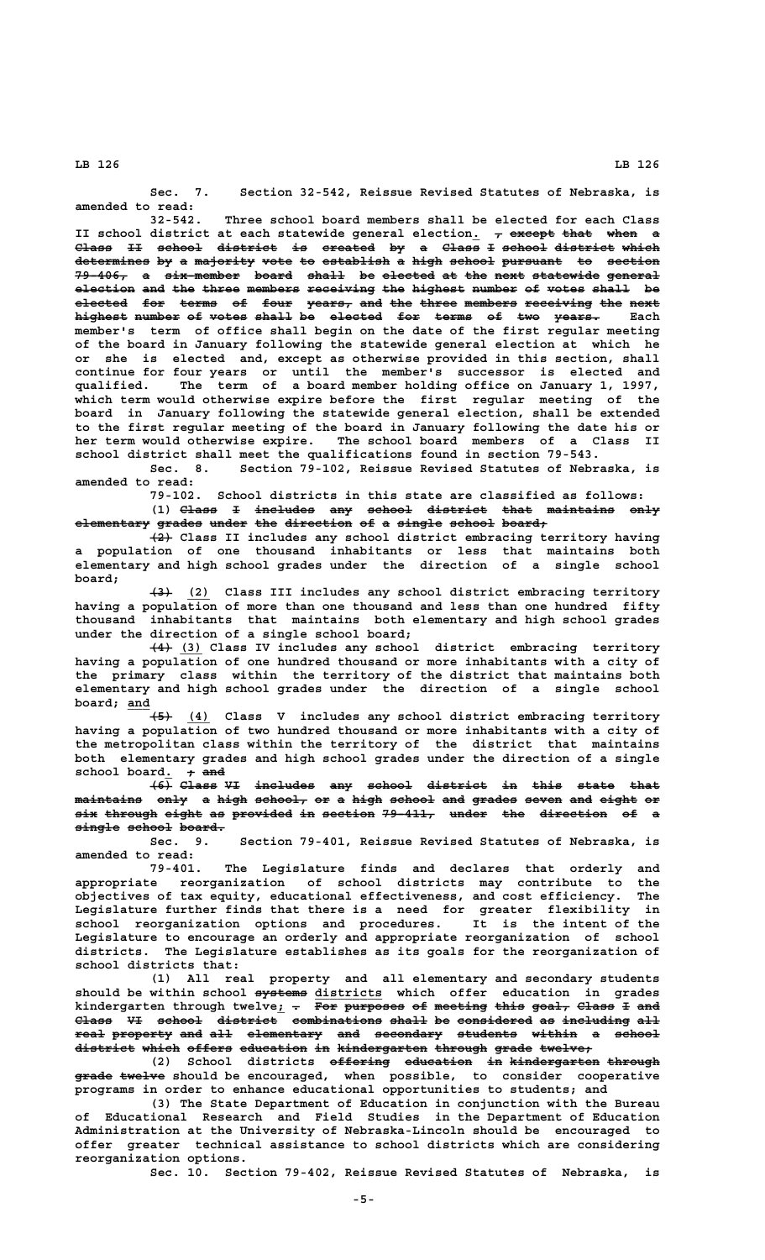**Sec. 7. Section 32-542, Reissue Revised Statutes of Nebraska, is amended to read:**

**32-542. Three school board members shall be elected for each Class II** school district at each statewide general election<sub>1</sub>  $\tau$  except that when a Class II school district is created by a Class I school district which determines by a majority vote to establish a high school pursuant to section 79-406, a six-member board shall be elected at the next statewide general **election and the three members receiving the highest number of votes shall be ———————— ——— ——— ————— ——————— ————————— ——— ——————— —————— —— ————— ————— —** elected for terms of four years, and the three members receiving the next **highest number of votes shall be elected for terms of two years.** Each **member's term of office shall begin on the date of the first regular meeting of the board in January following the statewide general election at which he or she is elected and, except as otherwise provided in this section, shall continue for four years or until the member's successor is elected and qualified. The term of a board member holding office on January 1, 1997, which term would otherwise expire before the first regular meeting of the board in January following the statewide general election, shall be extended to the first regular meeting of the board in January following the date his or her term would otherwise expire. The school board members of a Class II school district shall meet the qualifications found in section 79-543.**

**Sec. 8. Section 79-102, Reissue Revised Statutes of Nebraska, is amended to read:**

**79-102. School districts in this state are classified as follows:** (1) Class I includes any school district that maintains only **elementary grades under the direction of a single school board; —————————— —————— ————— ——— ————————— —— — —————— —————— ——————**

 **——— (2) Class II includes any school district embracing territory having a population of one thousand inhabitants or less that maintains both elementary and high school grades under the direction of a single school board;**

 **——— \_\_\_ (3) (2) Class III includes any school district embracing territory having a population of more than one thousand and less than one hundred fifty thousand inhabitants that maintains both elementary and high school grades under the direction of a single school board;**

 **——— \_\_\_ (4) (3) Class IV includes any school district embracing territory having a population of one hundred thousand or more inhabitants with a city of the primary class within the territory of the district that maintains both elementary and high school grades under the direction of a single school board; and \_\_\_**

 **——— \_\_\_ (5) (4) Class V includes any school district embracing territory having a population of two hundred thousand or more inhabitants with a city of the metropolitan class within the territory of the district that maintains both elementary grades and high school grades under the direction of a single** school board<sub>.</sub> + and

**(6) Class VI includes any school district in this state that ——— ————— —— ———————— ——— —————— ———————— —— ———— ————— ——— maintains only a high school, or a high school and grades seven and eight or ————————— ———— — ———— ——————— —— — ———— —————— ——— —————— ————— ——— ————— — six through eight as provided in section 79-411, under the direction of a ——— ——————— ————— —— ———————— —— ——————— ——————— ————— ——— ————————— —— —**  $\frac{\text{single school board.}}{\text{%}}$ 

**Sec. 9. Section 79-401, Reissue Revised Statutes of Nebraska, is amended to read:**

**79-401. The Legislature finds and declares that orderly and appropriate reorganization of school districts may contribute to the objectives of tax equity, educational effectiveness, and cost efficiency. The Legislature further finds that there is a need for greater flexibility in school reorganization options and procedures. It is the intent of the Legislature to encourage an orderly and appropriate reorganization of school districts. The Legislature establishes as its goals for the reorganization of school districts that:**

**(1) All real property and all elementary and secondary students** should be within school systems districts which offer education in grades kindergarten through twelve<sub>*i*</sub> - For purposes of meeting this goal, Class I and Class VI school district combinations shall be considered as including all **real property and all elementary and secondary students within a school ———— ———————— ——— ——— —————————— ——— ————————— ———————— —————— — ————— district which offers education in kindergarten through grade twelve; ———————— ————— —————— ————————— —— ———————————— ——————— ————— ———————**

(2) School districts <del>offering education in kindergarten through</del>  **————— —————— grade twelve should be encouraged, when possible, to consider cooperative programs in order to enhance educational opportunities to students; and**

> **(3) The State Department of Education in conjunction with the Bureau of Educational Research and Field Studies in the Department of Education Administration at the University of Nebraska-Lincoln should be encouraged to offer greater technical assistance to school districts which are considering reorganization options.**

**Sec. 10. Section 79-402, Reissue Revised Statutes of Nebraska, is**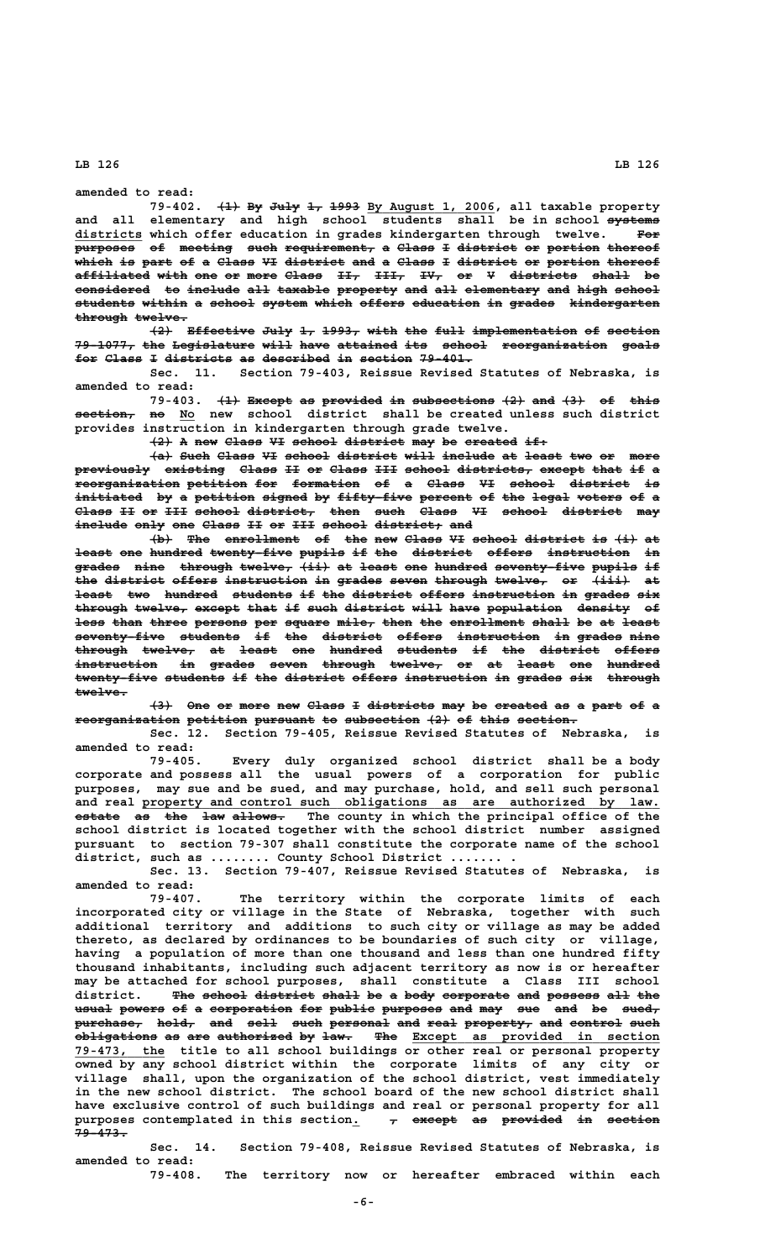**amended to read:**

79-402. <del>(1) By July 1, 1993</del> By August 1, 2006, all taxable property and all elementary and high school students shall be in school systems  **\_\_\_\_\_\_\_\_\_ districts which offer education in grades kindergarten through twelve. For ———**  $\overline{\text{purpose}}$  of meeting such requirement, a Class I district or portion thereof .<br>which is part of a Class VI district and a Class I district or portion thereof **affiliated with one or more Class II, III, IV, or V districts shall be —————————— ———— ——— —— ———— ————— ——— ———— ——— —— — ————————— ————— —** considered to include all taxable property and all elementary and high school students within a school system which offers education in grades kindergarten  $t$ hrough twelve.

**(2) Effective July 1, 1993, with the full implementation of section ——— ————————— ———— —— ————— ———— ——— ———— —————————————— —— ——————— 79-1077, the Legislature will have attained its school reorganization goals ———————— ——— ——————————— ———— ———— ———————— ——— —————— —————————————— ————** for Class I districts as described in section 79-401.

**Sec. 11. Section 79-403, Reissue Revised Statutes of Nebraska, is amended to read:**

79-403. <del>(1)</del> Except as provided in subsections  $\{2\}$  and  $\{3\}$  of this **section, no No new school district shall be created unless such district ———————— —— \_\_ provides instruction in kindergarten through grade twelve.**

**(2) A new Class VI school district may be created if: ——— — ——— ————— —— —————— ———————— ——— —— ——————— ———**

 $\{a\}$  Such Class VI school district will include at least two or more previously existing Class II or Class III school districts, except that if a **reorganization petition for formation of a Class VI school district is —————————————— ———————— ——— ————————— —— — ————— —— —————— ———————— —** initiated by a <del>petition</del> signed by fifty-five percent of the legal voters of a **Class II or III school district, then such Class VI school district may ————— —— —— ——— —————— ————————— ———— ———— ————— —— —————— ———————— ——** include only one Class II or III school district, and

**(b)** The enrollment of the new Class VI school district is  $\{i\}$  at  $\frac{1}{2}$  one hundred twenty five pupils if the district offers instruction in **grades nine through twelve, (ii) at least one hundred seventy-five pupils if —————— ———— ——————— ——————— ———— —— ————— ——— ——————— ———————————— —————— — the district offers instruction in grades seven through twelve, or (iii) at ——— ———————— —————— ——————————— —— —————— ————— ——————— ——————— —— ————— — least two hundred students if the district offers instruction in grades six ————— ——— ——————— ———————— —— ——— ———————— —————— ——————————— —— —————— ——** through twelve, except that if such district will have population density of less than three persons per square mile, then the enrollment shall be at least **seventy-five students if the district offers instruction in grades nine ———————————— ———————— —— ——— ———————— —————— ——————————— —— —————— ——— through twelve, at least one hundred students if the district offers ——————— ——————— —— ————— ——— ——————— ———————— —— ——— ———————— ————— instruction in grades seven through twelve, or at least one hundred ——————————— —— —————— ————— ——————— ——————— —— —— ————— ——— ——————** twenty-five students if the district offers instruction in grades six through  **twelve. ———————**

**(3) One or more new Class I districts may be created as a part of a reorganization petition pursuant to subsection (2) of this section. —————————————— ———————— ———————— —— —————————— ——— —— ———— ————————**

**Sec. 12. Section 79-405, Reissue Revised Statutes of Nebraska, is amended to read:**

**79-405. Every duly organized school district shall be a body corporate and possess all the usual powers of a corporation for public purposes, may sue and be sued, and may purchase, hold, and sell such personal** and real property and control such obligations as are authorized by law. **estate as the law allows.** The county in which the principal office of the **school district is located together with the school district number assigned pursuant to section 79-307 shall constitute the corporate name of the school district, such as ........ County School District ....... .**

**Sec. 13. Section 79-407, Reissue Revised Statutes of Nebraska, is amended to read:**

**79-407. The territory within the corporate limits of each incorporated city or village in the State of Nebraska, together with such additional territory and additions to such city or village as may be added thereto, as declared by ordinances to be boundaries of such city or village, having a population of more than one thousand and less than one hundred fifty thousand inhabitants, including such adjacent territory as now is or hereafter may be attached for school purposes, shall constitute a Class III school** district. <del>The school district shall</del> be a b<del>ody corporate and possess all the</del> usual powers of a corporation for public purposes and may sue and be sued<sub>r</sub>  $\frac{\text{purebase}}{\text{rate}}$  hold, and sell such personal and real property, and control such  $\overline{\text{obligations}}$  as are authorized by law. The Except as provided in section  **\_\_\_\_\_\_\_\_\_\_\_\_ 79-473, the title to all school buildings or other real or personal property owned by any school district within the corporate limits of any city or village shall, upon the organization of the school district, vest immediately in the new school district. The school board of the new school district shall have exclusive control of such buildings and real or personal property for all** purposes contemplated in this section.  $\tau$  except as provided in section  **79-473. ———————**

> **Sec. 14. Section 79-408, Reissue Revised Statutes of Nebraska, is amended to read:**

**79-408. The territory now or hereafter embraced within each**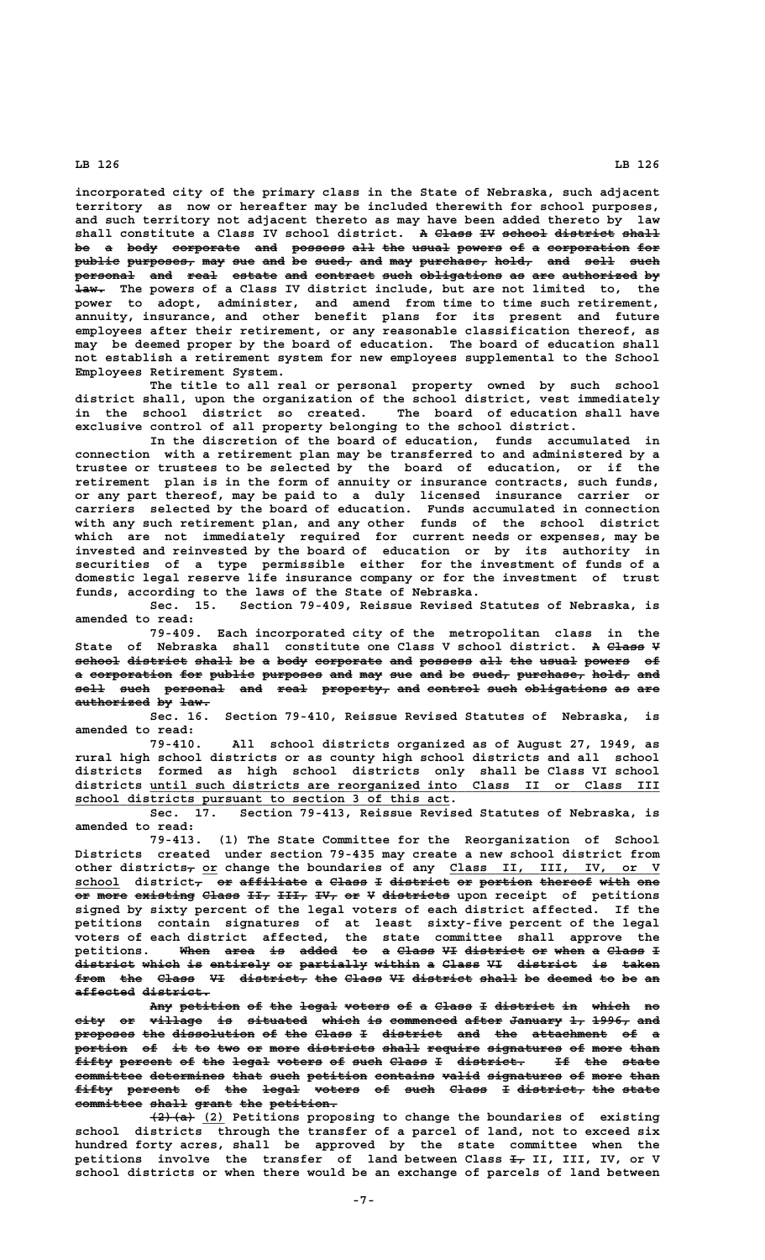**incorporated city of the primary class in the State of Nebraska, such adjacent territory as now or hereafter may be included therewith for school purposes, and such territory not adjacent thereto as may have been added thereto by law** shall constitute a Class IV school district. A Class IV school district shall be a body corporate and possess all the usual powers of a corporation for  $\texttt{public purposes, may sue and be sued, and may purchase, hold, and sell such}$ personal and real estate and contract such obligations as are authorized by  $\frac{1}{4}$  The powers of a Class IV district include, but are not limited to, the **power to adopt, administer, and amend from time to time such retirement, annuity, insurance, and other benefit plans for its present and future employees after their retirement, or any reasonable classification thereof, as may be deemed proper by the board of education. The board of education shall not establish a retirement system for new employees supplemental to the School Employees Retirement System.**

**The title to all real or personal property owned by such school district shall, upon the organization of the school district, vest immediately in the school district so created. The board of education shall have exclusive control of all property belonging to the school district.**

**In the discretion of the board of education, funds accumulated in connection with a retirement plan may be transferred to and administered by a trustee or trustees to be selected by the board of education, or if the retirement plan is in the form of annuity or insurance contracts, such funds, or any part thereof, may be paid to a duly licensed insurance carrier or carriers selected by the board of education. Funds accumulated in connection with any such retirement plan, and any other funds of the school district which are not immediately required for current needs or expenses, may be invested and reinvested by the board of education or by its authority in securities of a type permissible either for the investment of funds of a domestic legal reserve life insurance company or for the investment of trust funds, according to the laws of the State of Nebraska.**

**Sec. 15. Section 79-409, Reissue Revised Statutes of Nebraska, is amended to read:**

**79-409. Each incorporated city of the metropolitan class in the** State of Nebraska shall constitute one Class V school district. A <del>Class</del> ¥ school district shall be a body corporate and possess all the usual powers of a corporation for public purposes and may sue and be sued, purchase, hold, and sell such personal and real property, and control such obligations as are **authorized by law. —————————— —— ————**

**Sec. 16. Section 79-410, Reissue Revised Statutes of Nebraska, is amended to read:**

**79-410. All school districts organized as of August 27, 1949, as rural high school districts or as county high school districts and all school districts formed as high school districts only shall be Class VI school \_\_\_\_\_\_\_\_\_\_\_\_\_\_\_\_\_\_\_\_\_\_\_\_\_\_\_\_\_\_\_\_\_\_\_\_\_\_\_\_\_\_\_\_\_\_\_\_\_\_\_\_\_\_\_\_\_\_\_\_\_\_\_\_\_\_\_\_ districts until such districts are reorganized into Class II or Class III \_\_\_\_\_\_\_\_\_\_\_\_\_\_\_\_\_\_\_\_\_\_\_\_\_\_\_\_\_\_\_\_\_\_\_\_\_\_\_\_\_\_\_\_\_\_\_\_\_\_ school districts pursuant to section 3 of this act.**

**Sec. 17. Section 79-413, Reissue Revised Statutes of Nebraska, is amended to read:**

**79-413. (1) The State Committee for the Reorganization of School Districts created under section 79-435 may create a new school district from** other districts<sub>7</sub> or change the boundaries of any Class II, III, IV, or V school district<sub>7</sub> or affiliate a Class I district or portion thereof with one **or more existing Class II, III, IV, or V districts upon receipt of petitions signed by sixty percent of the legal voters of each district affected. If the petitions contain signatures of at least sixty-five percent of the legal voters of each district affected, the state committee shall approve the petitions. When area is added to a Class VI district or when a Class I ———— ———— —— ————— —— — ————— —— ———————— —— ———— — —————**  district which is entirely or partially within a Class VI district is taken from the Class VI district, the Class VI district shall be deemed to be an  **affected district. ———————— —————————**

Any petition of the legal voters of a Class I district in which no city or village is situated which is commenced after January 1, 1996, and **proposes the dissolution of the Class I district and the attachment of a ———————— ——— ——————————— —— ——— ————— — ———————— ——— ——— —————————— ——**  portion of it to two or more districts shall require signatures of more than fifty percent of the legal voters of such Class I district. If the state committee determines that such petition contains valid signatures of more than fifty percent of the legal voters of such Class I district, the state committee shall grant the petition.

 $\overline{(2) + (a)}$  (2) Petitions proposing to change the boundaries of existing **school districts through the transfer of a parcel of land, not to exceed six hundred forty acres, shall be approved by the state committee when the** petitions involve the transfer of land between Class  $\frac{1}{4}$  II, III, IV, or V **school districts or when there would be an exchange of parcels of land between**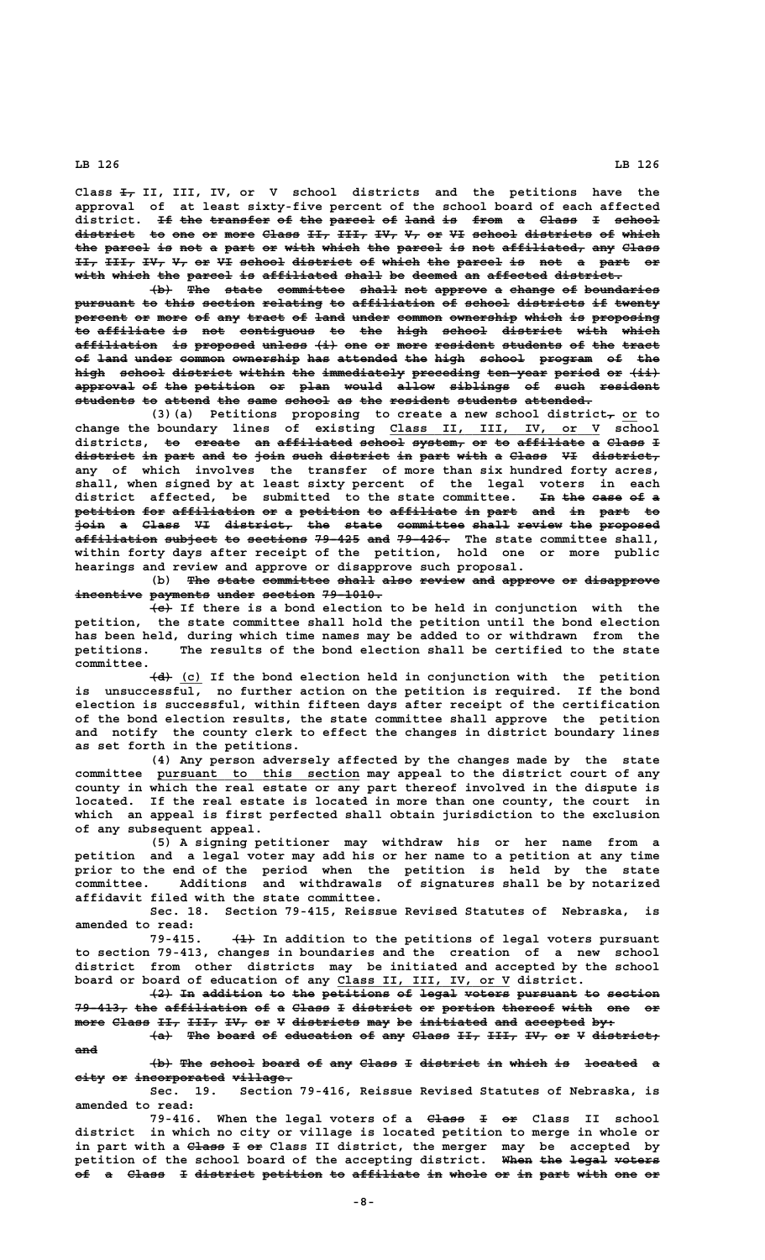**—— Class I, II, III, IV, or V school districts and the petitions have the approval of at least sixty-five percent of the school board of each affected** district. <del>If the transfer</del> of the parcel of land is from a Class I school **district to one or more Class II, III, IV, V, or VI school districts of which ———————— —— ——— —— ———— ————— ——— ———— ——— —— —— —— —————— ————————— —— ————** the parcel is not a part or with which the parcel is not affiliated, any Class **II, III, IV, V, or VI school district of which the parcel is not a part or** with which the parcel is affiliated shall be deemed an affected district.

 $\dashv$  The state committee shall not approve a change of boundaries pursuant to this section relating to affiliation of school districts if twenty percent or more of any tract of land under common ownership which is proposing to affiliate is not contiguous to the high school district with which affiliation is proposed unless (i) one or more resident students of the tract of land under common ownership has attended the high school program of the high school district within the immediately preceding ten year period or  $\{ii\}$ **approval of the petition or plan would allow siblings of such resident ———————— —— ——— ———————— —— ———— ————— ————— ———————— —— ———— ——————— students to attend the same school as the resident students attended. ———————— —— —————— ——— ———— —————— —— ——— ———————— ———————— —————————**

(3)(a) Petitions proposing to create a new school district<sub>r</sub> or to  **\_\_\_\_\_\_\_\_\_\_\_\_\_\_\_\_\_\_\_\_\_\_\_\_\_\_\_\_ change the boundary lines of existing Class II, III, IV, or V school districts, to create an affiliated school system, or to affiliate a Class I —— —————— —— —————————— —————— ——————— —— —— ————————— — —————**  district in part and to join such district in part with a Class VI district, **any of which involves the transfer of more than six hundred forty acres, shall, when signed by at least sixty percent of the legal voters in each district affected, be submitted to the state committee. In the case of a —— ——— ———— —— petition for affiliation or a petition to affiliate in part and in part to ———————— ——— ——————————— —— — ———————— —— ————————— —— ———— ——— —— ———— — join a Class VI district, the state committee shall review the proposed ———— — ————— —— ————————— ——— ————— ————————— ————— —————— ——— ——————— affiliation subject to sections 79-425 and 79-426. The state committee shall, ——————————— ——————— —— ———————— —————— ——— —————— within forty days after receipt of the petition, hold one or more public hearings and review and approve or disapprove such proposal.**

(b) The state committee shall also review and approve or disapprove incentive payments under section 79-1010.

 **——— (c) If there is a bond election to be held in conjunction with the petition, the state committee shall hold the petition until the bond election has been held, during which time names may be added to or withdrawn from the petitions. The results of the bond election shall be certified to the state committee.**

 **——— \_\_\_ (d) (c) If the bond election held in conjunction with the petition is unsuccessful, no further action on the petition is required. If the bond election is successful, within fifteen days after receipt of the certification of the bond election results, the state committee shall approve the petition and notify the county clerk to effect the changes in district boundary lines as set forth in the petitions.**

**(4) Any person adversely affected by the changes made by the state \_\_\_\_\_\_\_\_\_\_\_\_\_\_\_\_\_\_\_\_\_\_\_\_\_\_\_ committee pursuant to this section may appeal to the district court of any county in which the real estate or any part thereof involved in the dispute is located. If the real estate is located in more than one county, the court in which an appeal is first perfected shall obtain jurisdiction to the exclusion of any subsequent appeal.**

> **(5) A signing petitioner may withdraw his or her name from a petition and a legal voter may add his or her name to a petition at any time prior to the end of the period when the petition is held by the state committee. Additions and withdrawals of signatures shall be by notarized affidavit filed with the state committee.**

> **Sec. 18. Section 79-415, Reissue Revised Statutes of Nebraska, is amended to read:**

> 79-415. <del>(1)</del> In addition to the petitions of legal voters pursuant **to section 79-413, changes in boundaries and the creation of a new school district from other districts may be initiated and accepted by the school \_\_\_\_\_\_\_\_\_\_\_\_\_\_\_\_\_\_\_\_\_\_\_ board or board of education of any Class II, III, IV, or V district.**

> **(2) In addition to the petitions of legal voters pursuant to section ——— —— ———————— —— ——— ————————— —— ————— —————— ———————— —— ——————— 79-413, the affiliation of a Class I district or portion thereof with one or ——————— ——— ——————————— —— — ————— — ———————— —— ——————— ——————— ———— ——— —** more Class II, III, IV, or V districts may be initiated and accepted by:

> **(a) The board of education of any Class II, III, IV, or V district; ——— ——— ————— —— ————————— —— ——— ————— ——— ———— ——— —— — ———————— and———**

> **(b) The school board of any Class I district in which is located a ——— ——— —————— ————— —— ——— ————— — ———————— —— ————— —— ———————**   $city$  or incorporated village.

> **Sec. 19. Section 79-416, Reissue Revised Statutes of Nebraska, is amended to read:**

> 79-416. When the legal voters of a  $\theta$  Class II school **district in which no city or village is located petition to merge in whole or** in part with a <del>Class</del> I or Class II district, the merger may be accepted by petition of the school board of the accepting district. When the legal voters **of** a <del>Class</del> I <del>district</del> petition to affiliate in whole or in part with one or

 **-8-**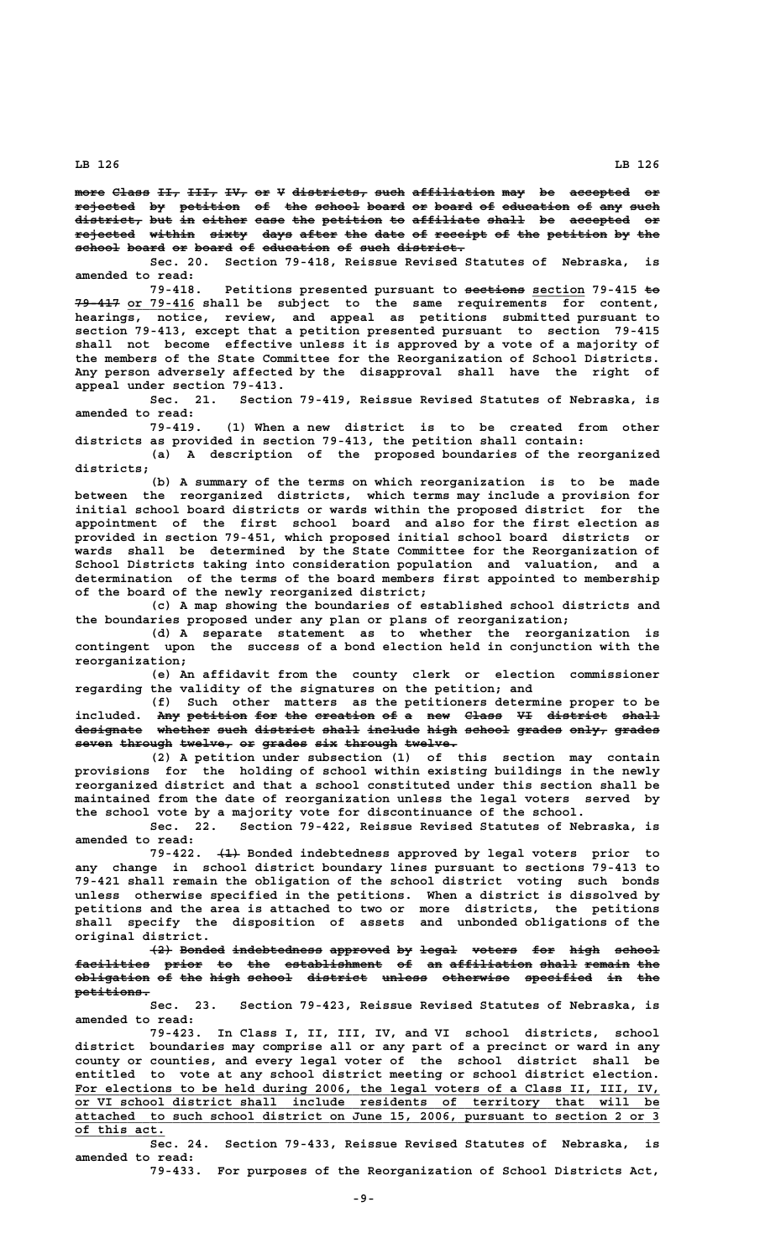more Class II, III, IV, or V districts, such affiliation may be accepted or **rejected by petition of the school board or board of education of any such ———————— —— ———————— —— ——— —————— ————— —— ————— —— ————————— —— ——— ——— district, but in either case the petition to affiliate shall be accepted or ————————— ——— —— —————— ———— ——— ———————— —— ————————— ————— —— ———————— —** rejected within sixty days after the date of receipt of the petition by the  $\mathbf{F} = \mathbf{F} \cdot \mathbf{F}$  board of education of such district.

**Sec. 20. Section 79-418, Reissue Revised Statutes of Nebraska, is amended to read:**

79-418. Petitions presented pursuant to sections section 79-415 to  **—————— \_\_\_\_\_\_\_\_\_ 79-417 or 79-416 shall be subject to the same requirements for content, hearings, notice, review, and appeal as petitions submitted pursuant to section 79-413, except that a petition presented pursuant to section 79-415 shall not become effective unless it is approved by a vote of a majority of the members of the State Committee for the Reorganization of School Districts. Any person adversely affected by the disapproval shall have the right of appeal under section 79-413.**

**Sec. 21. Section 79-419, Reissue Revised Statutes of Nebraska, is amended to read:**

**79-419. (1) When a new district is to be created from other districts as provided in section 79-413, the petition shall contain:**

**(a) A description of the proposed boundaries of the reorganized districts;**

**(b) A summary of the terms on which reorganization is to be made between the reorganized districts, which terms may include a provision for initial school board districts or wards within the proposed district for the appointment of the first school board and also for the first election as provided in section 79-451, which proposed initial school board districts or wards shall be determined by the State Committee for the Reorganization of School Districts taking into consideration population and valuation, and a determination of the terms of the board members first appointed to membership of the board of the newly reorganized district;**

**(c) A map showing the boundaries of established school districts and the boundaries proposed under any plan or plans of reorganization;**

**(d) A separate statement as to whether the reorganization is contingent upon the success of a bond election held in conjunction with the reorganization;**

**(e) An affidavit from the county clerk or election commissioner regarding the validity of the signatures on the petition; and**

**(f) Such other matters as the petitioners determine proper to be** included. Any petition for the creation of a new Class VI district shall designate whether such district shall include high school grades only, grades  $s$ even through twelve, or grades six through twelve.

**(2) A petition under subsection (1) of this section may contain provisions for the holding of school within existing buildings in the newly reorganized district and that a school constituted under this section shall be maintained from the date of reorganization unless the legal voters served by the school vote by a majority vote for discontinuance of the school.**

**Sec. 22. Section 79-422, Reissue Revised Statutes of Nebraska, is amended to read:**

79-422.  $\leftarrow{4}$  Bonded indebtedness approved by legal voters prior to **any change in school district boundary lines pursuant to sections 79-413 to 79-421 shall remain the obligation of the school district voting such bonds unless otherwise specified in the petitions. When a district is dissolved by petitions and the area is attached to two or more districts, the petitions shall specify the disposition of assets and unbonded obligations of the original district.**

**(2) Bonded indebtedness approved by legal voters for high school ——— —————— ———————————— ———————— —— ————— —————— ——— ———— ————— facilities prior to the establishment of an affiliation shall remain the —————————— ————— —— ——— ————————————— —— —— ——————————— ————— —————— ———**  $\boldsymbol{\mathrm{obligate}}$  obligation of the high school district unless otherwise specified in the petitions.

**Sec. 23. Section 79-423, Reissue Revised Statutes of Nebraska, is amended to read:**

**79-423. In Class I, II, III, IV, and VI school districts, school district boundaries may comprise all or any part of a precinct or ward in any county or counties, and every legal voter of the school district shall be entitled to vote at any school district meeting or school district election.** For elections to be held during 2006, the legal voters of a Class II, III, IV,  **\_\_\_\_\_\_\_\_\_\_\_\_\_\_\_\_\_\_\_\_\_\_\_\_\_\_\_\_\_\_\_\_\_\_\_\_\_\_\_\_\_\_\_\_\_\_\_\_\_\_\_\_\_\_\_\_\_\_\_\_\_\_\_\_\_\_\_\_\_\_\_\_\_\_\_\_\_\_ or VI school district shall include residents of territory that will be \_\_\_\_\_\_\_\_\_\_\_\_\_\_\_\_\_\_\_\_\_\_\_\_\_\_\_\_\_\_\_\_\_\_\_\_\_\_\_\_\_\_\_\_\_\_\_\_\_\_\_\_\_\_\_\_\_\_\_\_\_\_\_\_\_\_\_\_\_\_\_\_\_\_\_\_\_\_ attached to such school district on June 15, 2006, pursuant to section 2 or 3 \_\_\_\_\_\_\_\_\_\_\_\_ of this act.**

> **Sec. 24. Section 79-433, Reissue Revised Statutes of Nebraska, is amended to read:**

**79-433. For purposes of the Reorganization of School Districts Act,**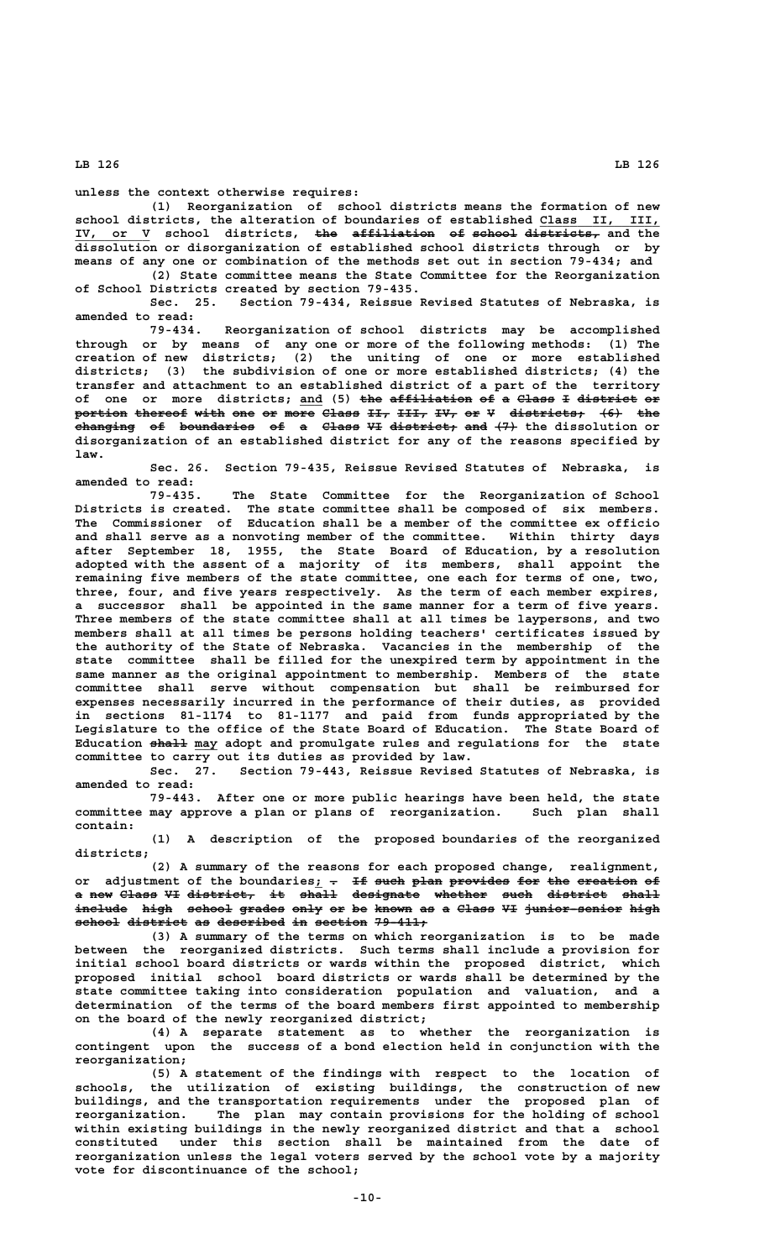**unless the context otherwise requires:**

**(1) Reorganization of school districts means the formation of new** school districts, the alteration of boundaries of established Class II, **IV, or V school districts, the affiliation of school districts, and the \_\_\_\_\_\_\_\_\_\_ ——— ——————————— —— —————— ————————— dissolution or disorganization of established school districts through or by means of any one or combination of the methods set out in section 79-434; and (2) State committee means the State Committee for the Reorganization**

**of School Districts created by section 79-435. Sec. 25. Section 79-434, Reissue Revised Statutes of Nebraska, is**

**amended to read: 79-434. Reorganization of school districts may be accomplished through or by means of any one or more of the following methods: (1) The creation of new districts; (2) the uniting of one or more established districts; (3) the subdivision of one or more established districts; (4) the transfer and attachment to an established district of a part of the territory of one or more districts; and (5) the affiliation of a Class I district or \_\_\_ ——— ——————————— —— — ————— — ———————— — portion thereof with one or more Class II, III, IV, or V districts; (6) the ——————— ——————— ———— ——— —— ———— ————— ——— ———— ——— —— — —————————— ——— —— changing of boundaries of a Class VI district; and (7) the dissolution or ———————— —— —————————— —— — ————— —— ————————— ——— —— disorganization of an established district for any of the reasons specified by law.**

**Sec. 26. Section 79-435, Reissue Revised Statutes of Nebraska, is amended to read:**

**79-435. The State Committee for the Reorganization of School Districts is created. The state committee shall be composed of six members. The Commissioner of Education shall be a member of the committee ex officio and shall serve as a nonvoting member of the committee. Within thirty days after September 18, 1955, the State Board of Education, by a resolution adopted with the assent of a majority of its members, shall appoint the remaining five members of the state committee, one each for terms of one, two, three, four, and five years respectively. As the term of each member expires, a successor shall be appointed in the same manner for a term of five years. Three members of the state committee shall at all times be laypersons, and two members shall at all times be persons holding teachers' certificates issued by the authority of the State of Nebraska. Vacancies in the membership of the state committee shall be filled for the unexpired term by appointment in the same manner as the original appointment to membership. Members of the state committee shall serve without compensation but shall be reimbursed for expenses necessarily incurred in the performance of their duties, as provided in sections 81-1174 to 81-1177 and paid from funds appropriated by the Legislature to the office of the State Board of Education. The State Board of** Education shall may adopt and promulgate rules and regulations for the state **committee to carry out its duties as provided by law.**

**Sec. 27. Section 79-443, Reissue Revised Statutes of Nebraska, is amended to read:**

**79-443. After one or more public hearings have been held, the state** committee may approve a plan or plans of reorganization.  **contain:**

**(1) A description of the proposed boundaries of the reorganized districts;**

**(2) A summary of the reasons for each proposed change, realignment,** or adjustment of the boundaries; <del>.</del> I<del>f such plan provides for the creation</del> <del>of</del> **a new Class VI district, it shall designate whether such district shall — ——— ————— —— ————————— —— ————— ————————— ——————— ———— ———————— ————** include high school grades only or be known as a Class VI junior-senior high school district as described in section 79-411;

**(3) A summary of the terms on which reorganization is to be made between the reorganized districts. Such terms shall include a provision for initial school board districts or wards within the proposed district, which proposed initial school board districts or wards shall be determined by the state committee taking into consideration population and valuation, and a determination of the terms of the board members first appointed to membership on the board of the newly reorganized district;**

**(4) A separate statement as to whether the reorganization is contingent upon the success of a bond election held in conjunction with the reorganization;**

**(5) A statement of the findings with respect to the location of schools, the utilization of existing buildings, the construction of new buildings, and the transportation requirements under the proposed plan of reorganization. The plan may contain provisions for the holding of school within existing buildings in the newly reorganized district and that a school constituted under this section shall be maintained from the date of reorganization unless the legal voters served by the school vote by a majority vote for discontinuance of the school;**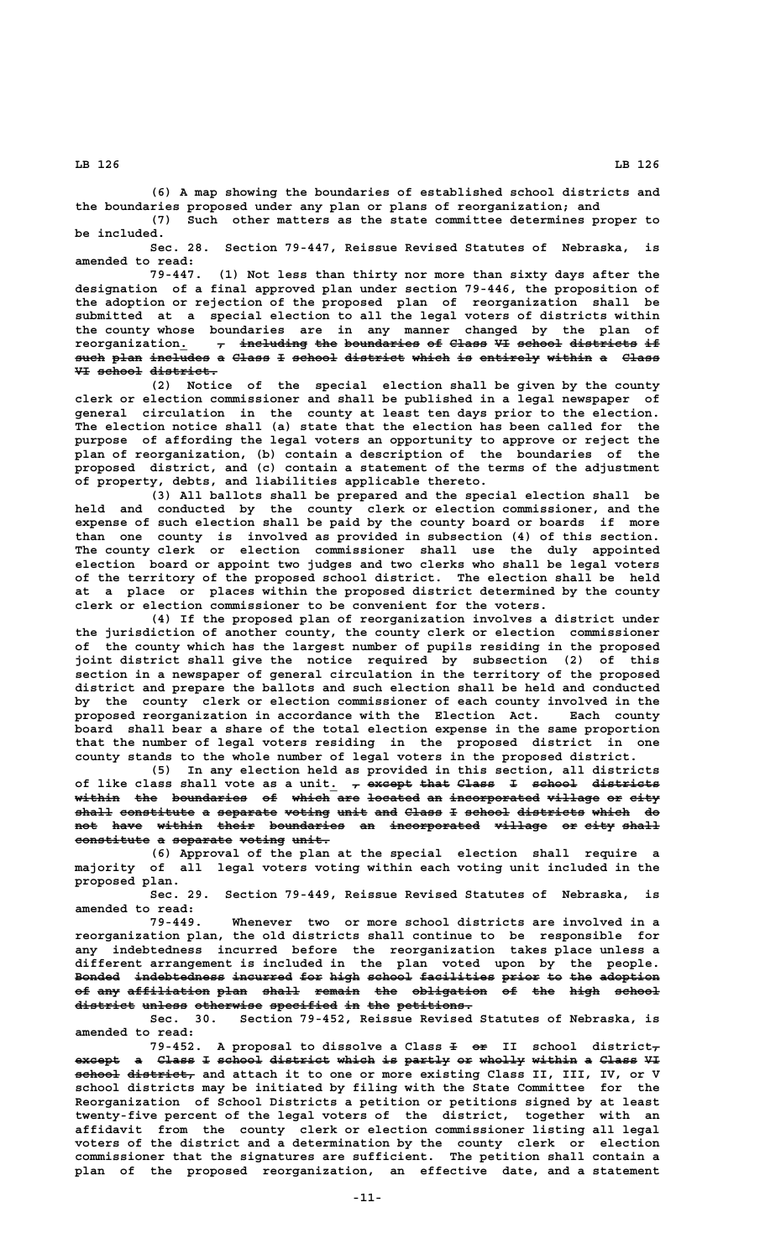**(6) A map showing the boundaries of established school districts and**

**the boundaries proposed under any plan or plans of reorganization; and (7) Such other matters as the state committee determines proper to be included.**

**Sec. 28. Section 79-447, Reissue Revised Statutes of Nebraska, is amended to read:**

**79-447. (1) Not less than thirty nor more than sixty days after the designation of a final approved plan under section 79-446, the proposition of the adoption or rejection of the proposed plan of reorganization shall be submitted at a special election to all the legal voters of districts within the county whose boundaries are in any manner changed by the plan of** reorganization.  $\tau$  including the boundaries of Class VI school districts if **such plan includes a Class I school district which is entirely within a Class ———— ———— ———————— — ————— — —————— ———————— ————— —— ———————— —————— — ————— VI school district. —— —————— —————————**

**(2) Notice of the special election shall be given by the county clerk or election commissioner and shall be published in a legal newspaper of general circulation in the county at least ten days prior to the election. The election notice shall (a) state that the election has been called for the purpose of affording the legal voters an opportunity to approve or reject the plan of reorganization, (b) contain a description of the boundaries of the proposed district, and (c) contain a statement of the terms of the adjustment of property, debts, and liabilities applicable thereto.**

**(3) All ballots shall be prepared and the special election shall be held and conducted by the county clerk or election commissioner, and the expense of such election shall be paid by the county board or boards if more than one county is involved as provided in subsection (4) of this section. The county clerk or election commissioner shall use the duly appointed election board or appoint two judges and two clerks who shall be legal voters of the territory of the proposed school district. The election shall be held at a place or places within the proposed district determined by the county clerk or election commissioner to be convenient for the voters.**

**(4) If the proposed plan of reorganization involves a district under the jurisdiction of another county, the county clerk or election commissioner of the county which has the largest number of pupils residing in the proposed joint district shall give the notice required by subsection (2) of this section in a newspaper of general circulation in the territory of the proposed district and prepare the ballots and such election shall be held and conducted by the county clerk or election commissioner of each county involved in the proposed reorganization in accordance with the Election Act. Each county board shall bear a share of the total election expense in the same proportion that the number of legal voters residing in the proposed district in one county stands to the whole number of legal voters in the proposed district.**

**(5) In any election held as provided in this section, all districts** of like class shall vote as a unit. <del>, except that Class</del>  $\pm$  <del>school districts</del> **within the boundaries of which are located an incorporated village or city —————— ——— —————————— —— ————— ——— ——————— —— ———————————— ——————— —— ———** shall constitute a separate voting unit and Class I school districts which do not have within their boundaries an incorporated village or eity shall constitute a separate voting unit.

**(6) Approval of the plan at the special election shall require a majority of all legal voters voting within each voting unit included in the proposed plan.**

**Sec. 29. Section 79-449, Reissue Revised Statutes of Nebraska, is amended to read:**

**79-449. Whenever two or more school districts are involved in a reorganization plan, the old districts shall continue to be responsible for any indebtedness incurred before the reorganization takes place unless a different arrangement is included in the plan voted upon by the people.** Bonded indebtedness incurred for high school facilities prior to the adoption of any affiliation plan shall remain the obligation of the high school district unless otherwise specified in the petitions.

**Sec. 30. Section 79-452, Reissue Revised Statutes of Nebraska, is amended to read:**

79-452. A proposal to dissolve a Class  $\pm$  or II school district<sub> $\tau$ </sub> except a Class I school district which is partly or wholly within a Class VI  **—————— ————————— school district, and attach it to one or more existing Class II, III, IV, or V school districts may be initiated by filing with the State Committee for the Reorganization of School Districts a petition or petitions signed by at least twenty-five percent of the legal voters of the district, together with an affidavit from the county clerk or election commissioner listing all legal voters of the district and a determination by the county clerk or election commissioner that the signatures are sufficient. The petition shall contain a plan of the proposed reorganization, an effective date, and a statement**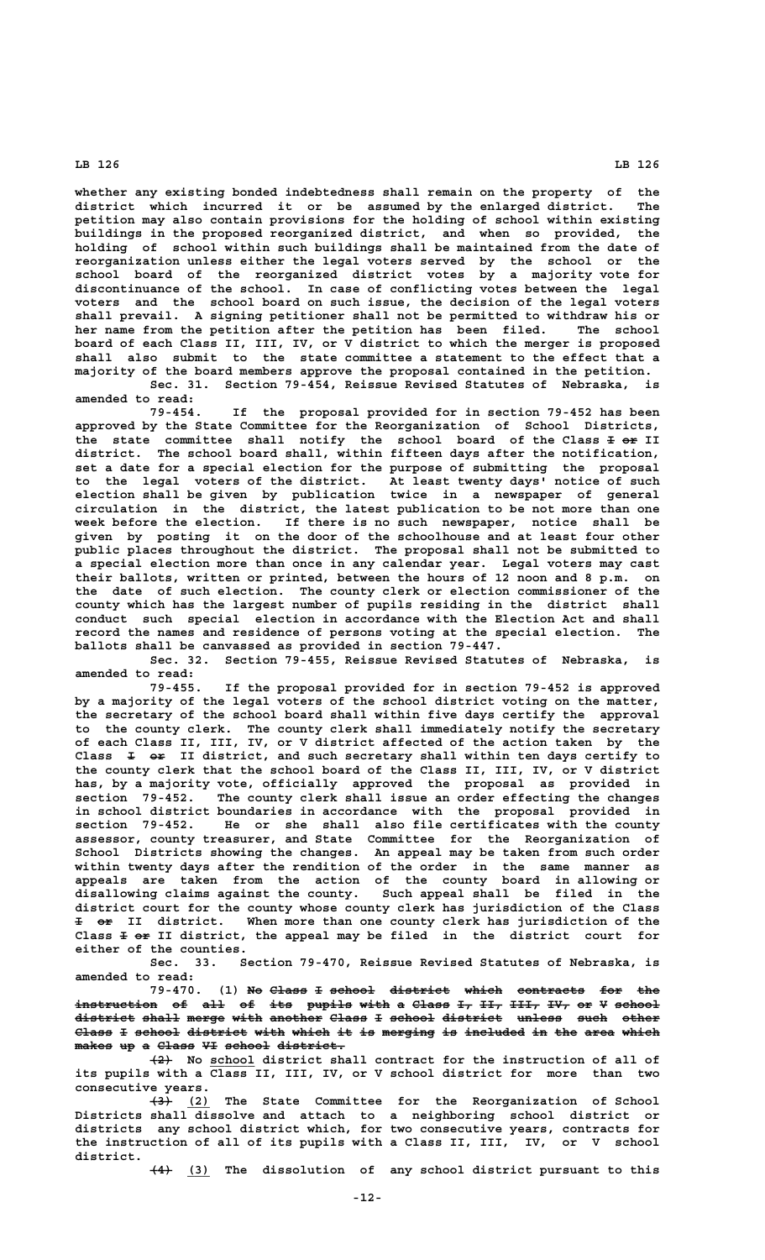**whether any existing bonded indebtedness shall remain on the property of the district which incurred it or be assumed by the enlarged district. The petition may also contain provisions for the holding of school within existing buildings in the proposed reorganized district, and when so provided, the holding of school within such buildings shall be maintained from the date of reorganization unless either the legal voters served by the school or the school board of the reorganized district votes by a majority vote for discontinuance of the school. In case of conflicting votes between the legal voters and the school board on such issue, the decision of the legal voters shall prevail. A signing petitioner shall not be permitted to withdraw his or her name from the petition after the petition has been filed. The school board of each Class II, III, IV, or V district to which the merger is proposed shall also submit to the state committee a statement to the effect that a majority of the board members approve the proposal contained in the petition. Sec. 31. Section 79-454, Reissue Revised Statutes of Nebraska, is**

**amended to read:**

**79-454. If the proposal provided for in section 79-452 has been approved by the State Committee for the Reorganization of School Districts,** the state committee shall notify the school board of the Class **I** or II **district. The school board shall, within fifteen days after the notification, set a date for a special election for the purpose of submitting the proposal to the legal voters of the district. At least twenty days' notice of such election shall be given by publication twice in a newspaper of general circulation in the district, the latest publication to be not more than one week before the election. If there is no such newspaper, notice shall be given by posting it on the door of the schoolhouse and at least four other public places throughout the district. The proposal shall not be submitted to a special election more than once in any calendar year. Legal voters may cast their ballots, written or printed, between the hours of 12 noon and 8 p.m. on the date of such election. The county clerk or election commissioner of the county which has the largest number of pupils residing in the district shall conduct such special election in accordance with the Election Act and shall record the names and residence of persons voting at the special election. The ballots shall be canvassed as provided in section 79-447.**

**Sec. 32. Section 79-455, Reissue Revised Statutes of Nebraska, is amended to read:**

**79-455. If the proposal provided for in section 79-452 is approved by a majority of the legal voters of the school district voting on the matter, the secretary of the school board shall within five days certify the approval to the county clerk. The county clerk shall immediately notify the secretary of each Class II, III, IV, or V district affected of the action taken by the — —— Class I or II district, and such secretary shall within ten days certify to the county clerk that the school board of the Class II, III, IV, or V district has, by a majority vote, officially approved the proposal as provided in section 79-452. The county clerk shall issue an order effecting the changes in school district boundaries in accordance with the proposal provided in section 79-452. He or she shall also file certificates with the county assessor, county treasurer, and State Committee for the Reorganization of School Districts showing the changes. An appeal may be taken from such order within twenty days after the rendition of the order in the same manner as appeals are taken from the action of the county board in allowing or disallowing claims against the county. Such appeal shall be filed in the district court for the county whose county clerk has jurisdiction of the Class — —— I or II district. When more than one county clerk has jurisdiction of the** Class  $\pm$  or II district, the appeal may be filed in the district court for **either of the counties.**

**Sec. 33. Section 79-470, Reissue Revised Statutes of Nebraska, is amended to read:**

79-470. (1) No Class I school district which contracts for the instruction of all of its pupils with a Class I<sub>7</sub> II<sub>7</sub> III<sub>7</sub> IV<sub>7</sub> or V school district shall merge with another Class I school district unless such other Class I school district with which it is merging is included in the area which  $makes$  up a Class VI school district.

 **——— \_\_\_\_\_\_ (2) No school district shall contract for the instruction of all of its pupils with a Class II, III, IV, or V school district for more than two consecutive years.**

 **——— \_\_\_ (3) (2) The State Committee for the Reorganization of School Districts shall dissolve and attach to a neighboring school district or districts any school district which, for two consecutive years, contracts for the instruction of all of its pupils with a Class II, III, IV, or V school district.**

 **——— \_\_\_ (4) (3) The dissolution of any school district pursuant to this**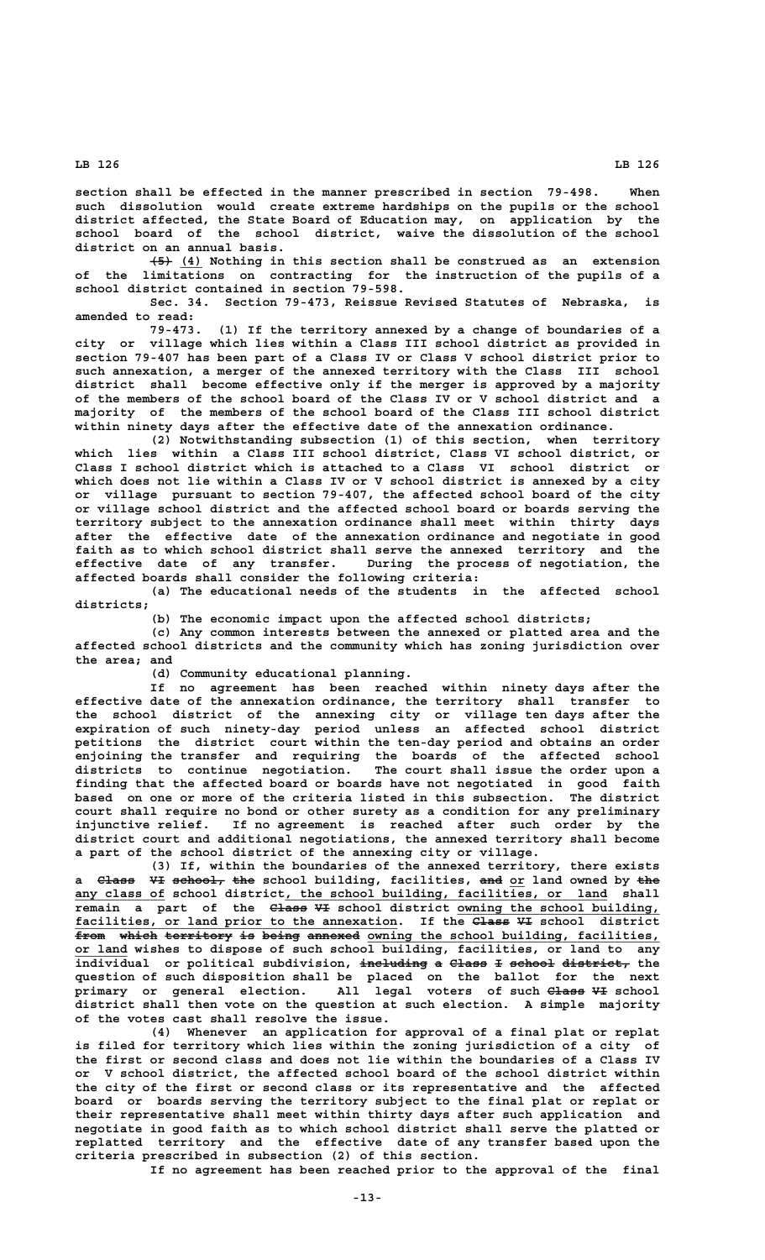**section shall be effected in the manner prescribed in section 79-498. When such dissolution would create extreme hardships on the pupils or the school district affected, the State Board of Education may, on application by the school board of the school district, waive the dissolution of the school district on an annual basis.**

 **——— \_\_\_ (5) (4) Nothing in this section shall be construed as an extension of the limitations on contracting for the instruction of the pupils of a school district contained in section 79-598.**

**Sec. 34. Section 79-473, Reissue Revised Statutes of Nebraska, is amended to read:**

**79-473. (1) If the territory annexed by a change of boundaries of a city or village which lies within a Class III school district as provided in section 79-407 has been part of a Class IV or Class V school district prior to such annexation, a merger of the annexed territory with the Class III school district shall become effective only if the merger is approved by a majority of the members of the school board of the Class IV or V school district and a majority of the members of the school board of the Class III school district within ninety days after the effective date of the annexation ordinance.**

**(2) Notwithstanding subsection (1) of this section, when territory which lies within a Class III school district, Class VI school district, or Class I school district which is attached to a Class VI school district or which does not lie within a Class IV or V school district is annexed by a city or village pursuant to section 79-407, the affected school board of the city or village school district and the affected school board or boards serving the territory subject to the annexation ordinance shall meet within thirty days after the effective date of the annexation ordinance and negotiate in good faith as to which school district shall serve the annexed territory and the** During the process of negotiation, the **affected boards shall consider the following criteria:**

**(a) The educational needs of the students in the affected school districts;**

**(b) The economic impact upon the affected school districts;**

**(c) Any common interests between the annexed or platted area and the affected school districts and the community which has zoning jurisdiction over the area; and**

**(d) Community educational planning.**

**If no agreement has been reached within ninety days after the effective date of the annexation ordinance, the territory shall transfer to the school district of the annexing city or village ten days after the expiration of such ninety-day period unless an affected school district petitions the district court within the ten-day period and obtains an order enjoining the transfer and requiring the boards of the affected school districts to continue negotiation. The court shall issue the order upon a finding that the affected board or boards have not negotiated in good faith based on one or more of the criteria listed in this subsection. The district court shall require no bond or other surety as a condition for any preliminary injunctive relief. If no agreement is reached after such order by the district court and additional negotiations, the annexed territory shall become a part of the school district of the annexing city or village.**

**(3) If, within the boundaries of the annexed territory, there exists a** <del>Class VI school, the</del> school building, facilities, and or land owned by the  **\_\_\_\_\_\_\_\_\_\_\_\_ \_\_\_\_\_\_\_\_\_\_\_\_\_\_\_\_\_\_\_\_\_\_\_\_\_\_\_\_\_\_\_\_\_\_\_\_\_\_\_\_\_\_\_ any class of school district, the school building, facilities, or land shall ————— —— \_\_\_\_\_\_\_\_\_\_\_\_\_\_\_\_\_\_\_\_\_\_\_\_\_\_\_ remain a part of the Class VI school district owning the school building,** facilities, or land prior to the annexation. If the Class VI school district from which territory is being annexed owning the school building, facilities,  **\_\_\_\_\_\_\_ or land wishes to dispose of such school building, facilities, or land to any individual or political subdivision, including a Class I school district, the ————————— — ————— — —————— ———————— question of such disposition shall be placed on the ballot for the next primary or general election. All legal voters of such Class VI school ————— — district shall then vote on the question at such election. A simple majority of the votes cast shall resolve the issue.**

**(4) Whenever an application for approval of a final plat or replat is filed for territory which lies within the zoning jurisdiction of a city of the first or second class and does not lie within the boundaries of a Class IV or V school district, the affected school board of the school district within the city of the first or second class or its representative and the affected board or boards serving the territory subject to the final plat or replat or their representative shall meet within thirty days after such application and negotiate in good faith as to which school district shall serve the platted or replatted territory and the effective date of any transfer based upon the criteria prescribed in subsection (2) of this section.**

**If no agreement has been reached prior to the approval of the final**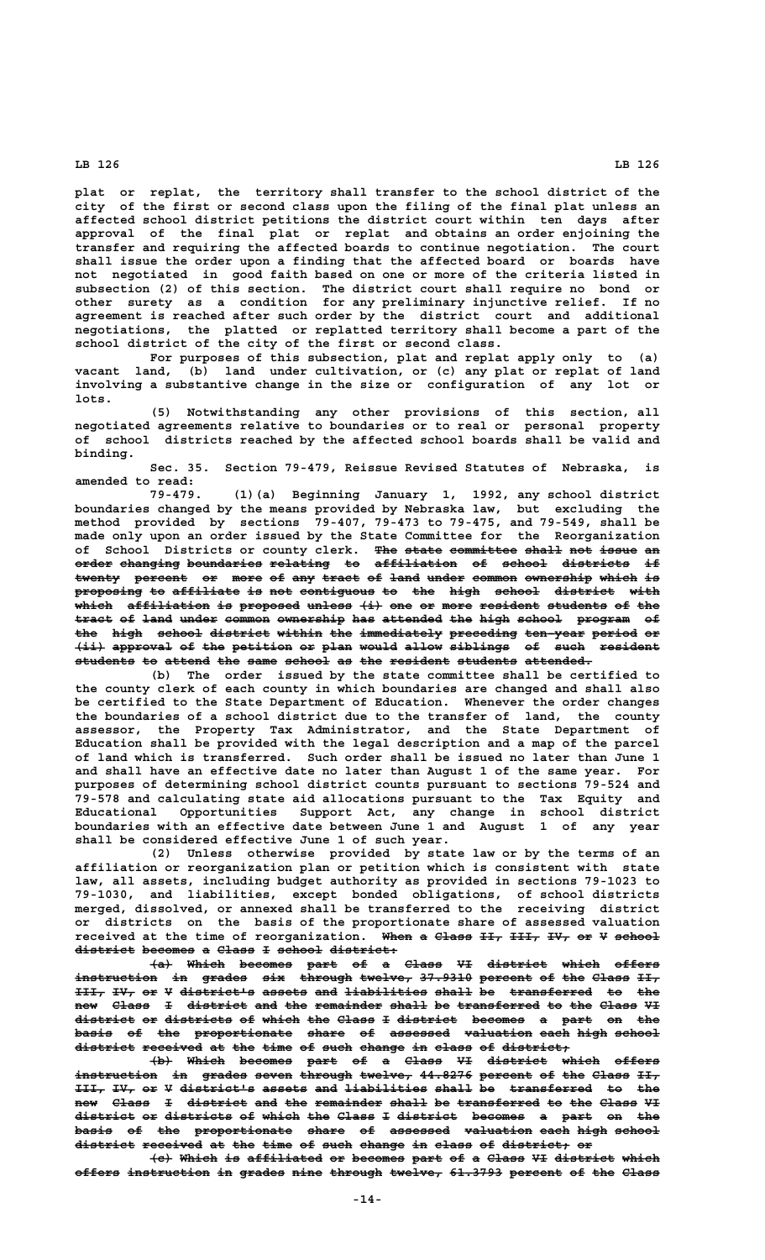**plat or replat, the territory shall transfer to the school district of the city of the first or second class upon the filing of the final plat unless an affected school district petitions the district court within ten days after approval of the final plat or replat and obtains an order enjoining the transfer and requiring the affected boards to continue negotiation. The court shall issue the order upon a finding that the affected board or boards have not negotiated in good faith based on one or more of the criteria listed in subsection (2) of this section. The district court shall require no bond or other surety as a condition for any preliminary injunctive relief. If no agreement is reached after such order by the district court and additional negotiations, the platted or replatted territory shall become a part of the school district of the city of the first or second class.**

**For purposes of this subsection, plat and replat apply only to (a) vacant land, (b) land under cultivation, or (c) any plat or replat of land involving a substantive change in the size or configuration of any lot or lots.**

**(5) Notwithstanding any other provisions of this section, all negotiated agreements relative to boundaries or to real or personal property of school districts reached by the affected school boards shall be valid and binding.**

**Sec. 35. Section 79-479, Reissue Revised Statutes of Nebraska, is amended to read:**

**79-479. (1)(a) Beginning January 1, 1992, any school district boundaries changed by the means provided by Nebraska law, but excluding the method provided by sections 79-407, 79-473 to 79-475, and 79-549, shall be made only upon an order issued by the State Committee for the Reorganization** of School Districts or county clerk. <del>The state committee shall not issue an</del> **order changing boundaries relating to affiliation of school districts if ————— ———————— —————————— ———————— —— ——————————— —— —————— ————————— —** twenty percent or more of any tract of land under common ownership which is proposing to affiliate is not contiguous to the high school district with which affiliation is proposed unless (i) one or more resident students of the tract of land under common ownership has attended the high school program of the high school district within the immediately preceding ten-year period or  $\overbrace{\text{with a given point}}$  approval of the petition or plan would allow siblings of such resident **students to attend the same school as the resident students attended. ———————— —— —————— ——— ———— —————— —— ——— ———————— ———————— —————————**

**(b) The order issued by the state committee shall be certified to the county clerk of each county in which boundaries are changed and shall also be certified to the State Department of Education. Whenever the order changes the boundaries of a school district due to the transfer of land, the county assessor, the Property Tax Administrator, and the State Department of Education shall be provided with the legal description and a map of the parcel of land which is transferred. Such order shall be issued no later than June 1 and shall have an effective date no later than August 1 of the same year. For purposes of determining school district counts pursuant to sections 79-524 and 79-578 and calculating state aid allocations pursuant to the Tax Equity and Educational Opportunities Support Act, any change in school district boundaries with an effective date between June 1 and August 1 of any year shall be considered effective June 1 of such year.**

**(2) Unless otherwise provided by state law or by the terms of an affiliation or reorganization plan or petition which is consistent with state law, all assets, including budget authority as provided in sections 79-1023 to 79-1030, and liabilities, except bonded obligations, of school districts merged, dissolved, or annexed shall be transferred to the receiving district or districts on the basis of the proportionate share of assessed valuation** received at the time of reorganization. When a Class II, III, IV, or V school district becomes a Class I school district:

**(a) Which becomes part of a Class VI district which offers ——— ————— ——————— ———— —— — ————— —— ———————— ————— ————— instruction in grades six through twelve, 37.9310 percent of the Class II, ——————————— —— —————— ——— ——————— ——————— ——————— ——————— —— ——— ————— ——— III, IV, or V district's assets and liabilities shall be transferred to the** new Class I district and the remainder shall be transferred to the Class VI district or districts of which the Class I district becomes a part on the basis of the proportionate share of assessed valuation each high school **district received at the time of such change in class of district; ———————— ———————— —— ——— ———— —— ———— —————— —— ————— —— —————————**

**(b) Which becomes part of a Class VI district which offers ——— ————— ——————— ———— —— — ————— —— ———————— ————— —————** instruction in grades seven through twelve, 44.8276 percent of the Class II, III, IV, or V district's assets and liabilities shall be transferred to the new Class I district and the remainder shall be transferred to the Class VI district or districts of which the Class I district becomes a part on the **basis of the proportionate share of assessed valuation each high school ————— —— ——— ————————————— ————— —— ———————— ————————— ———— ———— ————— district received at the time of such change in class of district; or ———————— ———————— —— ——— ———— —— ———— —————— —— ————— —— ————————— ——**

**(c) Which is affiliated or becomes part of a Class VI district which ——— ————— —— —————————— —— ——————— ———— —— — ————— —— ———————— ————** offers instruction in grades nine through twelve, 61.3793 percent of the Class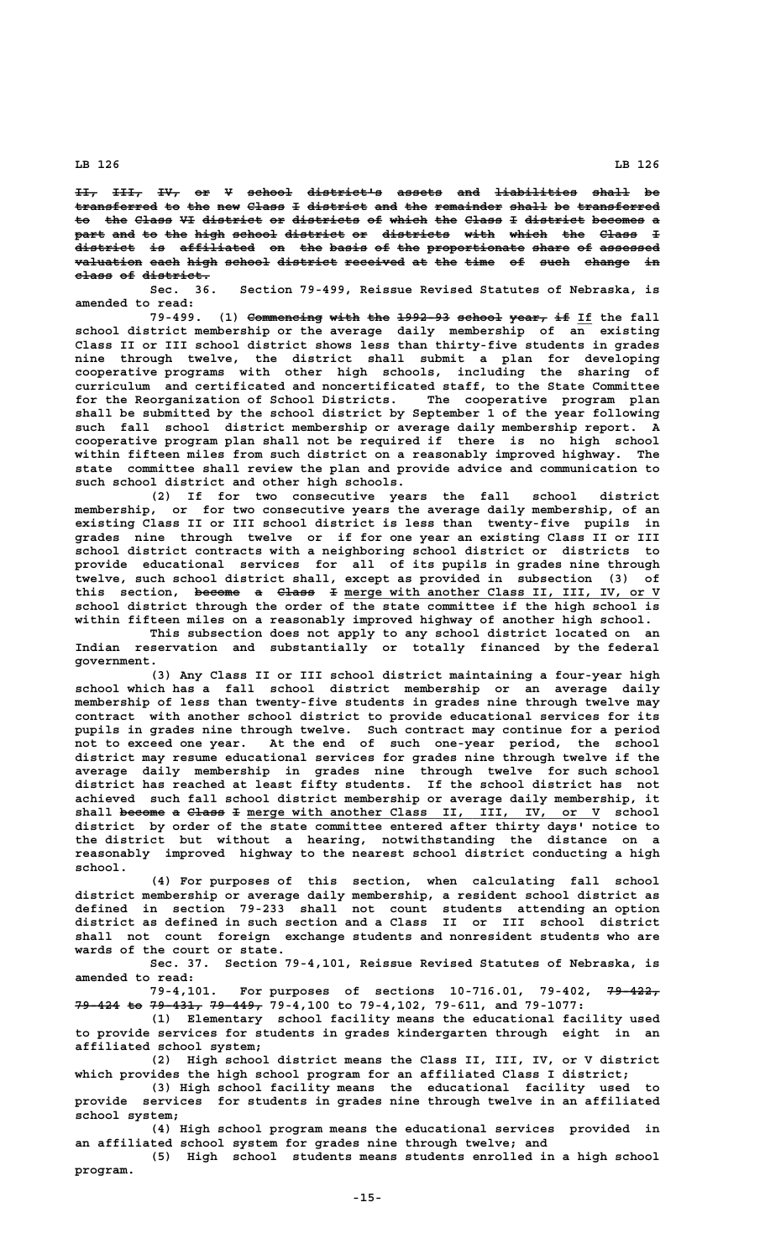**II, III, IV, or V school district's assets and liabilities shall be ——— ———— ——— —— — —————— —————————— —————— ——— ——————————— ————— —** transferred to the new Class I district and the remainder shall be transferred to the Class VI district or districts of which the Class I district becomes a part and to the high school district or districts with which the Class **I**  $\frac{1}{\text{d}\text{iscrete}}$  is affiliated on the basis of the proportionate share of assessed **valuation each high school district received at the time of such change in ————————— ———— ———— —————— ———————— ———————— —— ——— ———— —— ———— —————— — class of district. ————— —— —————————**

**Sec. 36. Section 79-499, Reissue Revised Statutes of Nebraska, is amended to read:**

79-499. (1) Commencing with the 1992-93 school year, if If the fall **school district membership or the average daily membership of an existing Class II or III school district shows less than thirty-five students in grades nine through twelve, the district shall submit a plan for developing cooperative programs with other high schools, including the sharing of curriculum and certificated and noncertificated staff, to the State Committee for the Reorganization of School Districts. The cooperative program plan shall be submitted by the school district by September 1 of the year following such fall school district membership or average daily membership report. A cooperative program plan shall not be required if there is no high school within fifteen miles from such district on a reasonably improved highway. The state committee shall review the plan and provide advice and communication to such school district and other high schools.**

**(2) If for two consecutive years the fall school district membership, or for two consecutive years the average daily membership, of an existing Class II or III school district is less than twenty-five pupils in grades nine through twelve or if for one year an existing Class II or III** school district contracts with a neighboring school district or districts to **provide educational services for all of its pupils in grades nine through twelve, such school district shall, except as provided in subsection (3) of** this section, become a Class I merge with another Class II, III, IV, or V **school district through the order of the state committee if the high school is within fifteen miles on a reasonably improved highway of another high school.**

**This subsection does not apply to any school district located on an Indian reservation and substantially or totally financed by the federal government.**

**(3) Any Class II or III school district maintaining a four-year high school which has a fall school district membership or an average daily membership of less than twenty-five students in grades nine through twelve may contract with another school district to provide educational services for its pupils in grades nine through twelve. Such contract may continue for a period not to exceed one year. At the end of such one-year period, the school district may resume educational services for grades nine through twelve if the average daily membership in grades nine through twelve for such school district has reached at least fifty students. If the school district has not achieved such fall school district membership or average daily membership, it** shall become a Class I merge with another Class II, III, IV, or V school **district by order of the state committee entered after thirty days' notice to the district but without a hearing, notwithstanding the distance on a reasonably improved highway to the nearest school district conducting a high school.**

**(4) For purposes of this section, when calculating fall school district membership or average daily membership, a resident school district as defined in section 79-233 shall not count students attending an option district as defined in such section and a Class II or III school district shall not count foreign exchange students and nonresident students who are wards of the court or state.**

**Sec. 37. Section 79-4,101, Reissue Revised Statutes of Nebraska, is amended to read:**

79-4,101. For purposes of sections 10-716.01, 79-402, 79-422, 79-424 to 79-431, 79-449, 79-4,100 to 79-4,102, 79-611, and 79-1077:

**(1) Elementary school facility means the educational facility used to provide services for students in grades kindergarten through eight in an affiliated school system;**

**(2) High school district means the Class II, III, IV, or V district which provides the high school program for an affiliated Class I district;**

**(3) High school facility means the educational facility used to provide services for students in grades nine through twelve in an affiliated school system;**

**(4) High school program means the educational services provided in an affiliated school system for grades nine through twelve; and**

**(5) High school students means students enrolled in a high school program.**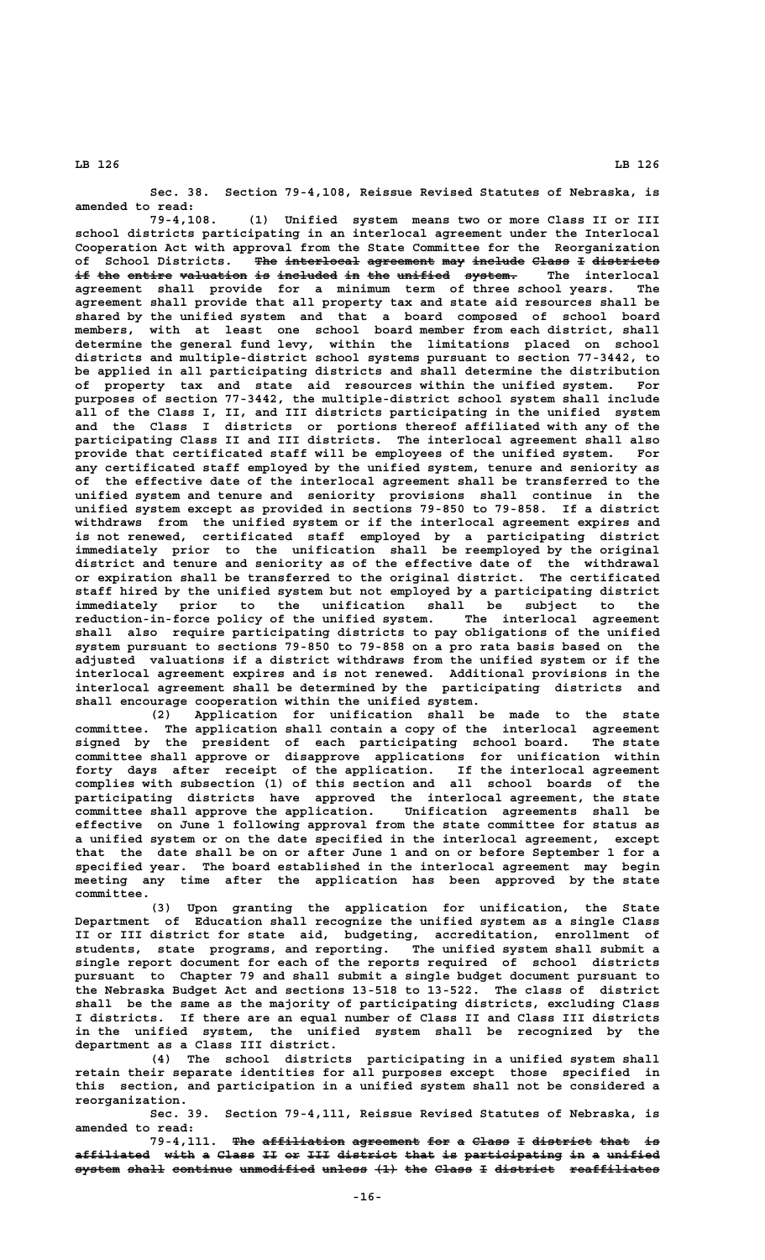**Sec. 38. Section 79-4,108, Reissue Revised Statutes of Nebraska, is amended to read:**

**79-4,108. (1) Unified system means two or more Class II or III school districts participating in an interlocal agreement under the Interlocal Cooperation Act with approval from the State Committee for the Reorganization of School Districts. The interlocal agreement may include Class I districts ——— —————————— ————————— ——— ——————— ————— — —————————**  $\textbf{if the entire valuation is included in the unit of the system.}$  The interlocal **agreement shall provide for a minimum term of three school years. The agreement shall provide that all property tax and state aid resources shall be shared by the unified system and that a board composed of school board members, with at least one school board member from each district, shall determine the general fund levy, within the limitations placed on school districts and multiple-district school systems pursuant to section 77-3442, to be applied in all participating districts and shall determine the distribution of property tax and state aid resources within the unified system. For purposes of section 77-3442, the multiple-district school system shall include all of the Class I, II, and III districts participating in the unified system and the Class I districts or portions thereof affiliated with any of the participating Class II and III districts. The interlocal agreement shall also provide that certificated staff will be employees of the unified system. For any certificated staff employed by the unified system, tenure and seniority as of the effective date of the interlocal agreement shall be transferred to the unified system and tenure and seniority provisions shall continue in the unified system except as provided in sections 79-850 to 79-858. If a district withdraws from the unified system or if the interlocal agreement expires and is not renewed, certificated staff employed by a participating district immediately prior to the unification shall be reemployed by the original district and tenure and seniority as of the effective date of the withdrawal or expiration shall be transferred to the original district. The certificated staff hired by the unified system but not employed by a participating district immediately prior to the unification shall be subject to the reduction-in-force policy of the unified system. The interlocal agreement shall also require participating districts to pay obligations of the unified system pursuant to sections 79-850 to 79-858 on a pro rata basis based on the adjusted valuations if a district withdraws from the unified system or if the interlocal agreement expires and is not renewed. Additional provisions in the interlocal agreement shall be determined by the participating districts and shall encourage cooperation within the unified system.**

**(2) Application for unification shall be made to the state committee. The application shall contain a copy of the interlocal agreement signed by the president of each participating school board. The state committee shall approve or disapprove applications for unification within forty days after receipt of the application. If the interlocal agreement complies with subsection (1) of this section and all school boards of the participating districts have approved the interlocal agreement, the state committee shall approve the application. Unification agreements shall be effective on June 1 following approval from the state committee for status as a unified system or on the date specified in the interlocal agreement, except that the date shall be on or after June 1 and on or before September 1 for a specified year. The board established in the interlocal agreement may begin meeting any time after the application has been approved by the state**

 **committee. (3) Upon granting the application for unification, the State Department of Education shall recognize the unified system as a single Class II or III district for state aid, budgeting, accreditation, enrollment of students, state programs, and reporting. The unified system shall submit a single report document for each of the reports required of school districts pursuant to Chapter 79 and shall submit a single budget document pursuant to the Nebraska Budget Act and sections 13-518 to 13-522. The class of district shall be the same as the majority of participating districts, excluding Class I districts. If there are an equal number of Class II and Class III districts in the unified system, the unified system shall be recognized by the department as a Class III district.**

**(4) The school districts participating in a unified system shall retain their separate identities for all purposes except those specified in this section, and participation in a unified system shall not be considered a reorganization.**

**Sec. 39. Section 79-4,111, Reissue Revised Statutes of Nebraska, is amended to read:**

79-4,111. The affiliation agreement for a Class I district that is **affiliated with a Class II or III district that is participating in a unified —————————— ———— — ————— —— —— ——— ———————— ———— —— ————————————— —— — ——————** system shall continue unmodified unless (1) the Class I district reaffiliates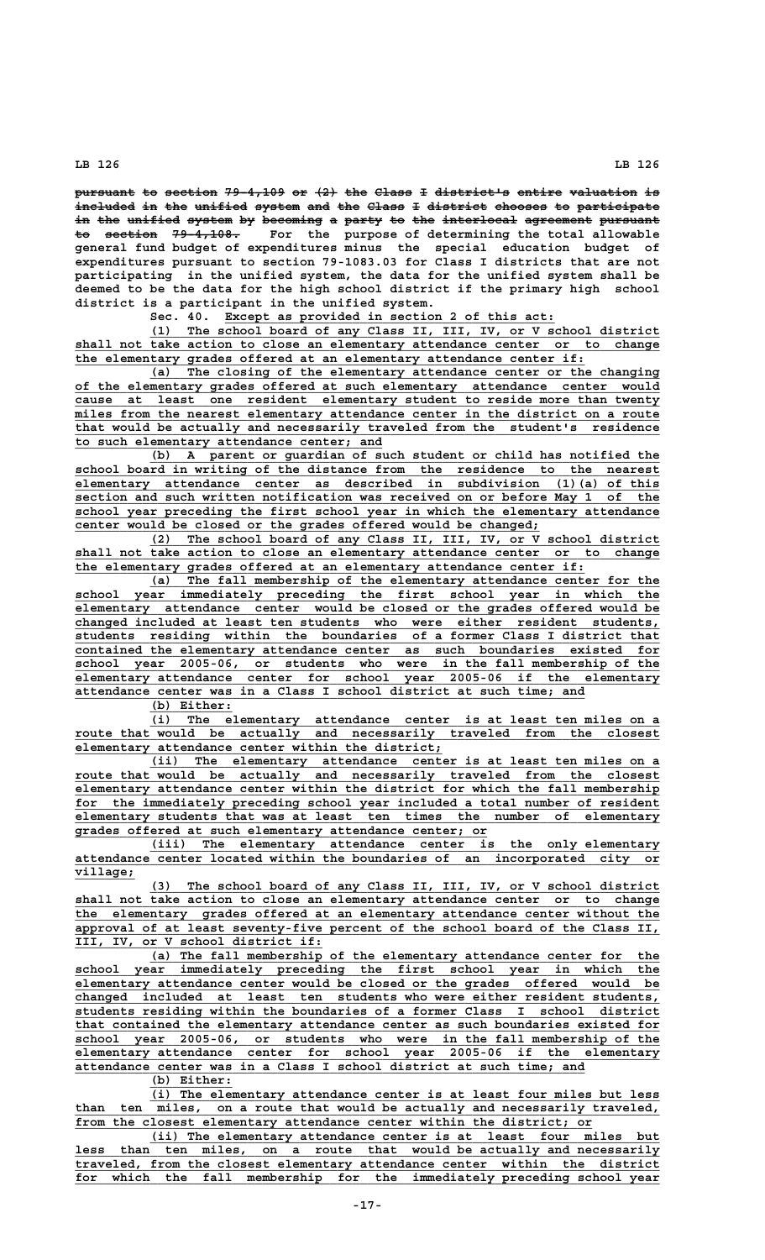pursuant to section 79-4,109 or (2) the Class I district<sup>1</sup>s entire valuation is included in the unified system and the Class I district chooses to participate in the unified system by becoming a party to the interlocal agreement pursuant to section 79-4,108. For the purpose of determining the total allowable **general fund budget of expenditures minus the special education budget of expenditures pursuant to section 79-1083.03 for Class I districts that are not participating in the unified system, the data for the unified system shall be deemed to be the data for the high school district if the primary high school district is a participant in the unified system.**

Sec. 40. Except as provided in section 2 of this act:

 **\_\_\_\_\_\_\_\_\_\_\_\_\_\_\_\_\_\_\_\_\_\_\_\_\_\_\_\_\_\_\_\_\_\_\_\_\_\_\_\_\_\_\_\_\_\_\_\_\_\_\_\_\_\_\_\_\_\_\_\_\_\_\_\_\_\_\_\_ (1) The school board of any Class II, III, IV, or V school district \_\_\_\_\_\_\_\_\_\_\_\_\_\_\_\_\_\_\_\_\_\_\_\_\_\_\_\_\_\_\_\_\_\_\_\_\_\_\_\_\_\_\_\_\_\_\_\_\_\_\_\_\_\_\_\_\_\_\_\_\_\_\_\_\_\_\_\_\_\_\_\_\_\_\_\_\_\_ shall not take action to close an elementary attendance center or to change \_\_\_\_\_\_\_\_\_\_\_\_\_\_\_\_\_\_\_\_\_\_\_\_\_\_\_\_\_\_\_\_\_\_\_\_\_\_\_\_\_\_\_\_\_\_\_\_\_\_\_\_\_\_\_\_\_\_\_\_\_\_\_\_\_\_\_\_ the elementary grades offered at an elementary attendance center if:**

 **\_\_\_\_\_\_\_\_\_\_\_\_\_\_\_\_\_\_\_\_\_\_\_\_\_\_\_\_\_\_\_\_\_\_\_\_\_\_\_\_\_\_\_\_\_\_\_\_\_\_\_\_\_\_\_\_\_\_\_\_\_\_\_\_\_\_\_\_ (a) The closing of the elementary attendance center or the changing \_\_\_\_\_\_\_\_\_\_\_\_\_\_\_\_\_\_\_\_\_\_\_\_\_\_\_\_\_\_\_\_\_\_\_\_\_\_\_\_\_\_\_\_\_\_\_\_\_\_\_\_\_\_\_\_\_\_\_\_\_\_\_\_\_\_\_\_\_\_\_\_\_\_\_\_\_\_ of the elementary grades offered at such elementary attendance center would \_\_\_\_\_\_\_\_\_\_\_\_\_\_\_\_\_\_\_\_\_\_\_\_\_\_\_\_\_\_\_\_\_\_\_\_\_\_\_\_\_\_\_\_\_\_\_\_\_\_\_\_\_\_\_\_\_\_\_\_\_\_\_\_\_\_\_\_\_\_\_\_\_\_\_\_\_\_ cause at least one resident elementary student to reside more than twenty**  $m$ iles from the nearest elementary attendance center in the district on a route  **\_\_\_\_\_\_\_\_\_\_\_\_\_\_\_\_\_\_\_\_\_\_\_\_\_\_\_\_\_\_\_\_\_\_\_\_\_\_\_\_\_\_\_\_\_\_\_\_\_\_\_\_\_\_\_\_\_\_\_\_\_\_\_\_\_\_\_\_\_\_\_\_\_\_\_\_\_\_ that would be actually and necessarily traveled from the student's residence \_\_\_\_\_\_\_\_\_\_\_\_\_\_\_\_\_\_\_\_\_\_\_\_\_\_\_\_\_\_\_\_\_\_\_\_\_\_\_\_\_ to such elementary attendance center; and**

 **\_\_\_\_\_\_\_\_\_\_\_\_\_\_\_\_\_\_\_\_\_\_\_\_\_\_\_\_\_\_\_\_\_\_\_\_\_\_\_\_\_\_\_\_\_\_\_\_\_\_\_\_\_\_\_\_\_\_\_\_\_\_\_\_\_\_\_\_ (b) A parent or guardian of such student or child has notified the \_\_\_\_\_\_\_\_\_\_\_\_\_\_\_\_\_\_\_\_\_\_\_\_\_\_\_\_\_\_\_\_\_\_\_\_\_\_\_\_\_\_\_\_\_\_\_\_\_\_\_\_\_\_\_\_\_\_\_\_\_\_\_\_\_\_\_\_\_\_\_\_\_\_\_\_\_\_ school board in writing of the distance from the residence to the nearest \_\_\_\_\_\_\_\_\_\_\_\_\_\_\_\_\_\_\_\_\_\_\_\_\_\_\_\_\_\_\_\_\_\_\_\_\_\_\_\_\_\_\_\_\_\_\_\_\_\_\_\_\_\_\_\_\_\_\_\_\_\_\_\_\_\_\_\_\_\_\_\_\_\_\_\_\_\_ elementary attendance center as described in subdivision (1)(a) of this \_\_\_\_\_\_\_\_\_\_\_\_\_\_\_\_\_\_\_\_\_\_\_\_\_\_\_\_\_\_\_\_\_\_\_\_\_\_\_\_\_\_\_\_\_\_\_\_\_\_\_\_\_\_\_\_\_\_\_\_\_\_\_\_\_\_\_\_\_\_\_\_\_\_\_\_\_\_ section and such written notification was received on or before May 1 of the** school year preceding the first school year in which the elementary attendance  **\_\_\_\_\_\_\_\_\_\_\_\_\_\_\_\_\_\_\_\_\_\_\_\_\_\_\_\_\_\_\_\_\_\_\_\_\_\_\_\_\_\_\_\_\_\_\_\_\_\_\_\_\_\_\_\_\_\_\_\_\_\_ center would be closed or the grades offered would be changed;**

 **\_\_\_\_\_\_\_\_\_\_\_\_\_\_\_\_\_\_\_\_\_\_\_\_\_\_\_\_\_\_\_\_\_\_\_\_\_\_\_\_\_\_\_\_\_\_\_\_\_\_\_\_\_\_\_\_\_\_\_\_\_\_\_\_\_\_\_\_ (2) The school board of any Class II, III, IV, or V school district \_\_\_\_\_\_\_\_\_\_\_\_\_\_\_\_\_\_\_\_\_\_\_\_\_\_\_\_\_\_\_\_\_\_\_\_\_\_\_\_\_\_\_\_\_\_\_\_\_\_\_\_\_\_\_\_\_\_\_\_\_\_\_\_\_\_\_\_\_\_\_\_\_\_\_\_\_\_ shall not take action to close an elementary attendance center or to change \_\_\_\_\_\_\_\_\_\_\_\_\_\_\_\_\_\_\_\_\_\_\_\_\_\_\_\_\_\_\_\_\_\_\_\_\_\_\_\_\_\_\_\_\_\_\_\_\_\_\_\_\_\_\_\_\_\_\_\_\_\_\_\_\_\_\_\_ the elementary grades offered at an elementary attendance center if:**

 **\_\_\_\_\_\_\_\_\_\_\_\_\_\_\_\_\_\_\_\_\_\_\_\_\_\_\_\_\_\_\_\_\_\_\_\_\_\_\_\_\_\_\_\_\_\_\_\_\_\_\_\_\_\_\_\_\_\_\_\_\_\_\_\_\_\_\_\_ (a) The fall membership of the elementary attendance center for the \_\_\_\_\_\_\_\_\_\_\_\_\_\_\_\_\_\_\_\_\_\_\_\_\_\_\_\_\_\_\_\_\_\_\_\_\_\_\_\_\_\_\_\_\_\_\_\_\_\_\_\_\_\_\_\_\_\_\_\_\_\_\_\_\_\_\_\_\_\_\_\_\_\_\_\_\_\_ school year immediately preceding the first school year in which the** elementary attendance center would be closed or the grades offered would be  **\_\_\_\_\_\_\_\_\_\_\_\_\_\_\_\_\_\_\_\_\_\_\_\_\_\_\_\_\_\_\_\_\_\_\_\_\_\_\_\_\_\_\_\_\_\_\_\_\_\_\_\_\_\_\_\_\_\_\_\_\_\_\_\_\_\_\_\_\_\_\_\_\_\_\_\_\_\_ changed included at least ten students who were either resident students, \_\_\_\_\_\_\_\_\_\_\_\_\_\_\_\_\_\_\_\_\_\_\_\_\_\_\_\_\_\_\_\_\_\_\_\_\_\_\_\_\_\_\_\_\_\_\_\_\_\_\_\_\_\_\_\_\_\_\_\_\_\_\_\_\_\_\_\_\_\_\_\_\_\_\_\_\_\_ students residing within the boundaries of a former Class I district that \_\_\_\_\_\_\_\_\_\_\_\_\_\_\_\_\_\_\_\_\_\_\_\_\_\_\_\_\_\_\_\_\_\_\_\_\_\_\_\_\_\_\_\_\_\_\_\_\_\_\_\_\_\_\_\_\_\_\_\_\_\_\_\_\_\_\_\_\_\_\_\_\_\_\_\_\_\_ contained the elementary attendance center as such boundaries existed for \_\_\_\_\_\_\_\_\_\_\_\_\_\_\_\_\_\_\_\_\_\_\_\_\_\_\_\_\_\_\_\_\_\_\_\_\_\_\_\_\_\_\_\_\_\_\_\_\_\_\_\_\_\_\_\_\_\_\_\_\_\_\_\_\_\_\_\_\_\_\_\_\_\_\_\_\_\_ school year 2005-06, or students who were in the fall membership of the \_\_\_\_\_\_\_\_\_\_\_\_\_\_\_\_\_\_\_\_\_\_\_\_\_\_\_\_\_\_\_\_\_\_\_\_\_\_\_\_\_\_\_\_\_\_\_\_\_\_\_\_\_\_\_\_\_\_\_\_\_\_\_\_\_\_\_\_\_\_\_\_\_\_\_\_\_\_ elementary attendance center for school year 2005-06 if the elementary \_\_\_\_\_\_\_\_\_\_\_\_\_\_\_\_\_\_\_\_\_\_\_\_\_\_\_\_\_\_\_\_\_\_\_\_\_\_\_\_\_\_\_\_\_\_\_\_\_\_\_\_\_\_\_\_\_\_\_\_\_\_\_\_\_\_\_\_ attendance center was in a Class I school district at such time; and**

 **(b) Either: \_\_\_\_\_\_\_\_\_\_\_**

 **\_\_\_\_\_\_\_\_\_\_\_\_\_\_\_\_\_\_\_\_\_\_\_\_\_\_\_\_\_\_\_\_\_\_\_\_\_\_\_\_\_\_\_\_\_\_\_\_\_\_\_\_\_\_\_\_\_\_\_\_\_\_\_\_\_\_\_\_ (i) The elementary attendance center is at least ten miles on a \_\_\_\_\_\_\_\_\_\_\_\_\_\_\_\_\_\_\_\_\_\_\_\_\_\_\_\_\_\_\_\_\_\_\_\_\_\_\_\_\_\_\_\_\_\_\_\_\_\_\_\_\_\_\_\_\_\_\_\_\_\_\_\_\_\_\_\_\_\_\_\_\_\_\_\_\_\_ route that would be actually and necessarily traveled from the closest \_\_\_\_\_\_\_\_\_\_\_\_\_\_\_\_\_\_\_\_\_\_\_\_\_\_\_\_\_\_\_\_\_\_\_\_\_\_\_\_\_\_\_\_\_\_\_\_\_ elementary attendance center within the district;**

 **\_\_\_\_\_\_\_\_\_\_\_\_\_\_\_\_\_\_\_\_\_\_\_\_\_\_\_\_\_\_\_\_\_\_\_\_\_\_\_\_\_\_\_\_\_\_\_\_\_\_\_\_\_\_\_\_\_\_\_\_\_\_\_\_\_\_\_\_ (ii) The elementary attendance center is at least ten miles on a \_\_\_\_\_\_\_\_\_\_\_\_\_\_\_\_\_\_\_\_\_\_\_\_\_\_\_\_\_\_\_\_\_\_\_\_\_\_\_\_\_\_\_\_\_\_\_\_\_\_\_\_\_\_\_\_\_\_\_\_\_\_\_\_\_\_\_\_\_\_\_\_\_\_\_\_\_\_ route that would be actually and necessarily traveled from the closest \_\_\_\_\_\_\_\_\_\_\_\_\_\_\_\_\_\_\_\_\_\_\_\_\_\_\_\_\_\_\_\_\_\_\_\_\_\_\_\_\_\_\_\_\_\_\_\_\_\_\_\_\_\_\_\_\_\_\_\_\_\_\_\_\_\_\_\_\_\_\_\_\_\_\_\_\_\_ elementary attendance center within the district for which the fall membership** for the immediately preceding school year included a total number of resident  **\_\_\_\_\_\_\_\_\_\_\_\_\_\_\_\_\_\_\_\_\_\_\_\_\_\_\_\_\_\_\_\_\_\_\_\_\_\_\_\_\_\_\_\_\_\_\_\_\_\_\_\_\_\_\_\_\_\_\_\_\_\_\_\_\_\_\_\_\_\_\_\_\_\_\_\_\_\_ elementary students that was at least ten times the number of elementary \_\_\_\_\_\_\_\_\_\_\_\_\_\_\_\_\_\_\_\_\_\_\_\_\_\_\_\_\_\_\_\_\_\_\_\_\_\_\_\_\_\_\_\_\_\_\_\_\_\_\_\_\_\_\_ grades offered at such elementary attendance center; or**

 **\_\_\_\_\_\_\_\_\_\_\_\_\_\_\_\_\_\_\_\_\_\_\_\_\_\_\_\_\_\_\_\_\_\_\_\_\_\_\_\_\_\_\_\_\_\_\_\_\_\_\_\_\_\_\_\_\_\_\_\_\_\_\_\_\_\_\_\_ (iii) The elementary attendance center is the only elementary \_\_\_\_\_\_\_\_\_\_\_\_\_\_\_\_\_\_\_\_\_\_\_\_\_\_\_\_\_\_\_\_\_\_\_\_\_\_\_\_\_\_\_\_\_\_\_\_\_\_\_\_\_\_\_\_\_\_\_\_\_\_\_\_\_\_\_\_\_\_\_\_\_\_\_\_\_\_ attendance center located within the boundaries of an incorporated city or village; \_\_\_\_\_\_\_\_**

 **\_\_\_\_\_\_\_\_\_\_\_\_\_\_\_\_\_\_\_\_\_\_\_\_\_\_\_\_\_\_\_\_\_\_\_\_\_\_\_\_\_\_\_\_\_\_\_\_\_\_\_\_\_\_\_\_\_\_\_\_\_\_\_\_\_\_\_\_ (3) The school board of any Class II, III, IV, or V school district**  $shall$  not take action to close an elementary attendance center or to change  **\_\_\_\_\_\_\_\_\_\_\_\_\_\_\_\_\_\_\_\_\_\_\_\_\_\_\_\_\_\_\_\_\_\_\_\_\_\_\_\_\_\_\_\_\_\_\_\_\_\_\_\_\_\_\_\_\_\_\_\_\_\_\_\_\_\_\_\_\_\_\_\_\_\_\_\_\_\_ the elementary grades offered at an elementary attendance center without the** approval of at least seventy-five percent of the school board of the Class II,  **\_\_\_\_\_\_\_\_\_\_\_\_\_\_\_\_\_\_\_\_\_\_\_\_\_\_\_\_\_\_\_\_\_ III, IV, or V school district if:**

 **\_\_\_\_\_\_\_\_\_\_\_\_\_\_\_\_\_\_\_\_\_\_\_\_\_\_\_\_\_\_\_\_\_\_\_\_\_\_\_\_\_\_\_\_\_\_\_\_\_\_\_\_\_\_\_\_\_\_\_\_\_\_\_\_\_\_\_\_ (a) The fall membership of the elementary attendance center for the** school year immediately preceding the first school year in which the  **\_\_\_\_\_\_\_\_\_\_\_\_\_\_\_\_\_\_\_\_\_\_\_\_\_\_\_\_\_\_\_\_\_\_\_\_\_\_\_\_\_\_\_\_\_\_\_\_\_\_\_\_\_\_\_\_\_\_\_\_\_\_\_\_\_\_\_\_\_\_\_\_\_\_\_\_\_\_ elementary attendance center would be closed or the grades offered would be \_\_\_\_\_\_\_\_\_\_\_\_\_\_\_\_\_\_\_\_\_\_\_\_\_\_\_\_\_\_\_\_\_\_\_\_\_\_\_\_\_\_\_\_\_\_\_\_\_\_\_\_\_\_\_\_\_\_\_\_\_\_\_\_\_\_\_\_\_\_\_\_\_\_\_\_\_\_ changed included at least ten students who were either resident students, \_\_\_\_\_\_\_\_\_\_\_\_\_\_\_\_\_\_\_\_\_\_\_\_\_\_\_\_\_\_\_\_\_\_\_\_\_\_\_\_\_\_\_\_\_\_\_\_\_\_\_\_\_\_\_\_\_\_\_\_\_\_\_\_\_\_\_\_\_\_\_\_\_\_\_\_\_\_ students residing within the boundaries of a former Class I school district \_\_\_\_\_\_\_\_\_\_\_\_\_\_\_\_\_\_\_\_\_\_\_\_\_\_\_\_\_\_\_\_\_\_\_\_\_\_\_\_\_\_\_\_\_\_\_\_\_\_\_\_\_\_\_\_\_\_\_\_\_\_\_\_\_\_\_\_\_\_\_\_\_\_\_\_\_\_ that contained the elementary attendance center as such boundaries existed for \_\_\_\_\_\_\_\_\_\_\_\_\_\_\_\_\_\_\_\_\_\_\_\_\_\_\_\_\_\_\_\_\_\_\_\_\_\_\_\_\_\_\_\_\_\_\_\_\_\_\_\_\_\_\_\_\_\_\_\_\_\_\_\_\_\_\_\_\_\_\_\_\_\_\_\_\_\_ school year 2005-06, or students who were in the fall membership of the \_\_\_\_\_\_\_\_\_\_\_\_\_\_\_\_\_\_\_\_\_\_\_\_\_\_\_\_\_\_\_\_\_\_\_\_\_\_\_\_\_\_\_\_\_\_\_\_\_\_\_\_\_\_\_\_\_\_\_\_\_\_\_\_\_\_\_\_\_\_\_\_\_\_\_\_\_\_ elementary attendance center for school year 2005-06 if the elementary \_\_\_\_\_\_\_\_\_\_\_\_\_\_\_\_\_\_\_\_\_\_\_\_\_\_\_\_\_\_\_\_\_\_\_\_\_\_\_\_\_\_\_\_\_\_\_\_\_\_\_\_\_\_\_\_\_\_\_\_\_\_\_\_\_\_\_\_ attendance center was in a Class I school district at such time; and**

 **(b) Either: \_\_\_\_\_\_\_\_\_\_\_**

 **\_\_\_\_\_\_\_\_\_\_\_\_\_\_\_\_\_\_\_\_\_\_\_\_\_\_\_\_\_\_\_\_\_\_\_\_\_\_\_\_\_\_\_\_\_\_\_\_\_\_\_\_\_\_\_\_\_\_\_\_\_\_\_\_\_\_\_\_ (i) The elementary attendance center is at least four miles but less \_\_\_\_\_\_\_\_\_\_\_\_\_\_\_\_\_\_\_\_\_\_\_\_\_\_\_\_\_\_\_\_\_\_\_\_\_\_\_\_\_\_\_\_\_\_\_\_\_\_\_\_\_\_\_\_\_\_\_\_\_\_\_\_\_\_\_\_\_\_\_\_\_\_\_\_\_\_ than ten miles, on a route that would be actually and necessarily traveled,** from the closest elementary attendance center within the district; or

 **\_\_\_\_\_\_\_\_\_\_\_\_\_\_\_\_\_\_\_\_\_\_\_\_\_\_\_\_\_\_\_\_\_\_\_\_\_\_\_\_\_\_\_\_\_\_\_\_\_\_\_\_\_\_\_\_\_\_\_\_\_\_\_\_\_\_\_\_ (ii) The elementary attendance center is at least four miles but \_\_\_\_\_\_\_\_\_\_\_\_\_\_\_\_\_\_\_\_\_\_\_\_\_\_\_\_\_\_\_\_\_\_\_\_\_\_\_\_\_\_\_\_\_\_\_\_\_\_\_\_\_\_\_\_\_\_\_\_\_\_\_\_\_\_\_\_\_\_\_\_\_\_\_\_\_\_ less than ten miles, on a route that would be actually and necessarily \_\_\_\_\_\_\_\_\_\_\_\_\_\_\_\_\_\_\_\_\_\_\_\_\_\_\_\_\_\_\_\_\_\_\_\_\_\_\_\_\_\_\_\_\_\_\_\_\_\_\_\_\_\_\_\_\_\_\_\_\_\_\_\_\_\_\_\_\_\_\_\_\_\_\_\_\_\_ traveled, from the closest elementary attendance center within the district** for which the fall membership for the immediately preceding school year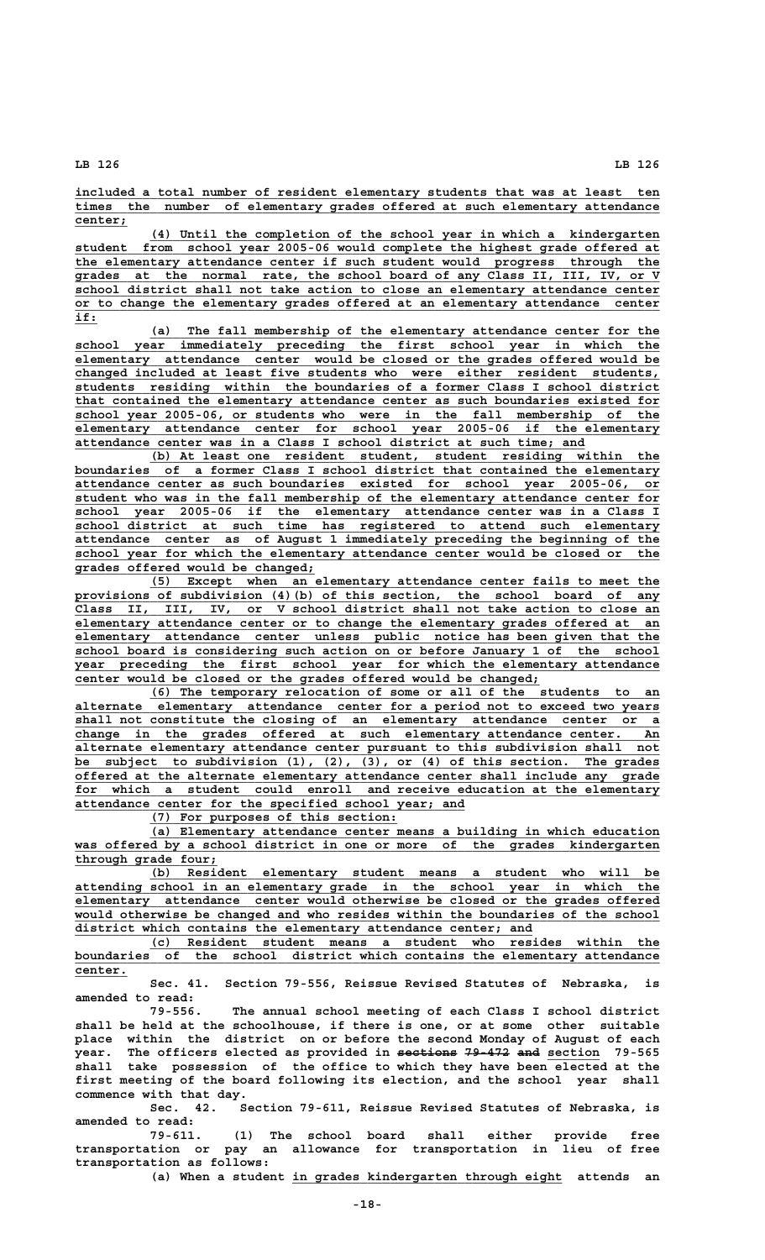**\_\_\_\_\_\_\_\_\_\_\_\_\_\_\_\_\_\_\_\_\_\_\_\_\_\_\_\_\_\_\_\_\_\_\_\_\_\_\_\_\_\_\_\_\_\_\_\_\_\_\_\_\_\_\_\_\_\_\_\_\_\_\_\_\_\_\_\_\_\_\_\_\_\_\_\_\_\_ included a total number of resident elementary students that was at least ten \_\_\_\_\_\_\_\_\_\_\_\_\_\_\_\_\_\_\_\_\_\_\_\_\_\_\_\_\_\_\_\_\_\_\_\_\_\_\_\_\_\_\_\_\_\_\_\_\_\_\_\_\_\_\_\_\_\_\_\_\_\_\_\_\_\_\_\_\_\_\_\_\_\_\_\_\_\_ times the number of elementary grades offered at such elementary attendance center; \_\_\_\_\_\_\_**

 **\_\_\_\_\_\_\_\_\_\_\_\_\_\_\_\_\_\_\_\_\_\_\_\_\_\_\_\_\_\_\_\_\_\_\_\_\_\_\_\_\_\_\_\_\_\_\_\_\_\_\_\_\_\_\_\_\_\_\_\_\_\_\_\_\_\_\_\_ (4) Until the completion of the school year in which a kindergarten \_\_\_\_\_\_\_\_\_\_\_\_\_\_\_\_\_\_\_\_\_\_\_\_\_\_\_\_\_\_\_\_\_\_\_\_\_\_\_\_\_\_\_\_\_\_\_\_\_\_\_\_\_\_\_\_\_\_\_\_\_\_\_\_\_\_\_\_\_\_\_\_\_\_\_\_\_\_ student from school year 2005-06 would complete the highest grade offered at \_\_\_\_\_\_\_\_\_\_\_\_\_\_\_\_\_\_\_\_\_\_\_\_\_\_\_\_\_\_\_\_\_\_\_\_\_\_\_\_\_\_\_\_\_\_\_\_\_\_\_\_\_\_\_\_\_\_\_\_\_\_\_\_\_\_\_\_\_\_\_\_\_\_\_\_\_\_ the elementary attendance center if such student would progress through the \_\_\_\_\_\_\_\_\_\_\_\_\_\_\_\_\_\_\_\_\_\_\_\_\_\_\_\_\_\_\_\_\_\_\_\_\_\_\_\_\_\_\_\_\_\_\_\_\_\_\_\_\_\_\_\_\_\_\_\_\_\_\_\_\_\_\_\_\_\_\_\_\_\_\_\_\_\_ grades at the normal rate, the school board of any Class II, III, IV, or V \_\_\_\_\_\_\_\_\_\_\_\_\_\_\_\_\_\_\_\_\_\_\_\_\_\_\_\_\_\_\_\_\_\_\_\_\_\_\_\_\_\_\_\_\_\_\_\_\_\_\_\_\_\_\_\_\_\_\_\_\_\_\_\_\_\_\_\_\_\_\_\_\_\_\_\_\_\_ school district shall not take action to close an elementary attendance center \_\_\_\_\_\_\_\_\_\_\_\_\_\_\_\_\_\_\_\_\_\_\_\_\_\_\_\_\_\_\_\_\_\_\_\_\_\_\_\_\_\_\_\_\_\_\_\_\_\_\_\_\_\_\_\_\_\_\_\_\_\_\_\_\_\_\_\_\_\_\_\_\_\_\_\_\_\_ or to change the elementary grades offered at an elementary attendance center if:\_\_\_**

 **\_\_\_\_\_\_\_\_\_\_\_\_\_\_\_\_\_\_\_\_\_\_\_\_\_\_\_\_\_\_\_\_\_\_\_\_\_\_\_\_\_\_\_\_\_\_\_\_\_\_\_\_\_\_\_\_\_\_\_\_\_\_\_\_\_\_\_\_ (a) The fall membership of the elementary attendance center for the \_\_\_\_\_\_\_\_\_\_\_\_\_\_\_\_\_\_\_\_\_\_\_\_\_\_\_\_\_\_\_\_\_\_\_\_\_\_\_\_\_\_\_\_\_\_\_\_\_\_\_\_\_\_\_\_\_\_\_\_\_\_\_\_\_\_\_\_\_\_\_\_\_\_\_\_\_\_ school year immediately preceding the first school year in which the \_\_\_\_\_\_\_\_\_\_\_\_\_\_\_\_\_\_\_\_\_\_\_\_\_\_\_\_\_\_\_\_\_\_\_\_\_\_\_\_\_\_\_\_\_\_\_\_\_\_\_\_\_\_\_\_\_\_\_\_\_\_\_\_\_\_\_\_\_\_\_\_\_\_\_\_\_\_ elementary attendance center would be closed or the grades offered would be \_\_\_\_\_\_\_\_\_\_\_\_\_\_\_\_\_\_\_\_\_\_\_\_\_\_\_\_\_\_\_\_\_\_\_\_\_\_\_\_\_\_\_\_\_\_\_\_\_\_\_\_\_\_\_\_\_\_\_\_\_\_\_\_\_\_\_\_\_\_\_\_\_\_\_\_\_\_ changed included at least five students who were either resident students, \_\_\_\_\_\_\_\_\_\_\_\_\_\_\_\_\_\_\_\_\_\_\_\_\_\_\_\_\_\_\_\_\_\_\_\_\_\_\_\_\_\_\_\_\_\_\_\_\_\_\_\_\_\_\_\_\_\_\_\_\_\_\_\_\_\_\_\_\_\_\_\_\_\_\_\_\_\_ students residing within the boundaries of a former Class I school district \_\_\_\_\_\_\_\_\_\_\_\_\_\_\_\_\_\_\_\_\_\_\_\_\_\_\_\_\_\_\_\_\_\_\_\_\_\_\_\_\_\_\_\_\_\_\_\_\_\_\_\_\_\_\_\_\_\_\_\_\_\_\_\_\_\_\_\_\_\_\_\_\_\_\_\_\_\_ that contained the elementary attendance center as such boundaries existed for \_\_\_\_\_\_\_\_\_\_\_\_\_\_\_\_\_\_\_\_\_\_\_\_\_\_\_\_\_\_\_\_\_\_\_\_\_\_\_\_\_\_\_\_\_\_\_\_\_\_\_\_\_\_\_\_\_\_\_\_\_\_\_\_\_\_\_\_\_\_\_\_\_\_\_\_\_\_ school year 2005-06, or students who were in the fall membership of the \_\_\_\_\_\_\_\_\_\_\_\_\_\_\_\_\_\_\_\_\_\_\_\_\_\_\_\_\_\_\_\_\_\_\_\_\_\_\_\_\_\_\_\_\_\_\_\_\_\_\_\_\_\_\_\_\_\_\_\_\_\_\_\_\_\_\_\_\_\_\_\_\_\_\_\_\_\_ elementary attendance center for school year 2005-06 if the elementary \_\_\_\_\_\_\_\_\_\_\_\_\_\_\_\_\_\_\_\_\_\_\_\_\_\_\_\_\_\_\_\_\_\_\_\_\_\_\_\_\_\_\_\_\_\_\_\_\_\_\_\_\_\_\_\_\_\_\_\_\_\_\_\_\_\_\_\_ attendance center was in a Class I school district at such time; and**

 **\_\_\_\_\_\_\_\_\_\_\_\_\_\_\_\_\_\_\_\_\_\_\_\_\_\_\_\_\_\_\_\_\_\_\_\_\_\_\_\_\_\_\_\_\_\_\_\_\_\_\_\_\_\_\_\_\_\_\_\_\_\_\_\_\_\_\_\_ (b) At least one resident student, student residing within the \_\_\_\_\_\_\_\_\_\_\_\_\_\_\_\_\_\_\_\_\_\_\_\_\_\_\_\_\_\_\_\_\_\_\_\_\_\_\_\_\_\_\_\_\_\_\_\_\_\_\_\_\_\_\_\_\_\_\_\_\_\_\_\_\_\_\_\_\_\_\_\_\_\_\_\_\_\_ boundaries of a former Class I school district that contained the elementary \_\_\_\_\_\_\_\_\_\_\_\_\_\_\_\_\_\_\_\_\_\_\_\_\_\_\_\_\_\_\_\_\_\_\_\_\_\_\_\_\_\_\_\_\_\_\_\_\_\_\_\_\_\_\_\_\_\_\_\_\_\_\_\_\_\_\_\_\_\_\_\_\_\_\_\_\_\_ attendance center as such boundaries existed for school year 2005-06, or \_\_\_\_\_\_\_\_\_\_\_\_\_\_\_\_\_\_\_\_\_\_\_\_\_\_\_\_\_\_\_\_\_\_\_\_\_\_\_\_\_\_\_\_\_\_\_\_\_\_\_\_\_\_\_\_\_\_\_\_\_\_\_\_\_\_\_\_\_\_\_\_\_\_\_\_\_\_ student who was in the fall membership of the elementary attendance center for \_\_\_\_\_\_\_\_\_\_\_\_\_\_\_\_\_\_\_\_\_\_\_\_\_\_\_\_\_\_\_\_\_\_\_\_\_\_\_\_\_\_\_\_\_\_\_\_\_\_\_\_\_\_\_\_\_\_\_\_\_\_\_\_\_\_\_\_\_\_\_\_\_\_\_\_\_\_ school year 2005-06 if the elementary attendance center was in a Class I \_\_\_\_\_\_\_\_\_\_\_\_\_\_\_\_\_\_\_\_\_\_\_\_\_\_\_\_\_\_\_\_\_\_\_\_\_\_\_\_\_\_\_\_\_\_\_\_\_\_\_\_\_\_\_\_\_\_\_\_\_\_\_\_\_\_\_\_\_\_\_\_\_\_\_\_\_\_ school district at such time has registered to attend such elementary \_\_\_\_\_\_\_\_\_\_\_\_\_\_\_\_\_\_\_\_\_\_\_\_\_\_\_\_\_\_\_\_\_\_\_\_\_\_\_\_\_\_\_\_\_\_\_\_\_\_\_\_\_\_\_\_\_\_\_\_\_\_\_\_\_\_\_\_\_\_\_\_\_\_\_\_\_\_ attendance center as of August 1 immediately preceding the beginning of the \_\_\_\_\_\_\_\_\_\_\_\_\_\_\_\_\_\_\_\_\_\_\_\_\_\_\_\_\_\_\_\_\_\_\_\_\_\_\_\_\_\_\_\_\_\_\_\_\_\_\_\_\_\_\_\_\_\_\_\_\_\_\_\_\_\_\_\_\_\_\_\_\_\_\_\_\_\_ school year for which the elementary attendance center would be closed or the \_\_\_\_\_\_\_\_\_\_\_\_\_\_\_\_\_\_\_\_\_\_\_\_\_\_\_\_\_\_\_\_ grades offered would be changed;**

 **\_\_\_\_\_\_\_\_\_\_\_\_\_\_\_\_\_\_\_\_\_\_\_\_\_\_\_\_\_\_\_\_\_\_\_\_\_\_\_\_\_\_\_\_\_\_\_\_\_\_\_\_\_\_\_\_\_\_\_\_\_\_\_\_\_\_\_\_ (5) Except when an elementary attendance center fails to meet the \_\_\_\_\_\_\_\_\_\_\_\_\_\_\_\_\_\_\_\_\_\_\_\_\_\_\_\_\_\_\_\_\_\_\_\_\_\_\_\_\_\_\_\_\_\_\_\_\_\_\_\_\_\_\_\_\_\_\_\_\_\_\_\_\_\_\_\_\_\_\_\_\_\_\_\_\_\_ provisions of subdivision (4)(b) of this section, the school board of any \_\_\_\_\_\_\_\_\_\_\_\_\_\_\_\_\_\_\_\_\_\_\_\_\_\_\_\_\_\_\_\_\_\_\_\_\_\_\_\_\_\_\_\_\_\_\_\_\_\_\_\_\_\_\_\_\_\_\_\_\_\_\_\_\_\_\_\_\_\_\_\_\_\_\_\_\_\_ Class II, III, IV, or V school district shall not take action to close an \_\_\_\_\_\_\_\_\_\_\_\_\_\_\_\_\_\_\_\_\_\_\_\_\_\_\_\_\_\_\_\_\_\_\_\_\_\_\_\_\_\_\_\_\_\_\_\_\_\_\_\_\_\_\_\_\_\_\_\_\_\_\_\_\_\_\_\_\_\_\_\_\_\_\_\_\_\_ elementary attendance center or to change the elementary grades offered at an \_\_\_\_\_\_\_\_\_\_\_\_\_\_\_\_\_\_\_\_\_\_\_\_\_\_\_\_\_\_\_\_\_\_\_\_\_\_\_\_\_\_\_\_\_\_\_\_\_\_\_\_\_\_\_\_\_\_\_\_\_\_\_\_\_\_\_\_\_\_\_\_\_\_\_\_\_\_ elementary attendance center unless public notice has been given that the \_\_\_\_\_\_\_\_\_\_\_\_\_\_\_\_\_\_\_\_\_\_\_\_\_\_\_\_\_\_\_\_\_\_\_\_\_\_\_\_\_\_\_\_\_\_\_\_\_\_\_\_\_\_\_\_\_\_\_\_\_\_\_\_\_\_\_\_\_\_\_\_\_\_\_\_\_\_ school board is considering such action on or before January 1 of the school \_\_\_\_\_\_\_\_\_\_\_\_\_\_\_\_\_\_\_\_\_\_\_\_\_\_\_\_\_\_\_\_\_\_\_\_\_\_\_\_\_\_\_\_\_\_\_\_\_\_\_\_\_\_\_\_\_\_\_\_\_\_\_\_\_\_\_\_\_\_\_\_\_\_\_\_\_\_ year preceding the first school year for which the elementary attendance \_\_\_\_\_\_\_\_\_\_\_\_\_\_\_\_\_\_\_\_\_\_\_\_\_\_\_\_\_\_\_\_\_\_\_\_\_\_\_\_\_\_\_\_\_\_\_\_\_\_\_\_\_\_\_\_\_\_\_\_\_\_ center would be closed or the grades offered would be changed;**

 **(6) The temporary relocation of some or all of the students to an \_\_\_\_\_\_\_\_\_\_\_\_\_\_\_\_\_\_\_\_\_\_\_\_\_\_\_\_\_\_\_\_\_\_\_\_\_\_\_\_\_\_\_\_\_\_\_\_\_\_\_\_\_\_\_\_\_\_\_\_\_\_\_\_\_\_\_\_\_\_\_\_\_\_\_\_\_\_ alternate elementary attendance center for a period not to exceed two years \_\_\_\_\_\_\_\_\_\_\_\_\_\_\_\_\_\_\_\_\_\_\_\_\_\_\_\_\_\_\_\_\_\_\_\_\_\_\_\_\_\_\_\_\_\_\_\_\_\_\_\_\_\_\_\_\_\_\_\_\_\_\_\_\_\_\_\_\_\_\_\_\_\_\_\_\_\_ shall not constitute the closing of an elementary attendance center or a \_\_\_\_\_\_\_\_\_\_\_\_\_\_\_\_\_\_\_\_\_\_\_\_\_\_\_\_\_\_\_\_\_\_\_\_\_\_\_\_\_\_\_\_\_\_\_\_\_\_\_\_\_\_\_\_\_\_\_\_\_\_\_\_\_\_\_\_\_\_\_\_\_\_\_\_\_\_ change in the grades offered at such elementary attendance center. An \_\_\_\_\_\_\_\_\_\_\_\_\_\_\_\_\_\_\_\_\_\_\_\_\_\_\_\_\_\_\_\_\_\_\_\_\_\_\_\_\_\_\_\_\_\_\_\_\_\_\_\_\_\_\_\_\_\_\_\_\_\_\_\_\_\_\_\_\_\_\_\_\_\_\_\_\_\_ alternate elementary attendance center pursuant to this subdivision shall not \_\_\_\_\_\_\_\_\_\_\_\_\_\_\_\_\_\_\_\_\_\_\_\_\_\_\_\_\_\_\_\_\_\_\_\_\_\_\_\_\_\_\_\_\_\_\_\_\_\_\_\_\_\_\_\_\_\_\_\_\_\_\_\_\_\_\_\_\_\_\_\_\_\_\_\_\_\_ be subject to subdivision (1), (2), (3), or (4) of this section. The grades \_\_\_\_\_\_\_\_\_\_\_\_\_\_\_\_\_\_\_\_\_\_\_\_\_\_\_\_\_\_\_\_\_\_\_\_\_\_\_\_\_\_\_\_\_\_\_\_\_\_\_\_\_\_\_\_\_\_\_\_\_\_\_\_\_\_\_\_\_\_\_\_\_\_\_\_\_\_ offered at the alternate elementary attendance center shall include any grade** for which a student could enroll and receive education at the elementary  **\_\_\_\_\_\_\_\_\_\_\_\_\_\_\_\_\_\_\_\_\_\_\_\_\_\_\_\_\_\_\_\_\_\_\_\_\_\_\_\_\_\_\_\_\_\_\_\_\_\_\_\_ attendance center for the specified school year; and**

 **\_\_\_\_\_\_\_\_\_\_\_\_\_\_\_\_\_\_\_\_\_\_\_\_\_\_\_\_\_\_\_\_\_ (7) For purposes of this section:**

 **\_\_\_\_\_\_\_\_\_\_\_\_\_\_\_\_\_\_\_\_\_\_\_\_\_\_\_\_\_\_\_\_\_\_\_\_\_\_\_\_\_\_\_\_\_\_\_\_\_\_\_\_\_\_\_\_\_\_\_\_\_\_\_\_\_\_\_\_ (a) Elementary attendance center means a building in which education** was offered by a school district in one or more of the grades kindergarten  **\_\_\_\_\_\_\_\_\_\_\_\_\_\_\_\_\_\_\_ through grade four;**

 **\_\_\_\_\_\_\_\_\_\_\_\_\_\_\_\_\_\_\_\_\_\_\_\_\_\_\_\_\_\_\_\_\_\_\_\_\_\_\_\_\_\_\_\_\_\_\_\_\_\_\_\_\_\_\_\_\_\_\_\_\_\_\_\_\_\_\_\_ (b) Resident elementary student means a student who will be \_\_\_\_\_\_\_\_\_\_\_\_\_\_\_\_\_\_\_\_\_\_\_\_\_\_\_\_\_\_\_\_\_\_\_\_\_\_\_\_\_\_\_\_\_\_\_\_\_\_\_\_\_\_\_\_\_\_\_\_\_\_\_\_\_\_\_\_\_\_\_\_\_\_\_\_\_\_ attending school in an elementary grade in the school year in which the \_\_\_\_\_\_\_\_\_\_\_\_\_\_\_\_\_\_\_\_\_\_\_\_\_\_\_\_\_\_\_\_\_\_\_\_\_\_\_\_\_\_\_\_\_\_\_\_\_\_\_\_\_\_\_\_\_\_\_\_\_\_\_\_\_\_\_\_\_\_\_\_\_\_\_\_\_\_ elementary attendance center would otherwise be closed or the grades offered** would otherwise be changed and who resides within the boundaries of the school  **\_\_\_\_\_\_\_\_\_\_\_\_\_\_\_\_\_\_\_\_\_\_\_\_\_\_\_\_\_\_\_\_\_\_\_\_\_\_\_\_\_\_\_\_\_\_\_\_\_\_\_\_\_\_\_\_\_\_\_\_\_ district which contains the elementary attendance center; and**

 **\_\_\_\_\_\_\_\_\_\_\_\_\_\_\_\_\_\_\_\_\_\_\_\_\_\_\_\_\_\_\_\_\_\_\_\_\_\_\_\_\_\_\_\_\_\_\_\_\_\_\_\_\_\_\_\_\_\_\_\_\_\_\_\_\_\_\_\_ (c) Resident student means a student who resides within the \_\_\_\_\_\_\_\_\_\_\_\_\_\_\_\_\_\_\_\_\_\_\_\_\_\_\_\_\_\_\_\_\_\_\_\_\_\_\_\_\_\_\_\_\_\_\_\_\_\_\_\_\_\_\_\_\_\_\_\_\_\_\_\_\_\_\_\_\_\_\_\_\_\_\_\_\_\_ boundaries of the school district which contains the elementary attendance center. \_\_\_\_\_\_\_**

**Sec. 41. Section 79-556, Reissue Revised Statutes of Nebraska, is amended to read:**

**79-556. The annual school meeting of each Class I school district shall be held at the schoolhouse, if there is one, or at some other suitable place within the district on or before the second Monday of August of each** year. The officers elected as provided in sections 79-472 and section 79-565 **shall take possession of the office to which they have been elected at the first meeting of the board following its election, and the school year shall commence with that day.**

**Sec. 42. Section 79-611, Reissue Revised Statutes of Nebraska, is amended to read:**

**79-611. (1) The school board shall either provide free transportation or pay an allowance for transportation in lieu of free transportation as follows:**

 **\_\_\_\_\_\_\_\_\_\_\_\_\_\_\_\_\_\_\_\_\_\_\_\_\_\_\_\_\_\_\_\_\_\_\_\_ (a) When a student in grades kindergarten through eight attends an**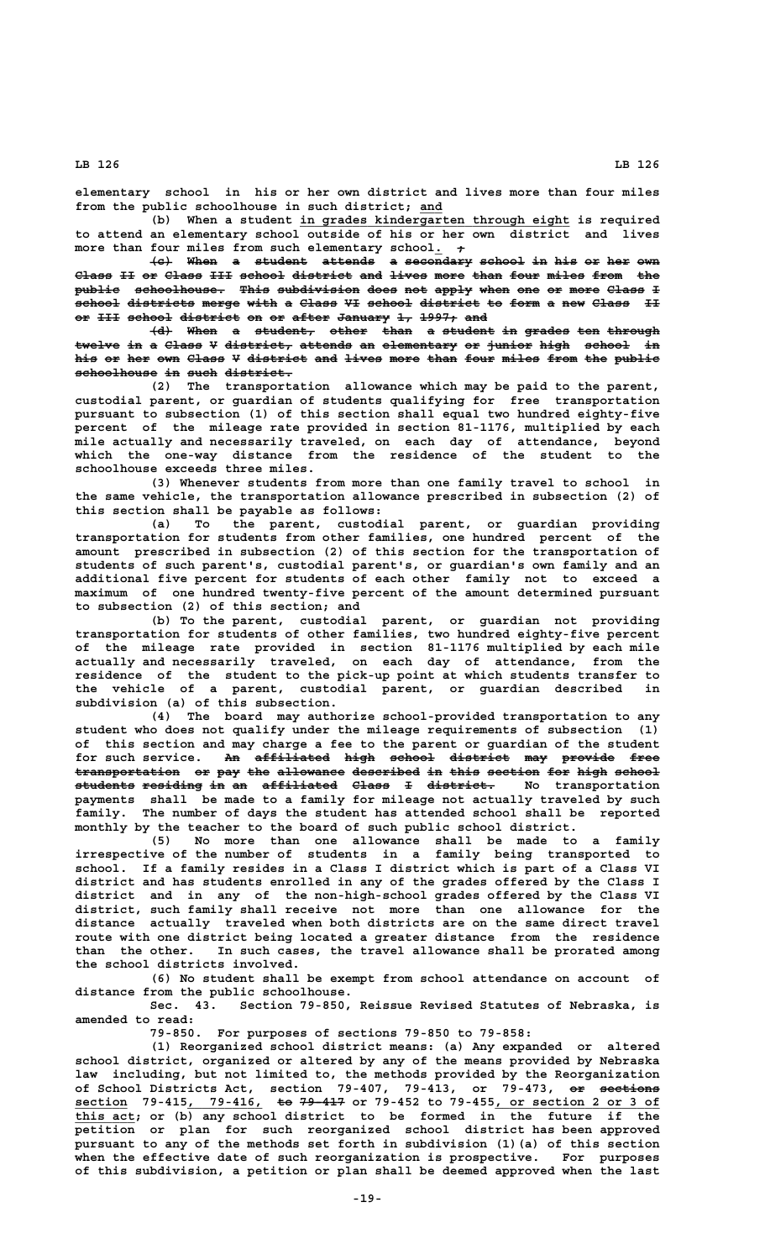**elementary school in his or her own district and lives more than four miles from the public schoolhouse in such district; and \_\_\_**

 **\_\_\_\_\_\_\_\_\_\_\_\_\_\_\_\_\_\_\_\_\_\_\_\_\_\_\_\_\_\_\_\_\_\_\_\_ (b) When a student in grades kindergarten through eight is required to attend an elementary school outside of his or her own district and lives** more than four miles from such elementary school. +

**(c) When a student attends a secondary school in his or her own ——— ———— — ——————— ——————— — ————————— —————— —— ——— —— ——— ——— Class II or Class III school district and lives more than four miles from the ————— —— —— ————— ——— —————— ———————— ——— ————— ———— ———— ———— ————— ———— ——** public schoolhouse. This subdivision does not apply when one or more Class I school districts merge with a Class VI school district to form a new Class II or <del>III</del> school district on or after January 1, 1997; and

**(d) When a student, other than a student in grades ten through ——— ———— — ———————— ————— ———— — ——————— —— —————— ——— ——————** twelve in a Class V district, attends an elementary or junior high school in his or her own Class V district and lives more than four miles from the public  $schoolhouse$  in such district.

**(2) The transportation allowance which may be paid to the parent, custodial parent, or guardian of students qualifying for free transportation pursuant to subsection (1) of this section shall equal two hundred eighty-five percent of the mileage rate provided in section 81-1176, multiplied by each mile actually and necessarily traveled, on each day of attendance, beyond which the one-way distance from the residence of the student to the schoolhouse exceeds three miles.**

**(3) Whenever students from more than one family travel to school in the same vehicle, the transportation allowance prescribed in subsection (2) of this section shall be payable as follows:**

**(a) To the parent, custodial parent, or guardian providing transportation for students from other families, one hundred percent of the amount prescribed in subsection (2) of this section for the transportation of students of such parent's, custodial parent's, or guardian's own family and an additional five percent for students of each other family not to exceed a maximum of one hundred twenty-five percent of the amount determined pursuant to subsection (2) of this section; and**

**(b) To the parent, custodial parent, or guardian not providing transportation for students of other families, two hundred eighty-five percent of the mileage rate provided in section 81-1176 multiplied by each mile actually and necessarily traveled, on each day of attendance, from the residence of the student to the pick-up point at which students transfer to the vehicle of a parent, custodial parent, or guardian described in subdivision (a) of this subsection.**

**(4) The board may authorize school-provided transportation to any student who does not qualify under the mileage requirements of subsection (1) of this section and may charge a fee to the parent or guardian of the student** for such service. An affiliated high school district may provide free transportation or pay the allowance described in this section for high school **students residing in an affiliated Class I district. No transportation ———————— ———————— —— —— —————————— ————— — ———————— payments shall be made to a family for mileage not actually traveled by such family. The number of days the student has attended school shall be reported monthly by the teacher to the board of such public school district.**

**(5) No more than one allowance shall be made to a family irrespective of the number of students in a family being transported to school. If a family resides in a Class I district which is part of a Class VI district and has students enrolled in any of the grades offered by the Class I district and in any of the non-high-school grades offered by the Class VI district, such family shall receive not more than one allowance for the distance actually traveled when both districts are on the same direct travel route with one district being located a greater distance from the residence than the other. In such cases, the travel allowance shall be prorated among the school districts involved.**

**(6) No student shall be exempt from school attendance on account of distance from the public schoolhouse.**

**Sec. 43. Section 79-850, Reissue Revised Statutes of Nebraska, is amended to read:**

**79-850. For purposes of sections 79-850 to 79-858:**

**(1) Reorganized school district means: (a) Any expanded or altered school district, organized or altered by any of the means provided by Nebraska law including, but not limited to, the methods provided by the Reorganization** of School Districts Act, section 79-407, 79-413, or 79-473, <del>or sections</del>  **\_\_\_\_\_\_\_ \_\_\_\_\_\_\_\_\_\_ —— —————— \_\_\_\_\_\_\_\_\_\_\_\_\_\_\_\_\_\_\_\_\_\_ section 79-415, 79-416, to 79-417 or 79-452 to 79-455, or section 2 or 3 of \_\_\_\_\_\_\_\_ this act; or (b) any school district to be formed in the future if the petition or plan for such reorganized school district has been approved pursuant to any of the methods set forth in subdivision (1)(a) of this section when the effective date of such reorganization is prospective. For purposes of this subdivision, a petition or plan shall be deemed approved when the last**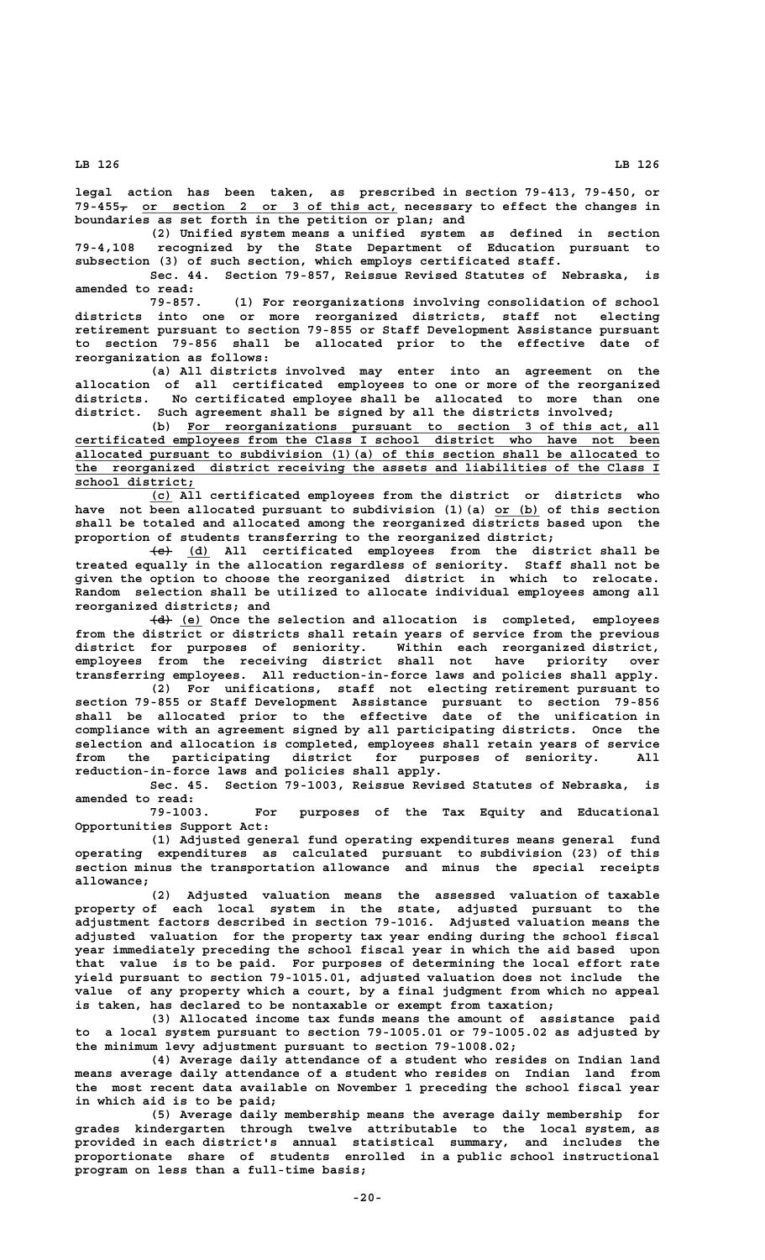**legal action has been taken, as prescribed in section 79-413, 79-450, or — \_\_\_\_\_\_\_\_\_\_\_\_\_\_\_\_\_\_\_\_\_\_\_\_\_\_\_\_\_\_\_\_\_\_ 79-455, or section 2 or 3 of this act, necessary to effect the changes in boundaries as set forth in the petition or plan; and**

**(2) Unified system means a unified system as defined in section 79-4,108 recognized by the State Department of Education pursuant to subsection (3) of such section, which employs certificated staff.**

**Sec. 44. Section 79-857, Reissue Revised Statutes of Nebraska, is amended to read:**

**79-857. (1) For reorganizations involving consolidation of school districts into one or more reorganized districts, staff not electing retirement pursuant to section 79-855 or Staff Development Assistance pursuant to section 79-856 shall be allocated prior to the effective date of reorganization as follows:**

**(a) All districts involved may enter into an agreement on the allocation of all certificated employees to one or more of the reorganized districts. No certificated employee shall be allocated to more than one district. Such agreement shall be signed by all the districts involved;**

 **\_\_\_\_\_\_\_\_\_\_\_\_\_\_\_\_\_\_\_\_\_\_\_\_\_\_\_\_\_\_\_\_\_\_\_\_\_\_\_\_\_\_\_\_\_\_\_\_\_\_\_\_\_\_\_\_\_\_\_\_\_\_\_ (b) For reorganizations pursuant to section 3 of this act, all \_\_\_\_\_\_\_\_\_\_\_\_\_\_\_\_\_\_\_\_\_\_\_\_\_\_\_\_\_\_\_\_\_\_\_\_\_\_\_\_\_\_\_\_\_\_\_\_\_\_\_\_\_\_\_\_\_\_\_\_\_\_\_\_\_\_\_\_\_\_\_\_\_\_\_\_\_\_ certificated employees from the Class I school district who have not been \_\_\_\_\_\_\_\_\_\_\_\_\_\_\_\_\_\_\_\_\_\_\_\_\_\_\_\_\_\_\_\_\_\_\_\_\_\_\_\_\_\_\_\_\_\_\_\_\_\_\_\_\_\_\_\_\_\_\_\_\_\_\_\_\_\_\_\_\_\_\_\_\_\_\_\_\_\_ allocated pursuant to subdivision (1)(a) of this section shall be allocated to \_\_\_\_\_\_\_\_\_\_\_\_\_\_\_\_\_\_\_\_\_\_\_\_\_\_\_\_\_\_\_\_\_\_\_\_\_\_\_\_\_\_\_\_\_\_\_\_\_\_\_\_\_\_\_\_\_\_\_\_\_\_\_\_\_\_\_\_\_\_\_\_\_\_\_\_\_\_ the reorganized district receiving the assets and liabilities of the Class I school district; \_\_\_\_\_\_\_\_\_\_\_\_\_\_\_\_**

 **\_\_\_ (c) All certificated employees from the district or districts who have not been allocated pursuant to subdivision (1)(a) or (b) of this section \_\_\_\_\_\_ shall be totaled and allocated among the reorganized districts based upon the proportion of students transferring to the reorganized district;**

 $\overline{+e}$  (d) All certificated employees from the district shall be **treated equally in the allocation regardless of seniority. Staff shall not be given the option to choose the reorganized district in which to relocate. Random selection shall be utilized to allocate individual employees among all reorganized districts; and**

 **——— \_\_\_ (d) (e) Once the selection and allocation is completed, employees from the district or districts shall retain years of service from the previous district for purposes of seniority. Within each reorganized district, employees from the receiving district shall not have priority over transferring employees. All reduction-in-force laws and policies shall apply.**

**(2) For unifications, staff not electing retirement pursuant to section 79-855 or Staff Development Assistance pursuant to section 79-856 shall be allocated prior to the effective date of the unification in compliance with an agreement signed by all participating districts. Once the selection and allocation is completed, employees shall retain years of service from the participating district for purposes of seniority. All reduction-in-force laws and policies shall apply.**

**Sec. 45. Section 79-1003, Reissue Revised Statutes of Nebraska, is**

**amended to read:** For purposes of the Tax Equity and Educational **Opportunities Support Act:**

**(1) Adjusted general fund operating expenditures means general fund operating expenditures as calculated pursuant to subdivision (23) of this section minus the transportation allowance and minus the special receipts allowance;**

**(2) Adjusted valuation means the assessed valuation of taxable property of each local system in the state, adjusted pursuant to the adjustment factors described in section 79-1016. Adjusted valuation means the adjusted valuation for the property tax year ending during the school fiscal year immediately preceding the school fiscal year in which the aid based upon that value is to be paid. For purposes of determining the local effort rate yield pursuant to section 79-1015.01, adjusted valuation does not include the value of any property which a court, by a final judgment from which no appeal is taken, has declared to be nontaxable or exempt from taxation;**

**(3) Allocated income tax funds means the amount of assistance paid to a local system pursuant to section 79-1005.01 or 79-1005.02 as adjusted by the minimum levy adjustment pursuant to section 79-1008.02;**

**(4) Average daily attendance of a student who resides on Indian land means average daily attendance of a student who resides on Indian land from the most recent data available on November 1 preceding the school fiscal year in which aid is to be paid;**

**(5) Average daily membership means the average daily membership for grades kindergarten through twelve attributable to the local system, as provided in each district's annual statistical summary, and includes the proportionate share of students enrolled in a public school instructional program on less than a full-time basis;**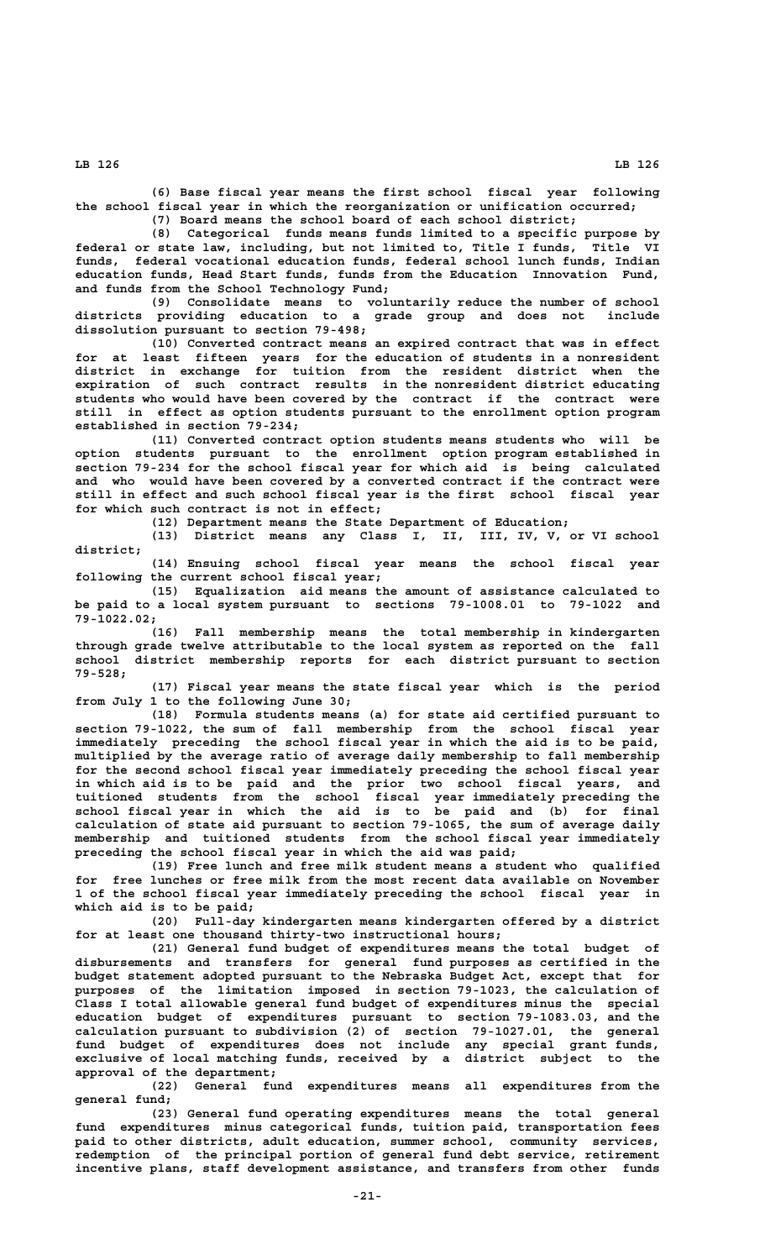**(6) Base fiscal year means the first school fiscal year following the school fiscal year in which the reorganization or unification occurred;**

**(7) Board means the school board of each school district; (8) Categorical funds means funds limited to a specific purpose by**

**federal or state law, including, but not limited to, Title I funds, Title VI funds, federal vocational education funds, federal school lunch funds, Indian education funds, Head Start funds, funds from the Education Innovation Fund, and funds from the School Technology Fund;**

**(9) Consolidate means to voluntarily reduce the number of school districts providing education to a grade group and does not include dissolution pursuant to section 79-498;**

**(10) Converted contract means an expired contract that was in effect for at least fifteen years for the education of students in a nonresident district in exchange for tuition from the resident district when the expiration of such contract results in the nonresident district educating students who would have been covered by the contract if the contract were still in effect as option students pursuant to the enrollment option program established in section 79-234;**

**(11) Converted contract option students means students who will be option students pursuant to the enrollment option program established in section 79-234 for the school fiscal year for which aid is being calculated and who would have been covered by a converted contract if the contract were still in effect and such school fiscal year is the first school fiscal year for which such contract is not in effect;**

**(12) Department means the State Department of Education;**

**(13) District means any Class I, II, III, IV, V, or VI school district;**

**(14) Ensuing school fiscal year means the school fiscal year following the current school fiscal year;**

**(15) Equalization aid means the amount of assistance calculated to be paid to a local system pursuant to sections 79-1008.01 to 79-1022 and 79-1022.02;**

**(16) Fall membership means the total membership in kindergarten through grade twelve attributable to the local system as reported on the fall school district membership reports for each district pursuant to section 79-528;**

**(17) Fiscal year means the state fiscal year which is the period from July 1 to the following June 30;**

**(18) Formula students means (a) for state aid certified pursuant to section 79-1022, the sum of fall membership from the school fiscal year immediately preceding the school fiscal year in which the aid is to be paid, multiplied by the average ratio of average daily membership to fall membership for the second school fiscal year immediately preceding the school fiscal year in which aid is to be paid and the prior two school fiscal years, and tuitioned students from the school fiscal year immediately preceding the school fiscal year in which the aid is to be paid and (b) for final calculation of state aid pursuant to section 79-1065, the sum of average daily membership and tuitioned students from the school fiscal year immediately preceding the school fiscal year in which the aid was paid;**

**(19) Free lunch and free milk student means a student who qualified for free lunches or free milk from the most recent data available on November 1 of the school fiscal year immediately preceding the school fiscal year in which aid is to be paid;**

**(20) Full-day kindergarten means kindergarten offered by a district for at least one thousand thirty-two instructional hours;**

**(21) General fund budget of expenditures means the total budget of disbursements and transfers for general fund purposes as certified in the budget statement adopted pursuant to the Nebraska Budget Act, except that for purposes of the limitation imposed in section 79-1023, the calculation of Class I total allowable general fund budget of expenditures minus the special education budget of expenditures pursuant to section 79-1083.03, and the calculation pursuant to subdivision (2) of section 79-1027.01, the general fund budget of expenditures does not include any special grant funds, exclusive of local matching funds, received by a district subject to the approval of the department;**

**(22) General fund expenditures means all expenditures from the general fund;**

**(23) General fund operating expenditures means the total general fund expenditures minus categorical funds, tuition paid, transportation fees paid to other districts, adult education, summer school, community services, redemption of the principal portion of general fund debt service, retirement incentive plans, staff development assistance, and transfers from other funds**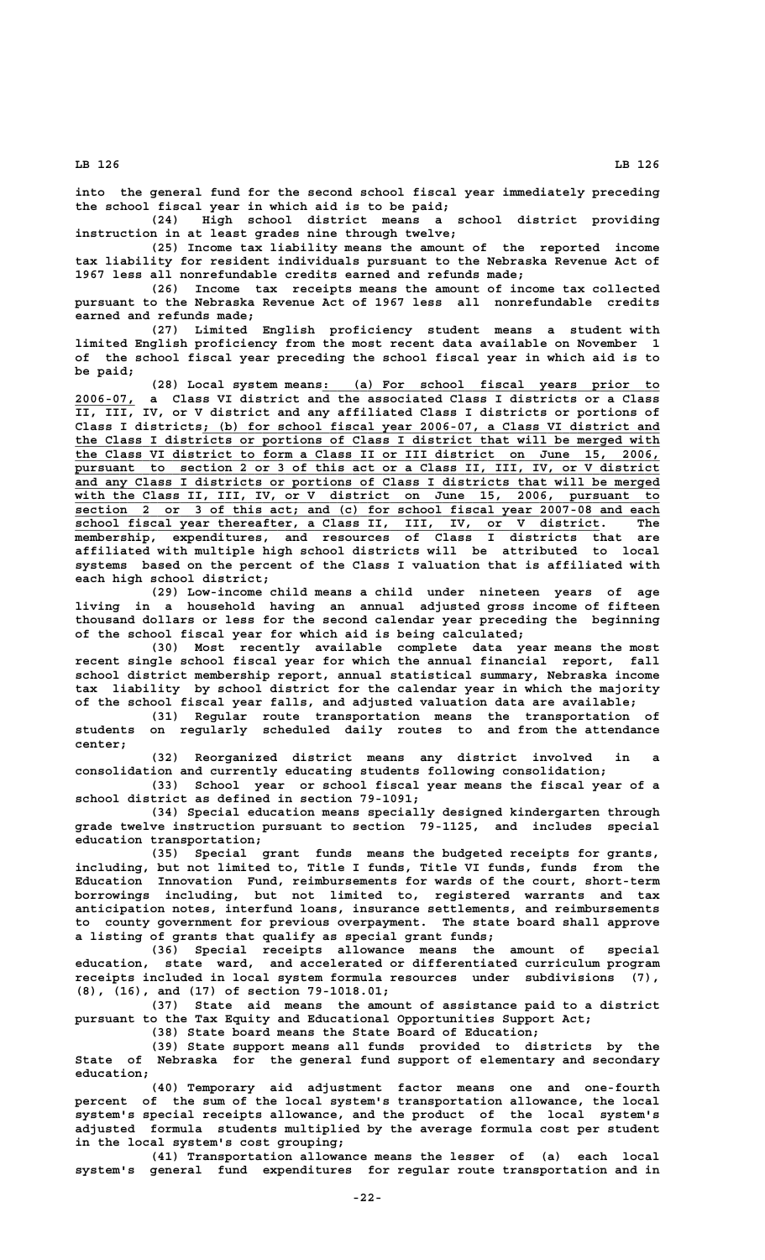**into the general fund for the second school fiscal year immediately preceding the school fiscal year in which aid is to be paid;**

**(24) High school district means a school district providing instruction in at least grades nine through twelve;**

**(25) Income tax liability means the amount of the reported income tax liability for resident individuals pursuant to the Nebraska Revenue Act of 1967 less all nonrefundable credits earned and refunds made;**

**(26) Income tax receipts means the amount of income tax collected pursuant to the Nebraska Revenue Act of 1967 less all nonrefundable credits earned and refunds made;**

**(27) Limited English proficiency student means a student with limited English proficiency from the most recent data available on November 1 of the school fiscal year preceding the school fiscal year in which aid is to be paid;**

 **2006-07,** a Class VI district and the associated Class I districts or a Class<sup>2</sup>  **\_\_\_\_\_\_\_\_ 2006-07, a Class VI district and the associated Class I districts or a Class** IV, or V district and any affiliated Class I districts or portions of Class I districts; (b) for school fiscal year 2006-07, a Class VI district and the Class I districts or portions of Class I district that will be merged with the Class VI district to form a Class II or III district on June 15, 2006,  **\_\_\_\_\_\_\_\_\_\_\_\_\_\_\_\_\_\_\_\_\_\_\_\_\_\_\_\_\_\_\_\_\_\_\_\_\_\_\_\_\_\_\_\_\_\_\_\_\_\_\_\_\_\_\_\_\_\_\_\_\_\_\_\_\_\_\_\_\_\_\_\_\_\_\_\_\_\_ the Class VI district to form a Class II or III district on June 15, 2006, \_\_\_\_\_\_\_\_\_\_\_\_\_\_\_\_\_\_\_\_\_\_\_\_\_\_\_\_\_\_\_\_\_\_\_\_\_\_\_\_\_\_\_\_\_\_\_\_\_\_\_\_\_\_\_\_\_\_\_\_\_\_\_\_\_\_\_\_\_\_\_\_\_\_\_\_\_\_ pursuant to section 2 or 3 of this act or a Class II, III, IV, or V district \_\_\_\_\_\_\_\_\_\_\_\_\_\_\_\_\_\_\_\_\_\_\_\_\_\_\_\_\_\_\_\_\_\_\_\_\_\_\_\_\_\_\_\_\_\_\_\_\_\_\_\_\_\_\_\_\_\_\_\_\_\_\_\_\_\_\_\_\_\_\_\_\_\_\_\_\_\_ and any Class I districts or portions of Class I districts that will be merged \_\_\_\_\_\_\_\_\_\_\_\_\_\_\_\_\_\_\_\_\_\_\_\_\_\_\_\_\_\_\_\_\_\_\_\_\_\_\_\_\_\_\_\_\_\_\_\_\_\_\_\_\_\_\_\_\_\_\_\_\_\_\_\_\_\_\_\_\_\_\_\_\_\_\_\_\_\_ with the Class II, III, IV, or V district on June 15, 2006, pursuant to \_\_\_\_\_\_\_\_\_\_\_\_\_\_\_\_\_\_\_\_\_\_\_\_\_\_\_\_\_\_\_\_\_\_\_\_\_\_\_\_\_\_\_\_\_\_\_\_\_\_\_\_\_\_\_\_\_\_\_\_\_\_\_\_\_\_\_\_\_\_\_\_\_\_\_\_\_\_ section 2 or 3 of this act; and (c) for school fiscal year 2007-08 and each \_\_\_\_\_\_\_\_\_\_\_\_\_\_\_\_\_\_\_\_\_\_\_\_\_\_\_\_\_\_\_\_\_\_\_\_\_\_\_\_\_\_\_\_\_\_\_\_\_\_\_\_\_\_\_\_\_\_\_\_\_\_\_\_\_\_\_\_\_\_ school fiscal year thereafter, a Class II, III, IV, or V district. The membership, expenditures, and resources of Class I districts that are affiliated with multiple high school districts will be attributed to local systems based on the percent of the Class I valuation that is affiliated with each high school district;**

> **(29) Low-income child means a child under nineteen years of age living in a household having an annual adjusted gross income of fifteen thousand dollars or less for the second calendar year preceding the beginning of the school fiscal year for which aid is being calculated;**

> **(30) Most recently available complete data year means the most recent single school fiscal year for which the annual financial report, fall school district membership report, annual statistical summary, Nebraska income tax liability by school district for the calendar year in which the majority of the school fiscal year falls, and adjusted valuation data are available;**

> **(31) Regular route transportation means the transportation of students on regularly scheduled daily routes to and from the attendance center;**

> **(32) Reorganized district means any district involved in a consolidation and currently educating students following consolidation;**

> **(33) School year or school fiscal year means the fiscal year of a school district as defined in section 79-1091;**

> **(34) Special education means specially designed kindergarten through grade twelve instruction pursuant to section 79-1125, and includes special education transportation;**

> **(35) Special grant funds means the budgeted receipts for grants, including, but not limited to, Title I funds, Title VI funds, funds from the Education Innovation Fund, reimbursements for wards of the court, short-term borrowings including, but not limited to, registered warrants and tax anticipation notes, interfund loans, insurance settlements, and reimbursements to county government for previous overpayment. The state board shall approve a listing of grants that qualify as special grant funds;**

> **(36) Special receipts allowance means the amount of special education, state ward, and accelerated or differentiated curriculum program receipts included in local system formula resources under subdivisions (7), (8), (16), and (17) of section 79-1018.01;**

> **(37) State aid means the amount of assistance paid to a district pursuant to the Tax Equity and Educational Opportunities Support Act;**

**(38) State board means the State Board of Education; (39) State support means all funds provided to districts by the**

**State of Nebraska for the general fund support of elementary and secondary education;**

**(40) Temporary aid adjustment factor means one and one-fourth percent of the sum of the local system's transportation allowance, the local system's special receipts allowance, and the product of the local system's adjusted formula students multiplied by the average formula cost per student in the local system's cost grouping;**

**(41) Transportation allowance means the lesser of (a) each local system's general fund expenditures for regular route transportation and in**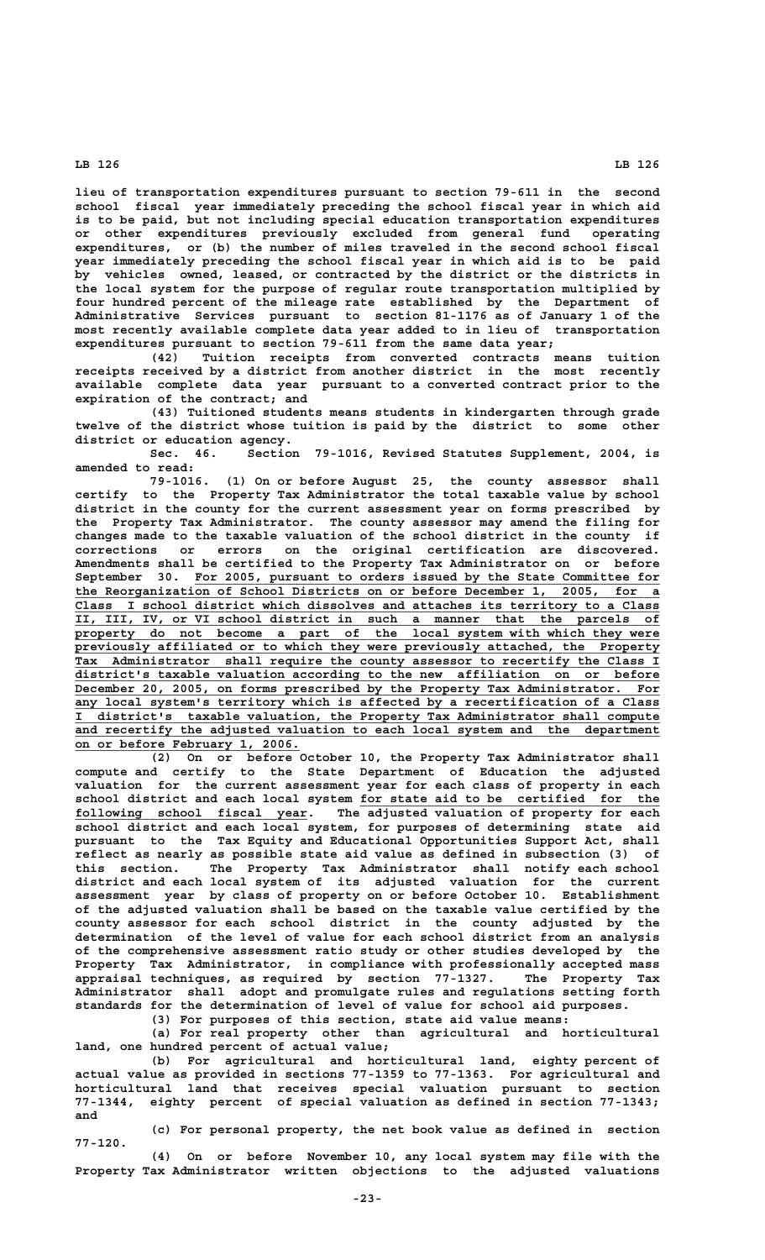**lieu of transportation expenditures pursuant to section 79-611 in the second school fiscal year immediately preceding the school fiscal year in which aid is to be paid, but not including special education transportation expenditures or other expenditures previously excluded from general fund operating expenditures, or (b) the number of miles traveled in the second school fiscal year immediately preceding the school fiscal year in which aid is to be paid by vehicles owned, leased, or contracted by the district or the districts in the local system for the purpose of regular route transportation multiplied by four hundred percent of the mileage rate established by the Department of Administrative Services pursuant to section 81-1176 as of January 1 of the most recently available complete data year added to in lieu of transportation expenditures pursuant to section 79-611 from the same data year;**

**(42) Tuition receipts from converted contracts means tuition receipts received by a district from another district in the most recently available complete data year pursuant to a converted contract prior to the expiration of the contract; and**

**(43) Tuitioned students means students in kindergarten through grade twelve of the district whose tuition is paid by the district to some other district or education agency.**

**Sec. 46. Section 79-1016, Revised Statutes Supplement, 2004, is amended to read:**

**79-1016. (1) On or before August 25, the county assessor shall certify to the Property Tax Administrator the total taxable value by school district in the county for the current assessment year on forms prescribed by the Property Tax Administrator. The county assessor may amend the filing for changes made to the taxable valuation of the school district in the county if corrections or errors on the original certification are discovered. Amendments shall be certified to the Property Tax Administrator on or before** September 30. For 2005, pursuant to orders issued by the State Committee for  **\_\_\_\_\_\_\_\_\_\_\_\_\_\_\_\_\_\_\_\_\_\_\_\_\_\_\_\_\_\_\_\_\_\_\_\_\_\_\_\_\_\_\_\_\_\_\_\_\_\_\_\_\_\_\_\_\_\_\_\_\_\_\_\_\_\_\_\_\_\_\_\_\_\_\_\_\_\_ the Reorganization of School Districts on or before December 1, 2005, for a \_\_\_\_\_\_\_\_\_\_\_\_\_\_\_\_\_\_\_\_\_\_\_\_\_\_\_\_\_\_\_\_\_\_\_\_\_\_\_\_\_\_\_\_\_\_\_\_\_\_\_\_\_\_\_\_\_\_\_\_\_\_\_\_\_\_\_\_\_\_\_\_\_\_\_\_\_\_ Class I school district which dissolves and attaches its territory to a Class \_\_\_\_\_\_\_\_\_\_\_\_\_\_\_\_\_\_\_\_\_\_\_\_\_\_\_\_\_\_\_\_\_\_\_\_\_\_\_\_\_\_\_\_\_\_\_\_\_\_\_\_\_\_\_\_\_\_\_\_\_\_\_\_\_\_\_\_\_\_\_\_\_\_\_\_\_\_ II, III, IV, or VI school district in such a manner that the parcels of** property do not become a part of the local system with which they were  **\_\_\_\_\_\_\_\_\_\_\_\_\_\_\_\_\_\_\_\_\_\_\_\_\_\_\_\_\_\_\_\_\_\_\_\_\_\_\_\_\_\_\_\_\_\_\_\_\_\_\_\_\_\_\_\_\_\_\_\_\_\_\_\_\_\_\_\_\_\_\_\_\_\_\_\_\_\_ previously affiliated or to which they were previously attached, the Property** Tax Administrator shall require the county assessor to recertify the Class I  **\_\_\_\_\_\_\_\_\_\_\_\_\_\_\_\_\_\_\_\_\_\_\_\_\_\_\_\_\_\_\_\_\_\_\_\_\_\_\_\_\_\_\_\_\_\_\_\_\_\_\_\_\_\_\_\_\_\_\_\_\_\_\_\_\_\_\_\_\_\_\_\_\_\_\_\_\_\_ district's taxable valuation according to the new affiliation on or before** December 20, 2005, on forms prescribed by the Property Tax Administrator. For any local system's territory which is affected by a recertification of a Class  **\_\_\_\_\_\_\_\_\_\_\_\_\_\_\_\_\_\_\_\_\_\_\_\_\_\_\_\_\_\_\_\_\_\_\_\_\_\_\_\_\_\_\_\_\_\_\_\_\_\_\_\_\_\_\_\_\_\_\_\_\_\_\_\_\_\_\_\_\_\_\_\_\_\_\_\_\_\_ I district's taxable valuation, the Property Tax Administrator shall compute** and recertify the adjusted valuation to each local system and the department  **\_\_\_\_\_\_\_\_\_\_\_\_\_\_\_\_\_\_\_\_\_\_\_\_\_\_\_\_\_\_ on or before February 1, 2006.**

**(2) On or before October 10, the Property Tax Administrator shall compute and certify to the State Department of Education the adjusted valuation for the current assessment year for each class of property in each \_\_\_\_\_\_\_\_\_\_\_\_\_\_\_\_\_\_\_\_\_\_\_\_\_\_\_\_\_\_\_\_\_\_\_\_\_\_\_\_ school district and each local system for state aid to be certified for the \_\_\_\_\_\_\_\_\_\_\_\_\_\_\_\_\_\_\_\_\_\_\_\_\_\_\_\_\_\_\_ following school fiscal year. The adjusted valuation of property for each school district and each local system, for purposes of determining state aid pursuant to the Tax Equity and Educational Opportunities Support Act, shall reflect as nearly as possible state aid value as defined in subsection (3) of this section. The Property Tax Administrator shall notify each school district and each local system of its adjusted valuation for the current assessment year by class of property on or before October 10. Establishment of the adjusted valuation shall be based on the taxable value certified by the county assessor for each school district in the county adjusted by the determination of the level of value for each school district from an analysis of the comprehensive assessment ratio study or other studies developed by the Property Tax Administrator, in compliance with professionally accepted mass appraisal techniques, as required by section 77-1327. The Property Tax Administrator shall adopt and promulgate rules and regulations setting forth standards for the determination of level of value for school aid purposes. (3) For purposes of this section, state aid value means:**

**(a) For real property other than agricultural and horticultural land, one hundred percent of actual value;**

**(b) For agricultural and horticultural land, eighty percent of actual value as provided in sections 77-1359 to 77-1363. For agricultural and horticultural land that receives special valuation pursuant to section 77-1344, eighty percent of special valuation as defined in section 77-1343; and**

**(c) For personal property, the net book value as defined in section 77-120.**

**(4) On or before November 10, any local system may file with the Property Tax Administrator written objections to the adjusted valuations**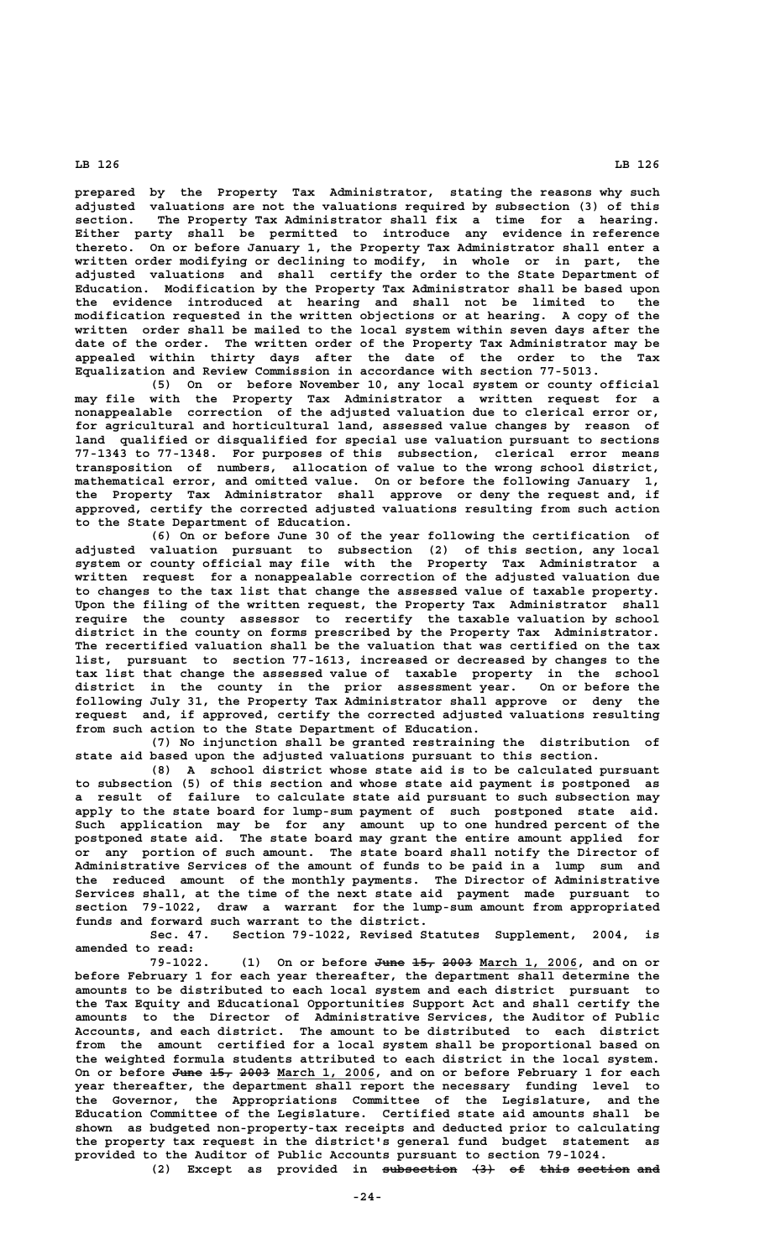**prepared by the Property Tax Administrator, stating the reasons why such adjusted valuations are not the valuations required by subsection (3) of this section. The Property Tax Administrator shall fix a time for a hearing. Either party shall be permitted to introduce any evidence in reference thereto. On or before January 1, the Property Tax Administrator shall enter a written order modifying or declining to modify, in whole or in part, the adjusted valuations and shall certify the order to the State Department of Education. Modification by the Property Tax Administrator shall be based upon the evidence introduced at hearing and shall not be limited to the modification requested in the written objections or at hearing. A copy of the written order shall be mailed to the local system within seven days after the date of the order. The written order of the Property Tax Administrator may be appealed within thirty days after the date of the order to the Tax Equalization and Review Commission in accordance with section 77-5013.**

**(5) On or before November 10, any local system or county official may file with the Property Tax Administrator a written request for a nonappealable correction of the adjusted valuation due to clerical error or, for agricultural and horticultural land, assessed value changes by reason of land qualified or disqualified for special use valuation pursuant to sections 77-1343 to 77-1348. For purposes of this subsection, clerical error means transposition of numbers, allocation of value to the wrong school district, mathematical error, and omitted value. On or before the following January 1, the Property Tax Administrator shall approve or deny the request and, if approved, certify the corrected adjusted valuations resulting from such action to the State Department of Education.**

**(6) On or before June 30 of the year following the certification of adjusted valuation pursuant to subsection (2) of this section, any local system or county official may file with the Property Tax Administrator a written request for a nonappealable correction of the adjusted valuation due to changes to the tax list that change the assessed value of taxable property. Upon the filing of the written request, the Property Tax Administrator shall require the county assessor to recertify the taxable valuation by school district in the county on forms prescribed by the Property Tax Administrator. The recertified valuation shall be the valuation that was certified on the tax list, pursuant to section 77-1613, increased or decreased by changes to the tax list that change the assessed value of taxable property in the school district in the county in the prior assessment year. On or before the following July 31, the Property Tax Administrator shall approve or deny the request and, if approved, certify the corrected adjusted valuations resulting from such action to the State Department of Education.**

**(7) No injunction shall be granted restraining the distribution of state aid based upon the adjusted valuations pursuant to this section.**

**(8) A school district whose state aid is to be calculated pursuant to subsection (5) of this section and whose state aid payment is postponed as a result of failure to calculate state aid pursuant to such subsection may apply to the state board for lump-sum payment of such postponed state aid. Such application may be for any amount up to one hundred percent of the postponed state aid. The state board may grant the entire amount applied for or any portion of such amount. The state board shall notify the Director of Administrative Services of the amount of funds to be paid in a lump sum and the reduced amount of the monthly payments. The Director of Administrative Services shall, at the time of the next state aid payment made pursuant to section 79-1022, draw a warrant for the lump-sum amount from appropriated funds and forward such warrant to the district.**

**Sec. 47. Section 79-1022, Revised Statutes Supplement, 2004, is amended to read:**

**79-1022.** (1) On or before  $\frac{m}{2}$   $\frac{2003}{2004}$   $\frac{March}{2006}$ , and on or **before February 1 for each year thereafter, the department shall determine the amounts to be distributed to each local system and each district pursuant to the Tax Equity and Educational Opportunities Support Act and shall certify the amounts to the Director of Administrative Services, the Auditor of Public Accounts, and each district. The amount to be distributed to each district from the amount certified for a local system shall be proportional based on the weighted formula students attributed to each district in the local system.** On or before June 15, 2003 March 1, 2006, and on or before February 1 for each **year thereafter, the department shall report the necessary funding level to the Governor, the Appropriations Committee of the Legislature, and the Education Committee of the Legislature. Certified state aid amounts shall be shown as budgeted non-property-tax receipts and deducted prior to calculating the property tax request in the district's general fund budget statement as provided to the Auditor of Public Accounts pursuant to section 79-1024.**

(2) Except as provided in subsection  $\{3\}$  of this section and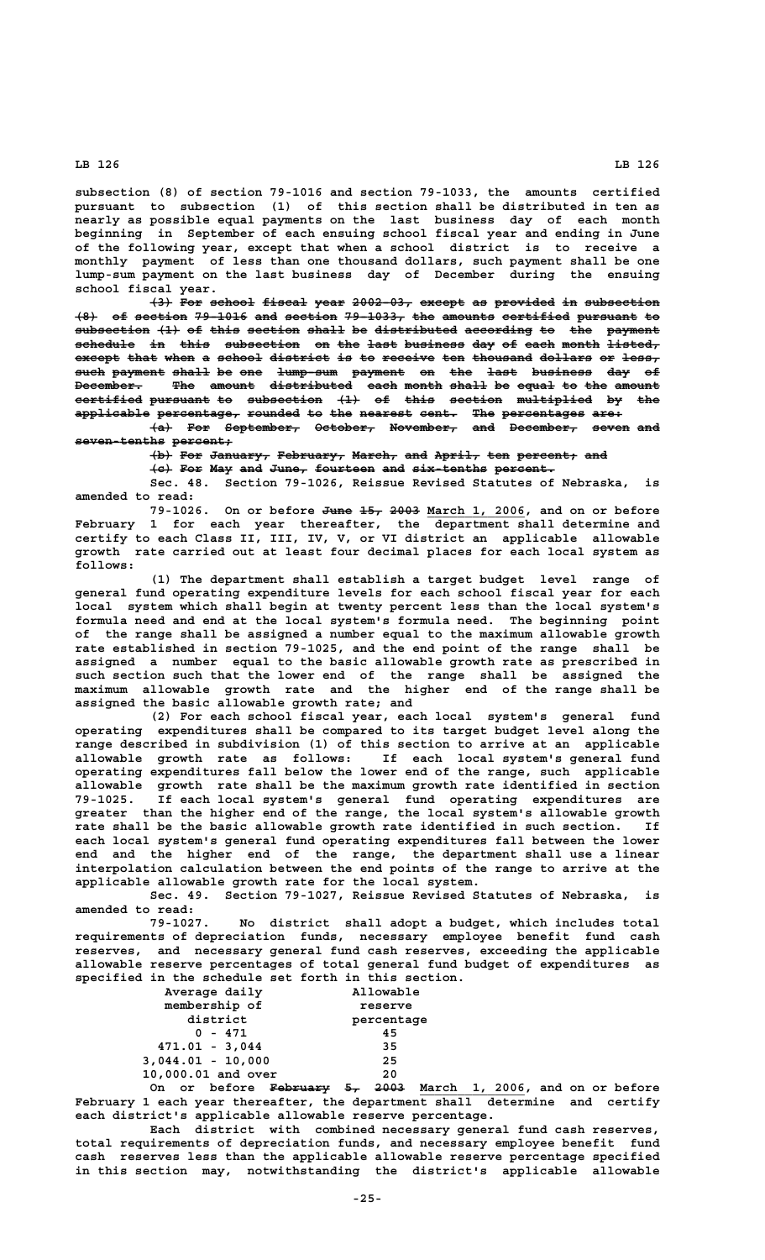**subsection (8) of section 79-1016 and section 79-1033, the amounts certified pursuant to subsection (1) of this section shall be distributed in ten as nearly as possible equal payments on the last business day of each month beginning in September of each ensuing school fiscal year and ending in June of the following year, except that when a school district is to receive a monthly payment of less than one thousand dollars, such payment shall be one lump-sum payment on the last business day of December during the ensuing school fiscal year.**

**(3) For school fiscal year 2002-03, except as provided in subsection ——— ——— —————— —————— ———— ———————— —————— —— ———————— —— —————————— (8) of section 79-1016 and section 79-1033, the amounts certified pursuant to ——— —— ——————— ——————— ——— ——————— ———————— ——— ——————— ————————— ———————— —**  $subsection$  (1) of this section shall be distributed according to the payment schedule in this subsection on the last business day of each month listed, except that when a school district is to receive ten thousand dollars or less, **such payment shall be one lump-sum payment on the last business day of ———— ——————— ————— —— ——— ———————— ——————— —— ——— ———— ———————— ——— —— December. The amount distributed each month shall be equal to the amount ————————— ——— —————— ——————————— ———— ————— ————— —— ————— —— ——— ————— certified pursuant to subsection (1) of this section multiplied by the ————————— ———————— —— —————————— ——— —— ———— ——————— —————————— —— —— applicable percentage, rounded to the nearest cent. The percentages are: —————————— ——————————— ——————— —— ——— ——————— ————— ——— ——————————— ————**

 $\overline{+a}$  For September, October, November, and December, seven and  **seven-tenths percent; ———————————— ————————**

 $\{b\}$  For January, February, March, and April, ten percent, and

 $\{e\}$  For May and June, fourteen and six-tenths percent. **Sec. 48. Section 79-1026, Reissue Revised Statutes of Nebraska, is amended to read:**

79-1026. On or before <del>June 15, 2003</del> March 1, 2006, and on or before **February 1 for each year thereafter, the department shall determine and certify to each Class II, III, IV, V, or VI district an applicable allowable growth rate carried out at least four decimal places for each local system as follows:**

**(1) The department shall establish a target budget level range of general fund operating expenditure levels for each school fiscal year for each local system which shall begin at twenty percent less than the local system's formula need and end at the local system's formula need. The beginning point of the range shall be assigned a number equal to the maximum allowable growth rate established in section 79-1025, and the end point of the range shall be assigned a number equal to the basic allowable growth rate as prescribed in such section such that the lower end of the range shall be assigned the maximum allowable growth rate and the higher end of the range shall be assigned the basic allowable growth rate; and**

**(2) For each school fiscal year, each local system's general fund operating expenditures shall be compared to its target budget level along the range described in subdivision (1) of this section to arrive at an applicable allowable growth rate as follows: If each local system's general fund operating expenditures fall below the lower end of the range, such applicable allowable growth rate shall be the maximum growth rate identified in section 79-1025. If each local system's general fund operating expenditures are greater than the higher end of the range, the local system's allowable growth rate shall be the basic allowable growth rate identified in such section. If each local system's general fund operating expenditures fall between the lower end and the higher end of the range, the department shall use a linear interpolation calculation between the end points of the range to arrive at the applicable allowable growth rate for the local system.**

**Sec. 49. Section 79-1027, Reissue Revised Statutes of Nebraska, is amended to read:**

**79-1027. No district shall adopt a budget, which includes total requirements of depreciation funds, necessary employee benefit fund cash reserves, and necessary general fund cash reserves, exceeding the applicable allowable reserve percentages of total general fund budget of expenditures as specified in the schedule set forth in this section.**

| Average daily       | Allowable  |
|---------------------|------------|
| membership of       | reserve    |
| district            | percentage |
| 0 - 471             | 45         |
| $471.01 - 3,044$    | 35         |
| $3,044.01 - 10,000$ | 25         |
| 10,000.01 and over  | 20         |
|                     |            |

On or before February 5, 2003 March 1, 2006, and on or before **February 1 each year thereafter, the department shall determine and certify each district's applicable allowable reserve percentage.**

**Each district with combined necessary general fund cash reserves, total requirements of depreciation funds, and necessary employee benefit fund cash reserves less than the applicable allowable reserve percentage specified in this section may, notwithstanding the district's applicable allowable**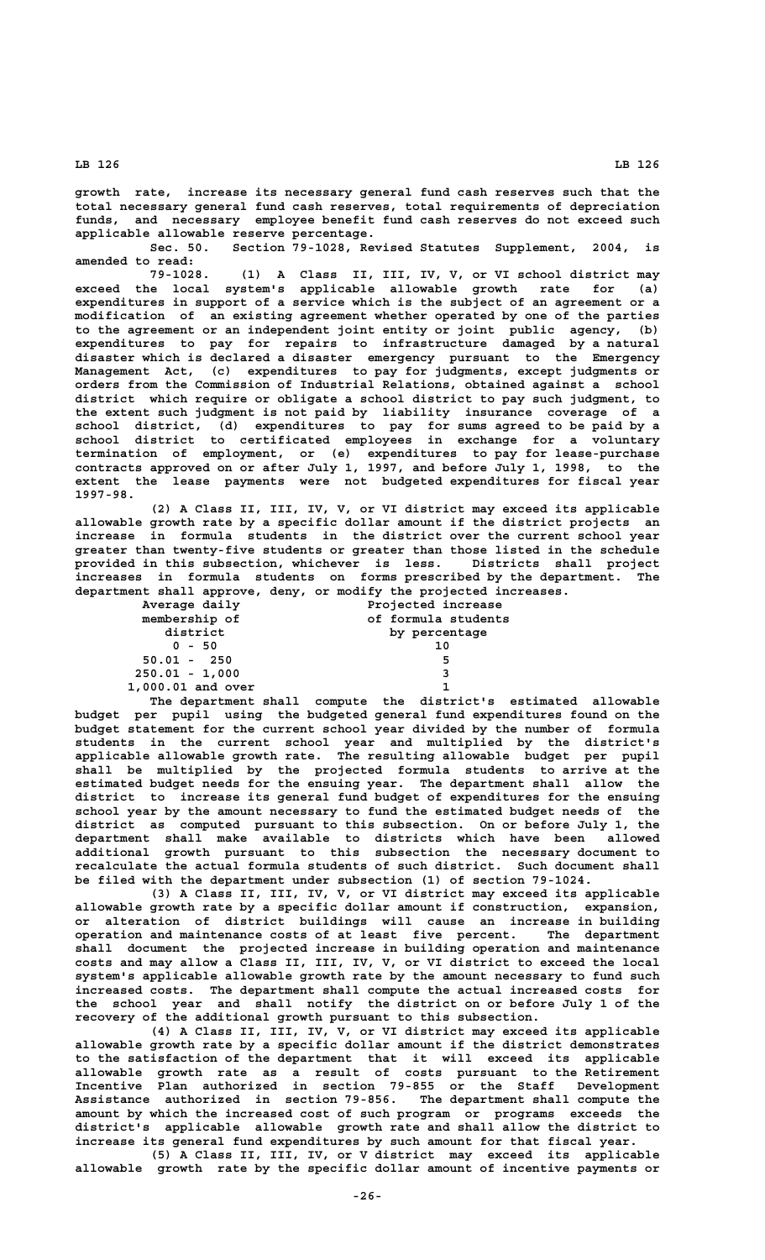**growth rate, increase its necessary general fund cash reserves such that the total necessary general fund cash reserves, total requirements of depreciation funds, and necessary employee benefit fund cash reserves do not exceed such applicable allowable reserve percentage.**

**Sec. 50. Section 79-1028, Revised Statutes Supplement, 2004, is amended to read:**

**79-1028. (1) A Class II, III, IV, V, or VI school district may exceed the local system's applicable allowable growth rate for (a) expenditures in support of a service which is the subject of an agreement or a modification of an existing agreement whether operated by one of the parties to the agreement or an independent joint entity or joint public agency, (b) expenditures to pay for repairs to infrastructure damaged by a natural disaster which is declared a disaster emergency pursuant to the Emergency Management Act, (c) expenditures to pay for judgments, except judgments or orders from the Commission of Industrial Relations, obtained against a school district which require or obligate a school district to pay such judgment, to the extent such judgment is not paid by liability insurance coverage of a school district, (d) expenditures to pay for sums agreed to be paid by a school district to certificated employees in exchange for a voluntary termination of employment, or (e) expenditures to pay for lease-purchase contracts approved on or after July 1, 1997, and before July 1, 1998, to the extent the lease payments were not budgeted expenditures for fiscal year 1997-98.**

**(2) A Class II, III, IV, V, or VI district may exceed its applicable allowable growth rate by a specific dollar amount if the district projects an increase in formula students in the district over the current school year greater than twenty-five students or greater than those listed in the schedule provided in this subsection, whichever is less. Districts shall project increases in formula students on forms prescribed by the department. The department shall approve, deny, or modify the projected increases.**

| Average daily     | Projected increase  |
|-------------------|---------------------|
| membership of     | of formula students |
| district          | by percentage       |
| $0 - 50$          | 10                  |
| $50.01 - 250$     | 5                   |
| $250.01 - 1,000$  | 3                   |
| 1,000.01 and over |                     |

**The department shall compute the district's estimated allowable budget per pupil using the budgeted general fund expenditures found on the budget statement for the current school year divided by the number of formula students in the current school year and multiplied by the district's applicable allowable growth rate. The resulting allowable budget per pupil shall be multiplied by the projected formula students to arrive at the estimated budget needs for the ensuing year. The department shall allow the district to increase its general fund budget of expenditures for the ensuing school year by the amount necessary to fund the estimated budget needs of the district as computed pursuant to this subsection. On or before July 1, the department shall make available to districts which have been allowed additional growth pursuant to this subsection the necessary document to recalculate the actual formula students of such district. Such document shall be filed with the department under subsection (1) of section 79-1024.**

**(3) A Class II, III, IV, V, or VI district may exceed its applicable allowable growth rate by a specific dollar amount if construction, expansion, or alteration of district buildings will cause an increase in building operation and maintenance costs of at least five percent. The department shall document the projected increase in building operation and maintenance costs and may allow a Class II, III, IV, V, or VI district to exceed the local system's applicable allowable growth rate by the amount necessary to fund such increased costs. The department shall compute the actual increased costs for the school year and shall notify the district on or before July 1 of the recovery of the additional growth pursuant to this subsection.**

**(4) A Class II, III, IV, V, or VI district may exceed its applicable allowable growth rate by a specific dollar amount if the district demonstrates to the satisfaction of the department that it will exceed its applicable allowable growth rate as a result of costs pursuant to the Retirement Incentive Plan authorized in section 79-855 or the Staff Development Assistance authorized in section 79-856. The department shall compute the amount by which the increased cost of such program or programs exceeds the district's applicable allowable growth rate and shall allow the district to increase its general fund expenditures by such amount for that fiscal year.**

**(5) A Class II, III, IV, or V district may exceed its applicable allowable growth rate by the specific dollar amount of incentive payments or**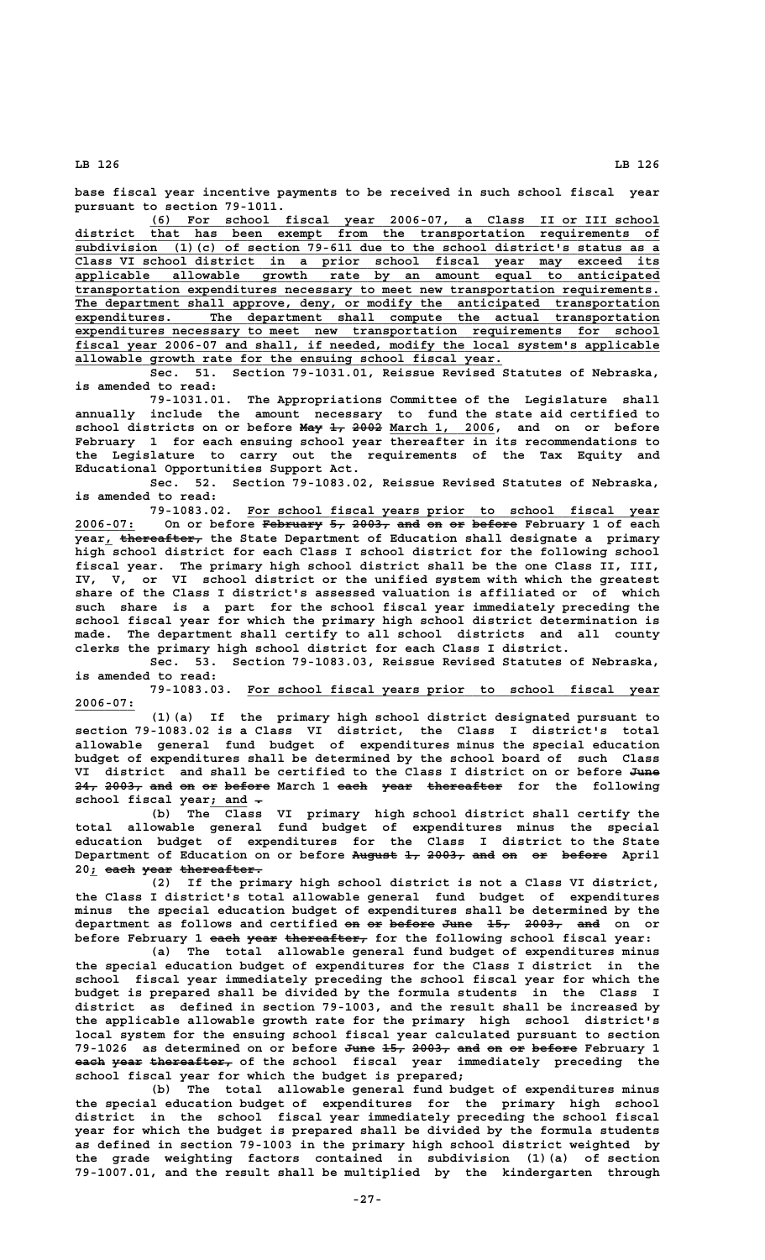**base fiscal year incentive payments to be received in such school fiscal year pursuant to section 79-1011.**

 **\_\_\_\_\_\_\_\_\_\_\_\_\_\_\_\_\_\_\_\_\_\_\_\_\_\_\_\_\_\_\_\_\_\_\_\_\_\_\_\_\_\_\_\_\_\_\_\_\_\_\_\_\_\_\_\_\_\_\_\_\_\_\_\_\_\_\_\_ (6) For school fiscal year 2006-07, a Class II or III school \_\_\_\_\_\_\_\_\_\_\_\_\_\_\_\_\_\_\_\_\_\_\_\_\_\_\_\_\_\_\_\_\_\_\_\_\_\_\_\_\_\_\_\_\_\_\_\_\_\_\_\_\_\_\_\_\_\_\_\_\_\_\_\_\_\_\_\_\_\_\_\_\_\_\_\_\_\_ district that has been exempt from the transportation requirements of \_\_\_\_\_\_\_\_\_\_\_\_\_\_\_\_\_\_\_\_\_\_\_\_\_\_\_\_\_\_\_\_\_\_\_\_\_\_\_\_\_\_\_\_\_\_\_\_\_\_\_\_\_\_\_\_\_\_\_\_\_\_\_\_\_\_\_\_\_\_\_\_\_\_\_\_\_\_ subdivision (1)(c) of section 79-611 due to the school district's status as a \_\_\_\_\_\_\_\_\_\_\_\_\_\_\_\_\_\_\_\_\_\_\_\_\_\_\_\_\_\_\_\_\_\_\_\_\_\_\_\_\_\_\_\_\_\_\_\_\_\_\_\_\_\_\_\_\_\_\_\_\_\_\_\_\_\_\_\_\_\_\_\_\_\_\_\_\_\_ Class VI school district in a prior school fiscal year may exceed its \_\_\_\_\_\_\_\_\_\_\_\_\_\_\_\_\_\_\_\_\_\_\_\_\_\_\_\_\_\_\_\_\_\_\_\_\_\_\_\_\_\_\_\_\_\_\_\_\_\_\_\_\_\_\_\_\_\_\_\_\_\_\_\_\_\_\_\_\_\_\_\_\_\_\_\_\_\_ applicable allowable growth rate by an amount equal to anticipated \_\_\_\_\_\_\_\_\_\_\_\_\_\_\_\_\_\_\_\_\_\_\_\_\_\_\_\_\_\_\_\_\_\_\_\_\_\_\_\_\_\_\_\_\_\_\_\_\_\_\_\_\_\_\_\_\_\_\_\_\_\_\_\_\_\_\_\_\_\_\_\_\_\_\_\_\_\_ transportation expenditures necessary to meet new transportation requirements. \_\_\_\_\_\_\_\_\_\_\_\_\_\_\_\_\_\_\_\_\_\_\_\_\_\_\_\_\_\_\_\_\_\_\_\_\_\_\_\_\_\_\_\_\_\_\_\_\_\_\_\_\_\_\_\_\_\_\_\_\_\_\_\_\_\_\_\_\_\_\_\_\_\_\_\_\_\_ The department shall approve, deny, or modify the anticipated transportation \_\_\_\_\_\_\_\_\_\_\_\_\_\_\_\_\_\_\_\_\_\_\_\_\_\_\_\_\_\_\_\_\_\_\_\_\_\_\_\_\_\_\_\_\_\_\_\_\_\_\_\_\_\_\_\_\_\_\_\_\_\_\_\_\_\_\_\_\_\_\_\_\_\_\_\_\_\_ expenditures. The department shall compute the actual transportation \_\_\_\_\_\_\_\_\_\_\_\_\_\_\_\_\_\_\_\_\_\_\_\_\_\_\_\_\_\_\_\_\_\_\_\_\_\_\_\_\_\_\_\_\_\_\_\_\_\_\_\_\_\_\_\_\_\_\_\_\_\_\_\_\_\_\_\_\_\_\_\_\_\_\_\_\_\_ expenditures necessary to meet new transportation requirements for school \_\_\_\_\_\_\_\_\_\_\_\_\_\_\_\_\_\_\_\_\_\_\_\_\_\_\_\_\_\_\_\_\_\_\_\_\_\_\_\_\_\_\_\_\_\_\_\_\_\_\_\_\_\_\_\_\_\_\_\_\_\_\_\_\_\_\_\_\_\_\_\_\_\_\_\_\_\_ fiscal year 2006-07 and shall, if needed, modify the local system's applicable \_\_\_\_\_\_\_\_\_\_\_\_\_\_\_\_\_\_\_\_\_\_\_\_\_\_\_\_\_\_\_\_\_\_\_\_\_\_\_\_\_\_\_\_\_\_\_\_\_\_\_\_\_\_\_\_\_ allowable growth rate for the ensuing school fiscal year.**

**Sec. 51. Section 79-1031.01, Reissue Revised Statutes of Nebraska, is amended to read:**

**79-1031.01. The Appropriations Committee of the Legislature shall annually include the amount necessary to fund the state aid certified to** school districts on or before <del>May 1, 2002</del> March 1, 2006, and on or before **February 1 for each ensuing school year thereafter in its recommendations to the Legislature to carry out the requirements of the Tax Equity and Educational Opportunities Support Act.**

**Sec. 52. Section 79-1083.02, Reissue Revised Statutes of Nebraska, is amended to read:**

 **\_\_\_\_\_\_\_\_\_\_\_\_\_\_\_\_\_\_\_\_\_\_\_\_\_\_\_\_\_\_\_\_\_\_\_\_\_\_\_\_\_\_\_\_\_\_\_\_\_\_\_\_\_\_\_ 79-1083.02. For school fiscal years prior to school fiscal year 2006-07: On or before February 5, 2003, and on or before February 1 of each \_\_\_\_\_\_\_\_ ———————— —— ————— ——— —— —— ——————** Year<sub>1</sub>  $\overline{\text{thereetter}}$  the State Department of Education shall designate a primary **high school district for each Class I school district for the following school fiscal year. The primary high school district shall be the one Class II, III, IV, V, or VI school district or the unified system with which the greatest share of the Class I district's assessed valuation is affiliated or of which such share is a part for the school fiscal year immediately preceding the school fiscal year for which the primary high school district determination is made. The department shall certify to all school districts and all county clerks the primary high school district for each Class I district.**

**Sec. 53. Section 79-1083.03, Reissue Revised Statutes of Nebraska, is amended to read:**

 **\_\_\_\_\_\_\_\_\_\_\_\_\_\_\_\_\_\_\_\_\_\_\_\_\_\_\_\_\_\_\_\_\_\_\_\_\_\_\_\_\_\_\_\_\_\_\_\_\_\_\_\_\_\_\_ 79-1083.03. For school fiscal years prior to school fiscal year 2006-07: \_\_\_\_\_\_\_\_**

**(1)(a) If the primary high school district designated pursuant to section 79-1083.02 is a Class VI district, the Class I district's total allowable general fund budget of expenditures minus the special education budget of expenditures shall be determined by the school board of such Class** VI district and shall be certified to the Class I district on or before June **24, 2003, and on or before March 1 each year thereafter for the following ——— ————— ——— —— —— —————— ———— ———— ————————— school fiscal year<u>; and</u>**  $\div$  (b) The Class

**(b) The Class VI primary high school district shall certify the total allowable general fund budget of expenditures minus the special education budget of expenditures for the Class I district to the State Department of Education on or before August 1, 2003, and on or before April —————— —— ————— ——— —— —— ——————** 20<sub>*j*</sub> each year thereafter.

**(2) If the primary high school district is not a Class VI district, the Class I district's total allowable general fund budget of expenditures minus the special education budget of expenditures shall be determined by the** department as follows and certified on or before June 15, 2003, and on or before February 1 each year thereafter, for the following school fiscal year:

**(a) The total allowable general fund budget of expenditures minus the special education budget of expenditures for the Class I district in the school fiscal year immediately preceding the school fiscal year for which the budget is prepared shall be divided by the formula students in the Class I district as defined in section 79-1003, and the result shall be increased by the applicable allowable growth rate for the primary high school district's local system for the ensuing school fiscal year calculated pursuant to section 79-1026 as determined on or before June 15, 2003, and on or before February 1 ———— ——— ————— ——— —— —— ————— each year thereafter, of the school fiscal year immediately preceding the school fiscal year for which the budget is prepared;**

**(b) The total allowable general fund budget of expenditures minus the special education budget of expenditures for the primary high school district in the school fiscal year immediately preceding the school fiscal year for which the budget is prepared shall be divided by the formula students as defined in section 79-1003 in the primary high school district weighted by the grade weighting factors contained in subdivision (1)(a) of section 79-1007.01, and the result shall be multiplied by the kindergarten through**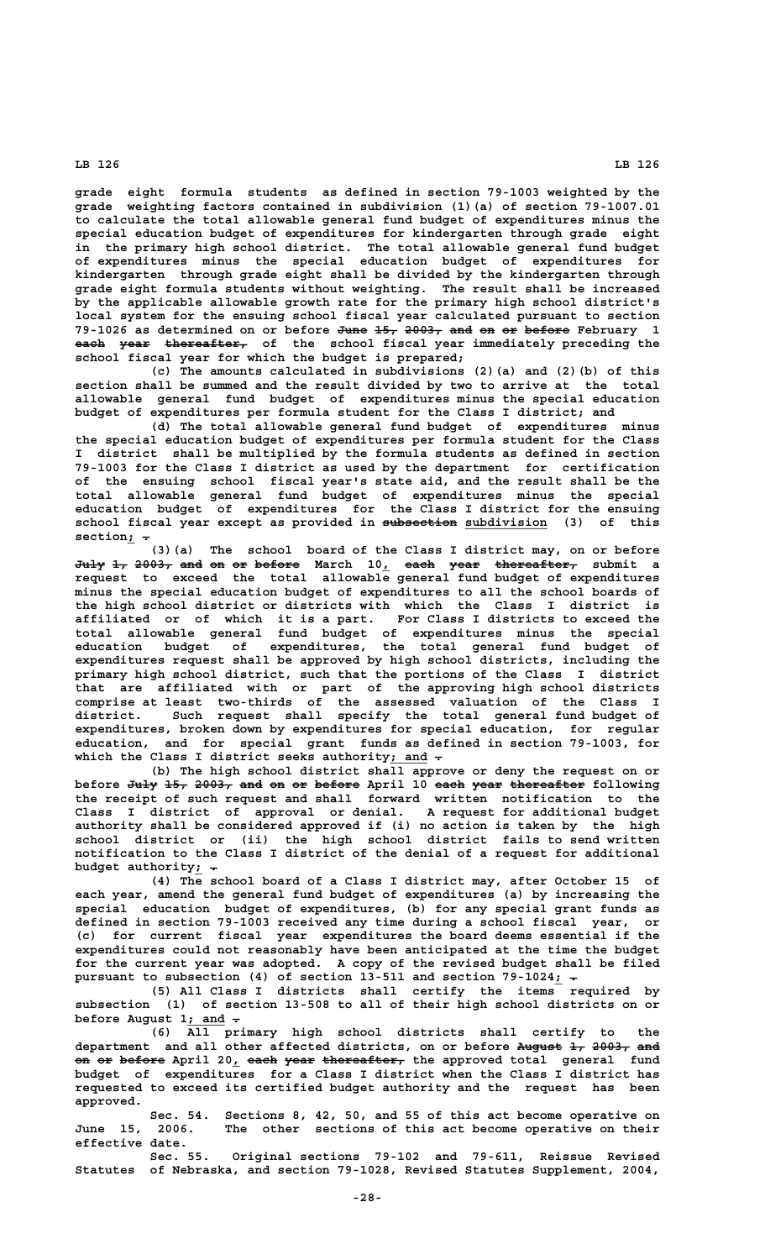**grade eight formula students as defined in section 79-1003 weighted by the grade weighting factors contained in subdivision (1)(a) of section 79-1007.01 to calculate the total allowable general fund budget of expenditures minus the special education budget of expenditures for kindergarten through grade eight in the primary high school district. The total allowable general fund budget of expenditures minus the special education budget of expenditures for kindergarten through grade eight shall be divided by the kindergarten through grade eight formula students without weighting. The result shall be increased by the applicable allowable growth rate for the primary high school district's local system for the ensuing school fiscal year calculated pursuant to section** 79-1026 as determined on or before <del>June 15, 2003, and on or before</del> February 1 **each year thereafter, of the school fiscal year immediately preceding the ———— ———— —————————— school fiscal year for which the budget is prepared;**

**(c) The amounts calculated in subdivisions (2)(a) and (2)(b) of this section shall be summed and the result divided by two to arrive at the total allowable general fund budget of expenditures minus the special education budget of expenditures per formula student for the Class I district; and**

**(d) The total allowable general fund budget of expenditures minus the special education budget of expenditures per formula student for the Class I district shall be multiplied by the formula students as defined in section 79-1003 for the Class I district as used by the department for certification of the ensuing school fiscal year's state aid, and the result shall be the total allowable general fund budget of expenditures minus the special education budget of expenditures for the Class I district for the ensuing** school fiscal year except as provided in subsection subdivision (3) of this  $\begin{align} \text{section}_{\underline{\textit{i}}} &\div \\ \text{(3) (a)} \end{align}$ 

The school board of the Class I district may, on or before **July 1, 2003, and on or before March 10, each year thereafter, submit a ———— —— ————— ——— —— —— —————— \_ ———— ———— —————————— request to exceed the total allowable general fund budget of expenditures minus the special education budget of expenditures to all the school boards of the high school district or districts with which the Class I district is affiliated or of which it is a part. For Class I districts to exceed the total allowable general fund budget of expenditures minus the special education budget of expenditures, the total general fund budget of expenditures request shall be approved by high school districts, including the primary high school district, such that the portions of the Class I district that are affiliated with or part of the approving high school districts comprise at least two-thirds of the assessed valuation of the Class I district. Such request shall specify the total general fund budget of expenditures, broken down by expenditures for special education, for regular education, and for special grant funds as defined in section 79-1003, for** which the Class I district seeks authority; and  $\overline{ }$ 

> **(b) The high school district shall approve or deny the request on or** before <del>July 15, 2003, and on or before</del> April 10 <del>each year thereafter</del> following **the receipt of such request and shall forward written notification to the Class I district of approval or denial. A request for additional budget authority shall be considered approved if (i) no action is taken by the high school district or (ii) the high school district fails to send written notification to the Class I district of the denial of a request for additional** budget authority<sub>i</sub> -

> **(4) The school board of a Class I district may, after October 15 of each year, amend the general fund budget of expenditures (a) by increasing the special education budget of expenditures, (b) for any special grant funds as defined in section 79-1003 received any time during a school fiscal year, or (c) for current fiscal year expenditures the board deems essential if the expenditures could not reasonably have been anticipated at the time the budget for the current year was adopted. A copy of the revised budget shall be filed** pursuant to subsection (4) of section 13-511 and section 79-1024 $\frac{i}{r}$ .

> **(5) All Class I districts shall certify the items required by subsection (1) of section 13-508 to all of their high school districts on or \_\_\_\_\_ — before August 1; and .**

> **(6) All primary high school districts shall certify to the department and all other affected districts, on or before August 1, 2003, and —————— —— ————— —— on or before April 20, each year thereafter, the approved total general fund budget of expenditures for a Class I district when the Class I district has requested to exceed its certified budget authority and the request has been approved.**

> **Sec. 54. Sections 8, 42, 50, and 55 of this act become operative on June 15, 2006. The other sections of this act become operative on their effective date.**

> **Sec. 55. Original sections 79-102 and 79-611, Reissue Revised Statutes of Nebraska, and section 79-1028, Revised Statutes Supplement, 2004,**